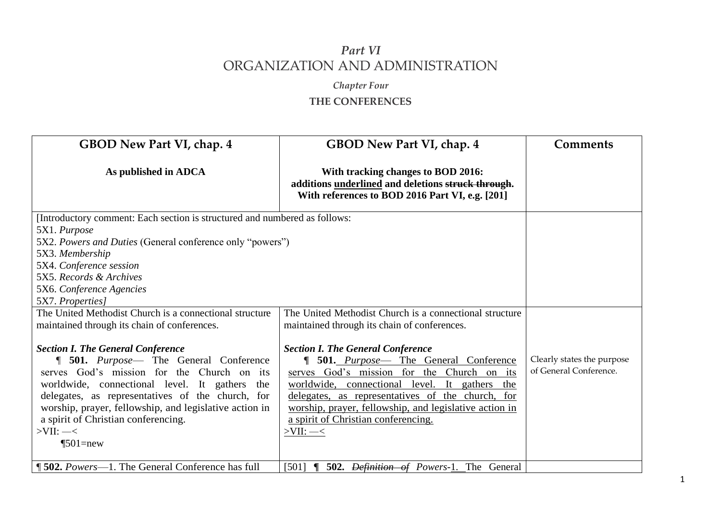## *Part VI* ORGANIZATION AND ADMINISTRATION

## *Chapter Four*

## **THE CONFERENCES**

| <b>GBOD New Part VI, chap. 4</b>                                                                                                                                                                                                                                                                                                                                                       | <b>GBOD New Part VI, chap. 4</b>                                                                                                                                                                                                                                                                                                                                           | <b>Comments</b>                                      |
|----------------------------------------------------------------------------------------------------------------------------------------------------------------------------------------------------------------------------------------------------------------------------------------------------------------------------------------------------------------------------------------|----------------------------------------------------------------------------------------------------------------------------------------------------------------------------------------------------------------------------------------------------------------------------------------------------------------------------------------------------------------------------|------------------------------------------------------|
| As published in ADCA                                                                                                                                                                                                                                                                                                                                                                   | With tracking changes to BOD 2016:<br>additions underlined and deletions struck through.<br>With references to BOD 2016 Part VI, e.g. [201]                                                                                                                                                                                                                                |                                                      |
| [Introductory comment: Each section is structured and numbered as follows:<br>5X1. Purpose<br>5X2. Powers and Duties (General conference only "powers")<br>5X3. Membership<br>5X4. Conference session<br>5X5. Records & Archives<br>5X6. Conference Agencies<br>5X7. Properties]                                                                                                       |                                                                                                                                                                                                                                                                                                                                                                            |                                                      |
| The United Methodist Church is a connectional structure<br>maintained through its chain of conferences.                                                                                                                                                                                                                                                                                | The United Methodist Church is a connectional structure<br>maintained through its chain of conferences.                                                                                                                                                                                                                                                                    |                                                      |
| <b>Section I. The General Conference</b><br><b>501.</b> <i>Purpose</i> — The General Conference<br>serves God's mission for the Church on its<br>worldwide, connectional level. It gathers the<br>delegates, as representatives of the church, for<br>worship, prayer, fellowship, and legislative action in<br>a spirit of Christian conferencing.<br>$>$ VII: $-\lt$<br>$\P$ 501=new | <b>Section I. The General Conference</b><br><b>501.</b> <i>Purpose</i> — The General Conference<br>serves God's mission for the Church on its<br>worldwide, connectional level. It gathers<br>the<br>delegates, as representatives of the church, for<br>worship, prayer, fellowship, and legislative action in<br>a spirit of Christian conferencing.<br>$>$ VII: $-\leq$ | Clearly states the purpose<br>of General Conference. |
| <b>502.</b> <i>Powers</i> —1. The General Conference has full                                                                                                                                                                                                                                                                                                                          | 502. Definition of Powers-1. The General<br>[501]                                                                                                                                                                                                                                                                                                                          |                                                      |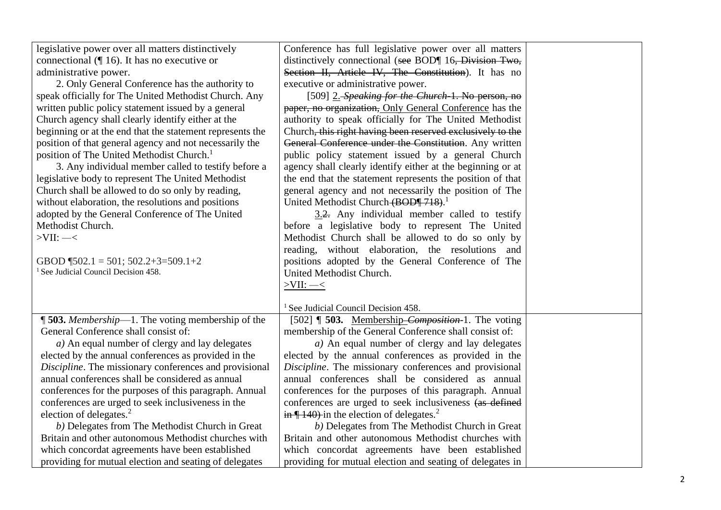| legislative power over all matters distinctively          | Conference has full legislative power over all matters                  |  |
|-----------------------------------------------------------|-------------------------------------------------------------------------|--|
| connectional $($ $\parallel$ 16). It has no executive or  | distinctively connectional (see BOD¶ 16, Division Two,                  |  |
| administrative power.                                     | Section II, Article IV, The Constitution). It has no                    |  |
| 2. Only General Conference has the authority to           | executive or administrative power.                                      |  |
| speak officially for The United Methodist Church. Any     | [509] 2. Speaking for the Church-1. No person, no                       |  |
| written public policy statement issued by a general       | paper, no organization, Only General Conference has the                 |  |
| Church agency shall clearly identify either at the        | authority to speak officially for The United Methodist                  |  |
| beginning or at the end that the statement represents the | Church, this right having been reserved exclusively to the              |  |
| position of that general agency and not necessarily the   | General Conference under the Constitution. Any written                  |  |
| position of The United Methodist Church. <sup>1</sup>     | public policy statement issued by a general Church                      |  |
| 3. Any individual member called to testify before a       | agency shall clearly identify either at the beginning or at             |  |
| legislative body to represent The United Methodist        | the end that the statement represents the position of that              |  |
| Church shall be allowed to do so only by reading,         | general agency and not necessarily the position of The                  |  |
| without elaboration, the resolutions and positions        | United Methodist Church (BOD¶ 718). <sup>1</sup>                        |  |
| adopted by the General Conference of The United           | 3.2. Any individual member called to testify                            |  |
| Methodist Church.                                         | before a legislative body to represent The United                       |  |
| $>$ VII: $-$ <                                            | Methodist Church shall be allowed to do so only by                      |  |
|                                                           | reading, without elaboration, the resolutions and                       |  |
| GBOD $\text{\$502.1} = 501; 502.2 + 3 = 509.1 + 2$        | positions adopted by the General Conference of The                      |  |
| <sup>1</sup> See Judicial Council Decision 458.           | United Methodist Church.                                                |  |
|                                                           | $>$ VII: $-$ <                                                          |  |
|                                                           |                                                                         |  |
|                                                           | <sup>1</sup> See Judicial Council Decision 458.                         |  |
| ¶ 503. Membership—1. The voting membership of the         | [502] <b>[503.</b> Membership-Composition-1. The voting                 |  |
| General Conference shall consist of:                      | membership of the General Conference shall consist of:                  |  |
| $a)$ An equal number of clergy and lay delegates          | a) An equal number of clergy and lay delegates                          |  |
| elected by the annual conferences as provided in the      | elected by the annual conferences as provided in the                    |  |
| Discipline. The missionary conferences and provisional    | Discipline. The missionary conferences and provisional                  |  |
| annual conferences shall be considered as annual          | annual conferences shall be considered as annual                        |  |
| conferences for the purposes of this paragraph. Annual    | conferences for the purposes of this paragraph. Annual                  |  |
| conferences are urged to seek inclusiveness in the        | conferences are urged to seek inclusiveness (as defined                 |  |
| election of delegates. <sup>2</sup>                       | $\frac{\text{in } 140}{140}$ in the election of delegates. <sup>2</sup> |  |
| b) Delegates from The Methodist Church in Great           | b) Delegates from The Methodist Church in Great                         |  |
| Britain and other autonomous Methodist churches with      | Britain and other autonomous Methodist churches with                    |  |
| which concordat agreements have been established          | which concordat agreements have been established                        |  |
| providing for mutual election and seating of delegates    | providing for mutual election and seating of delegates in               |  |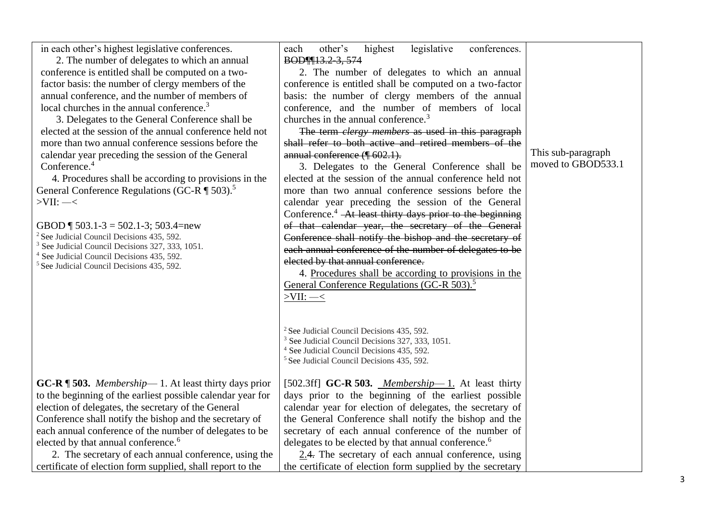in each other's highest legislative conferences.

2. The number of delegates to which conference is entitled shall be computed on a twofactor basis: the number of clergy men annual conference, and the number of local churches in the annual conference.

3. Delegates to the General Confer elected at the session of the annual conference held at the session of the annual conference held not more than two annual conference sessions before the theory calendar year preceding the session of Conference.<sup>4</sup>

4. Procedures shall be according to General Conference Regulations (GC-I >VII: *—<*

GBOD  $\P$  503.1-3 = 502.1-3; 503.4=ney <sup>2</sup> See Judicial Council Decisions 435, 592.  $3$  See Judicial Council Decisions 327, 333, 105

<sup>4</sup> See Judicial Council Decisions 435, 592. <sup>5</sup> See Judicial Council Decisions 435, 592.

**GC-R** ¶ **503.** *Membership*— 1. At least to the beginning of the earliest possible election of delegates, the secretary of the Conference shall notify the bishop and each annual conference of the number elected by that annual conference.<sup>6</sup>

2. The secretary of each annual concertificate of election form supplied, shall report to the

| ferences.              | legislative<br>each<br>other's<br>highest<br>conferences.                                                      |                    |
|------------------------|----------------------------------------------------------------------------------------------------------------|--------------------|
| ch an annual           | BOD113.2-3, 574                                                                                                |                    |
| ed on a two-           | 2. The number of delegates to which an annual                                                                  |                    |
| nbers of the           | conference is entitled shall be computed on a two-factor                                                       |                    |
| members of             | basis: the number of clergy members of the annual                                                              |                    |
| $ce.$ <sup>3</sup>     | conference, and the number of members of local                                                                 |                    |
| rence shall be         | churches in the annual conference. <sup>3</sup>                                                                |                    |
| nference held not      | The term <i>clergy members</i> as used in this paragraph                                                       |                    |
| ions before the        | shall refer to both active and retired members of the                                                          |                    |
| the General            | annual conference (¶ 602.1).                                                                                   | This sub-paragraph |
|                        | 3. Delegates to the General Conference shall be                                                                | moved to GBOD533.1 |
| provisions in the      | elected at the session of the annual conference held not                                                       |                    |
| R ¶ 503). <sup>5</sup> | more than two annual conference sessions before the                                                            |                    |
|                        | calendar year preceding the session of the General                                                             |                    |
|                        | Conference. <sup>4</sup> -At least thirty days prior to the beginning                                          |                    |
| V                      | of that calendar year, the secretary of the General                                                            |                    |
|                        | Conference shall notify the bishop and the secretary of                                                        |                    |
| 1.                     | each annual conference of the number of delegates to be                                                        |                    |
|                        | elected by that annual conference.                                                                             |                    |
|                        | 4. Procedures shall be according to provisions in the                                                          |                    |
|                        | General Conference Regulations (GC-R 503). <sup>5</sup>                                                        |                    |
|                        | $>$ VII: $=$                                                                                                   |                    |
|                        |                                                                                                                |                    |
|                        |                                                                                                                |                    |
|                        | <sup>2</sup> See Judicial Council Decisions 435, 592.                                                          |                    |
|                        | <sup>3</sup> See Judicial Council Decisions 327, 333, 1051.                                                    |                    |
|                        | <sup>4</sup> See Judicial Council Decisions 435, 592.<br><sup>5</sup> See Judicial Council Decisions 435, 592. |                    |
|                        |                                                                                                                |                    |
| st thirty days prior   | [502.3ff] GC-R 503. <i>Membership</i> —1. At least thirty                                                      |                    |
| calendar year for      | days prior to the beginning of the earliest possible                                                           |                    |
| ne General             | calendar year for election of delegates, the secretary of                                                      |                    |
| the secretary of       | the General Conference shall notify the bishop and the                                                         |                    |
| of delegates to be     | secretary of each annual conference of the number of                                                           |                    |
|                        | delegates to be elected by that annual conference. <sup>6</sup>                                                |                    |
| nference, using the    | $2.4$ . The secretary of each annual conference, using                                                         |                    |
| all report to the      | the certificate of election form supplied by the secretary                                                     |                    |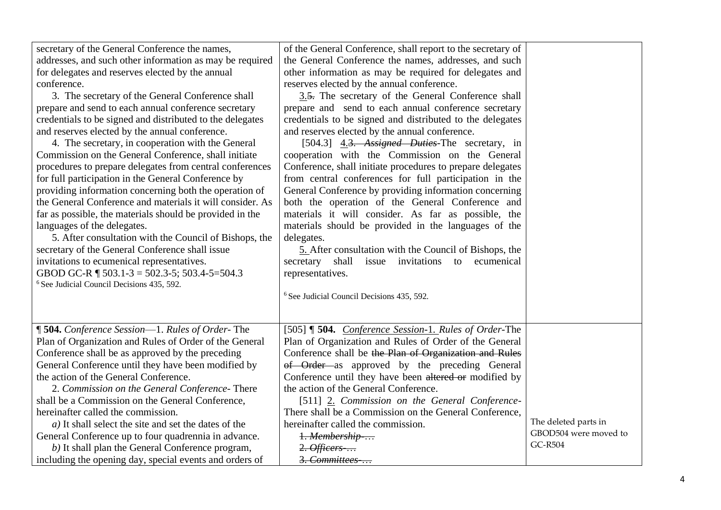| secretary of the General Conference the names,            | of the General Conference, shall report to the secretary of        |                       |
|-----------------------------------------------------------|--------------------------------------------------------------------|-----------------------|
| addresses, and such other information as may be required  | the General Conference the names, addresses, and such              |                       |
| for delegates and reserves elected by the annual          | other information as may be required for delegates and             |                       |
| conference.                                               | reserves elected by the annual conference.                         |                       |
| 3. The secretary of the General Conference shall          | 3.5. The secretary of the General Conference shall                 |                       |
| prepare and send to each annual conference secretary      | prepare and send to each annual conference secretary               |                       |
| credentials to be signed and distributed to the delegates | credentials to be signed and distributed to the delegates          |                       |
| and reserves elected by the annual conference.            | and reserves elected by the annual conference.                     |                       |
| 4. The secretary, in cooperation with the General         | [504.3] 4.3. Assigned Duties-The secretary, in                     |                       |
| Commission on the General Conference, shall initiate      | cooperation with the Commission on the General                     |                       |
| procedures to prepare delegates from central conferences  | Conference, shall initiate procedures to prepare delegates         |                       |
| for full participation in the General Conference by       | from central conferences for full participation in the             |                       |
| providing information concerning both the operation of    | General Conference by providing information concerning             |                       |
| the General Conference and materials it will consider. As | both the operation of the General Conference and                   |                       |
| far as possible, the materials should be provided in the  | materials it will consider. As far as possible, the                |                       |
| languages of the delegates.                               | materials should be provided in the languages of the               |                       |
| 5. After consultation with the Council of Bishops, the    | delegates.                                                         |                       |
| secretary of the General Conference shall issue           | 5. After consultation with the Council of Bishops, the             |                       |
| invitations to ecumenical representatives.                | shall<br>ecumenical<br>secretary<br>issue invitations<br>to        |                       |
| GBOD GC-R $\sqrt{$ 503.1-3 = 502.3-5; 503.4-5=504.3       | representatives.                                                   |                       |
| <sup>6</sup> See Judicial Council Decisions 435, 592.     |                                                                    |                       |
|                                                           | <sup>6</sup> See Judicial Council Decisions 435, 592.              |                       |
|                                                           |                                                                    |                       |
|                                                           |                                                                    |                       |
| ¶ 504. Conference Session-1. Rules of Order-The           | [505] <b>[504.</b> <i>Conference Session-1. Rules of Order-The</i> |                       |
| Plan of Organization and Rules of Order of the General    | Plan of Organization and Rules of Order of the General             |                       |
| Conference shall be as approved by the preceding          | Conference shall be the Plan of Organization and Rules             |                       |
| General Conference until they have been modified by       | of Order as approved by the preceding General                      |                       |
| the action of the General Conference.                     | Conference until they have been altered or modified by             |                       |
| 2. Commission on the General Conference-There             | the action of the General Conference.                              |                       |
| shall be a Commission on the General Conference,          | [511] 2. Commission on the General Conference-                     |                       |
| hereinafter called the commission.                        | There shall be a Commission on the General Conference,             |                       |
| $a)$ It shall select the site and set the dates of the    | hereinafter called the commission.                                 | The deleted parts in  |
| General Conference up to four quadrennia in advance.      | 1. Membership-                                                     | GBOD504 were moved to |
| b) It shall plan the General Conference program,          | 2. Officers-                                                       | <b>GC-R504</b>        |
| including the opening day, special events and orders of   | 3. Committees                                                      |                       |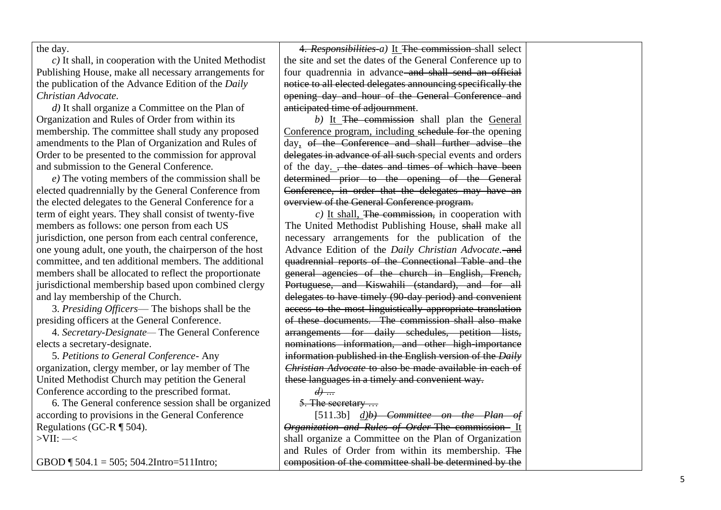the day.

*c)* It shall, in cooperation with the United Methodist Publishing House, make all necessary arrangements for the publication of the Advance Edition of the *Daily Christian Advocate.*

d) It shall organize a Committee on the Plan of Organization and Rules of Order from within its membership*.* The committee shall study any proposed amendments to the Plan of Organization and Rules of Order to be presented to the commission for approval and submission to the General Conference.

*e)* The voting members of the commission shall be elected quadrennially by the General Conference from the elected delegates to the General Conference for a term of eight years. They shall consist of twenty -five members as follows: one person from each US jurisdiction, one person from each central conference, one young adult, one youth, the chairperson of the host committee, and ten additional members. The additional members shall be allocated to reflect the proportionate jurisdictional membership based upon combined clergy and lay membership of the Church.

3. *Presiding Officers* — The bishops shall be the presiding officers at the General Conference.

4. *Secretary-Designate—* The General Conference elects a secretary -designate.

5. *Petitions to General Conference* - Any organization, clergy member, or lay member of The United Methodist Church may petition the General Conference according to the prescribed format.

6. The General conference session shall be organized according to provisions in the General Conference Regulations (GC-R  $\P$  504). >VII: *— <*

GBOD | 504.1 = 505; 504.2Intro=511Intro;

4. *Responsibilities* -*a)* It The commission shall select the site and set the dates of the General Conference up to four quadrennia in advance and shall send an official notice to all elected delegates announcing specifically the opening day and hour of the General Conference and anticipated time of adjournment.

b) It The commission shall plan the General Conference program, including schedule for the opening day, of the Conference and shall further advise the delegates in advance of all such special events and orders of the day. , the dates and times of which have been determined prior to the opening of the General Conference, in order that the delegates may have an overview of the General Conference program.

*c*) It shall, The commission, in cooperation with The United Methodist Publishing House, shall make all necessary arrangements for the publication of the Advance Edition of the *Daily Christian Advocate.* and quadrennial reports of the Connectional Table and the general agencies of the church in English, French, Portuguese, and Kiswahili (standard), and for all delegates to have timely (90 -day period) and convenient access to the most linguistically appropriate translation of these documents. The commission shall also make arrangements for daily schedules, petition lists, nominations information, and other high -importance information published in the English version of the *Daily Christian Advocate* to also be made available in each of these languages in a timely and convenient way.

*d) …*

5. The secretary …

[511.3b] *d)b) Committee on the Plan of*  **Organization and Rules of Order-The commission** It shall organize a Committee on the Plan of Organization and Rules of Order from within its membership. The composition of the committee shall be determined by the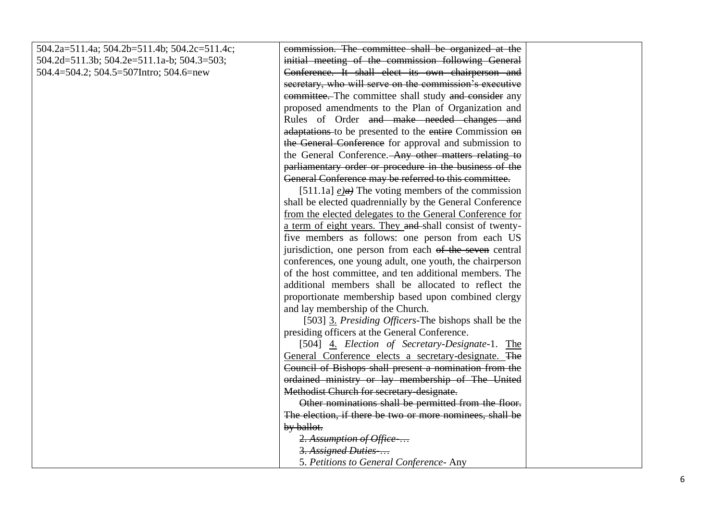504.2a=511.4a; 504.2b=511.4b; 504.2c=511.4c; 504.2d=511.3b; 504.2e=511.1a -b; 504.3=503; 504.4=504.2; 504.5=507Intro; 504.6=new

commission. The committee shall be organized at the initial meeting of the commission following General Conference. It shall elect its own chairperson and secretary, who will serve on the commission's executive committee. The committee shall study and consider any proposed amendments to the Plan of Organization and Rules of Order and make needed changes and adaptations to be presented to the entire Commission on the General Conference for approval and submission to the General Conference. Any other matters relating to parliamentary order or procedure in the business of the General Conference may be referred to this committee.

[511.1a]  $e) \overline{a}$ } The voting members of the commission shall be elected quadrennially by the General Conference from the elected delegates to the General Conference for a term of eight years. They and shall consist of twentyfive members as follows: one person from each US jurisdiction, one person from each of the seven central conference s, one young adult, one youth, the chairperson of the host committee, and ten additional members. The additional members shall be allocated to reflect the proportionate membership based upon combined clergy and lay membership of the Church.

[503] 3. *Presiding Officers* - The bishops shall be the presiding officers at the General Conference.

[504] 4. *Election of Secretary -Designate* -1. The General Conference elects a secretary -designate. The Council of Bishops shall present a nomination from the ordained ministry or lay membership of The United Methodist Church for secretary designate.

Other nominations shall be permitted from the floor. The election, if there be two or more nominees, shall be by ballot.

2. *Assumption of Office* - …

3. *Assigned Duties* - …

5. *Petitions to General Conference* - Any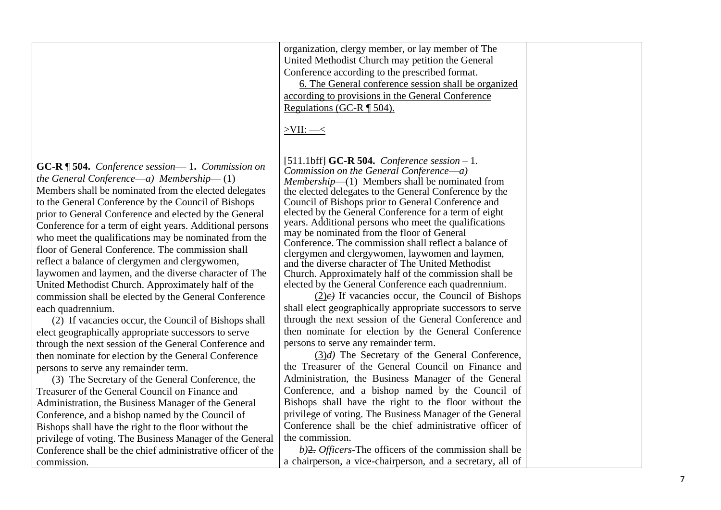organization, clergy member, or lay member of The United Methodist Church may petition the General Conference according to the prescribed format. 6. The General conference session shall be organized

according to provisions in the General Conference Regulations (GC-R ¶ 504).

>VII: —<

**GC - R** ¶ **504.** *Conference session* — 1 **.** *Commission on the General Conference* —*a) Membership* — (1) Members shall be nominated from the elected delegates to the General Conference by the Council of Bishops prior to General Conference and elected by the General Conference for a term of eight years. Additional persons who meet the qualifications may be nominated from the floor of General Conference. The commission shall reflect a balance of clergymen and clergywomen, laywomen and laymen, and the diverse character of The United Methodist Church. Approximately half of the commission shall be elected by the General Conference each quadrennium.

(2) If vacancies occur, the Council of Bishops shall elect geographically appropriate successors to serve through the next session of the General Conference and then nominate for election by the General Conference persons to serve any remainder term.

(3) The Secretary of the General Conference, the Treasurer of the General Council on Finance and Administration, the Business Manager of the General Conference, and a bishop named by the Council of Bishops shall have the right to the floor without the privilege of voting. The Business Manager of the General Conference shall be the chief administrative officer of the commission.

[511.1bff] **GC - R 504.** *Conference session –* 1. *Commission on the General Conference* —*a) Membership* —(1) Members shall be nominated from the elected delegates to the General Conference by the Council of Bishops prior to General Conference and elected by the General Conference for a term of eight years. Additional persons who meet the qualifications may be nominated from the floor of General Conference. The commission shall reflect a balance of clergymen and clergywomen, laywomen and laymen, Church. Approximately half of the commission shall be elected by the General Conference each quadrennium.

 $(2)$  eH vacancies occur, the Council of Bishops shall elect geographically appropriate successors to serve through the next session of the General Conference and then nominate for election by the General Conference persons to serve any remainder term.

(3)*d)* The Secretary of the General Conference, the Treasurer of the General Council on Finance and Administration, the Business Manager of the General Conference, and a bishop named by the Council of Bishops shall have the right to the floor without the privilege of voting. The Business Manager of the General Conference shall be the chief administrative officer of the commission.

*b)*2. *Officers* -The officers of the commission shall be a chairperson, a vice -chairperson, and a secretary, all of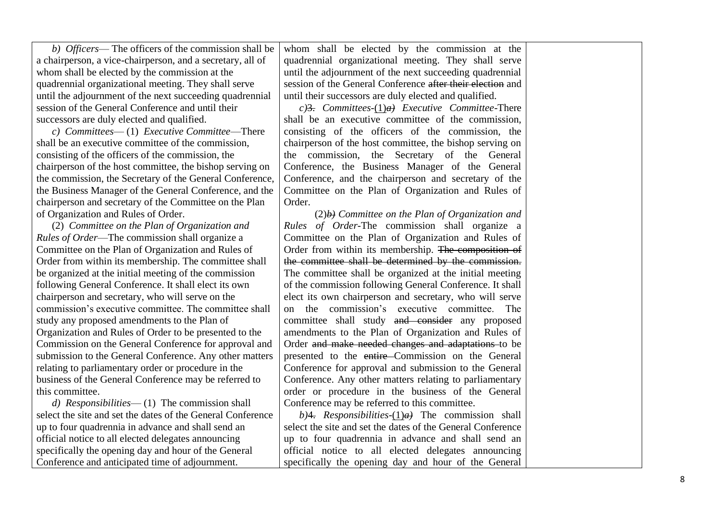*b) Officers* — The officers of the commission shall be a chairperson, a vice -chairperson, and a secretary, all of whom shall be elected by the commission at the quadrennial organizational meeting. They shall serve until the adjournment of the next succeeding quadrennial session of the General Conference and until their successors are duly elected and qualified.

*c) Committees* — (1) *Executive Committee* —There shall be an executive committee of the commission, consisting of the officers of the commission, the chairperson of the host committee, the bishop serving on the commission, the Secretary of the General Conference, the Business Manager of the General Conference, and the chairperson and secretary of the Committee on the Plan of Organization and Rules of Order.

(2) *Committee on the Plan of Organization and Rules of Order*—The commission shall organize a Committee on the Plan of Organization and Rules of Order from within its membership. The committee shall be organized at the initial meeting of the commission following General Conference. It shall elect its own chairperson and secretary, who will serve on the commission's executive committee. The committee shall study any proposed amendments to the Plan of Organization and Rules of Order to be presented to the Commission on the General Conference for approval and submission to the General Conference. Any other matters relating to parliamentary order or procedure in the business of the General Conference may be referred to this committee.

*d) Responsibilities* — (1) The commission shall select the site and set the dates of the General Conference up to four quadrennia in advance and shall send an official notice to all elected delegates announcing specifically the opening day and hour of the General Conference and anticipated time of adjournment.

whom shall be elected by the commission at the quadrennial organizational meeting. They shall serve until the adjournment of the next succeeding quadrennial session of the General Conference after their election and until their successors are duly elected and qualified.

*c)*3. *Committees* -(1)*a) Executive Committee* -There shall be an executive committee of the commission, consisting of the officers of the commission, the chairperson of the host committee, the bishop serving on the commission, the Secretary of the General Conference, the Business Manager of the General Conference, and the chairperson and secretary of the Committee on the Plan of Organization and Rules of Order.

(2)*b) Committee on the Plan of Organization and Rules of Order* -The commission shall organize a Committee on the Plan of Organization and Rules of Order from within its membership. The composition of the committee shall be determined by the commission. The committee shall be organized at the initial meeting of the commission following General Conference. It shall elect its own chairperson and secretary, who will serve on the commission's executive committee. The committee shall study and consider any proposed amendments to the Plan of Organization and Rules of Order and make needed changes and adaptations to be presented to the entire Commission on the General Conference for approval and submission to the General Conference. Any other matters relating to parliamentary order or procedure in the business of the General Conference may be referred to this committee.

 $b$ <sup>4</sup>. *Responsibilities*- $(1)a$  The commission shall select the site and set the dates of the General Conference up to four quadrennia in advance and shall send an official notice to all elected delegates announcing specifically the opening day and hour of the General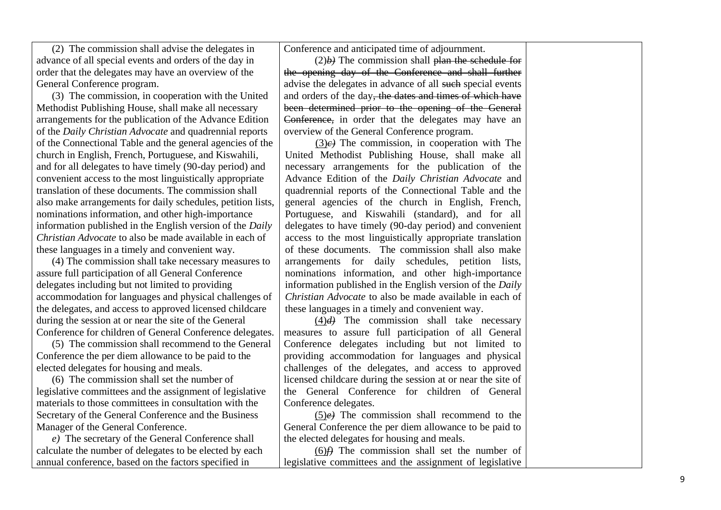(2) The commission shall advise the delegates in advance of all special events and orders of the day in order that the delegates may have an overview of the General Conference program.

(3) The commission, in cooperation with the United Methodist Publishing House, shall make all necessary arrangements for the publication of the Advance Edition of the *Daily Christian Advocate* and quadrennial reports of the Connectional Table and the general agencies of the church in English, French, Portuguese, and Kiswahili, and for all delegates to have timely (90 -day period) and convenient access to the most linguistically appropriate translation of these documents. The commission shall also make arrangements for daily schedules, petition lists, nominations information, and other high -importance information published in the English version of the *Daily Christian Advocate* to also be made available in each of these languages in a timely and convenient way.

(4) The commission shall take necessary measures to assure full participation of all General Conference delegates including but not limited to providing accommodation for languages and physical challenges of the delegates, and access to approved licensed childcare during the session at or near the site of the General Conference for children of General Conference delegates.

(5) The commission shall recommend to the General Conference the per diem allowance to be paid to the elected delegates for housing and meals.

(6) The commission shall set the number of legislative committees and the assignment of legislative materials to those committees in consultation with the Secretary of the General Conference and the Business Manager of the General Conference.

*e)* The secretary of the General Conference shall calculate the number of delegates to be elected by each annual conference, based on the factors specified in

Conference and anticipated time of adjournment.

 $(2)$ *b*) The commission shall plan the schedule for the opening day of the Conference and shall further advise the delegates in advance of all such special events and orders of the day, the dates and times of which have been determined prior to the opening of the General Conference, in order that the delegates may have an overview of the General Conference program.

(3)*c)* The commission, in cooperation with The United Methodist Publishing House, shall make all necessary arrangements for the publication of the Advance Edition of the *Daily Christian Advocate* and quadrennial reports of the Connectional Table and the general agencies of the church in English, French, Portuguese, and Kiswahili (standard), and for all delegates to have timely (90 -day period) and convenient access to the most linguistically appropriate translation of these documents. The commission shall also make arrangements for daily schedules, petition lists, nominations information, and other high -importance information published in the English version of the *Daily Christian Advocate* to also be made available in each of these languages in a timely and convenient way.

(4)*d)* The commission shall take necessary measures to assure full participation of all General Conference delegates including but not limited to providing accommodation for languages and physical challenges of the delegates, and access to approved licensed childcare during the session at or near the site of the General Conference for children of General Conference delegates.

(5)*e)* The commission shall recommend to the General Conference the per diem allowance to be paid to the elected delegates for housing and meals.

(6)*f)* The commission shall set the number of legislative committees and the assignment of legislative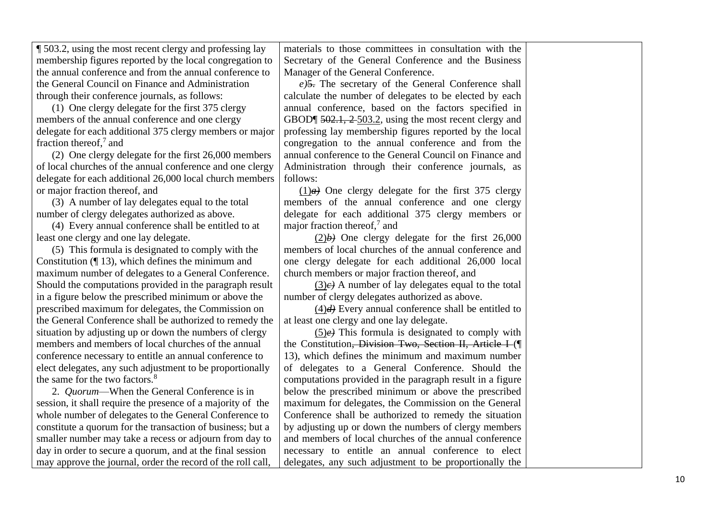¶ 503.2, using the most recent clergy and professing lay membership figures reported by the local congregation to the annual conference and from the annual conference to the General Council on Finance and Administration through their conference journals, as follows:

(1) One clergy delegate for the first 375 clergy members of the annual conference and one clergy delegate for each additional 375 clergy members or major fraction thereof,<sup>7</sup> and

(2) One clergy delegate for the first 26,000 members of local churches of the annual conference and one clergy delegate for each additional 26,000 local church members or major fraction thereof, and

(3) A number of lay delegates equal to the total number of clergy delegates authorized as above.

(4) Every annual conference shall be entitled to at least one clergy and one lay delegate.

(5) This formula is designated to comply with the Constitution (¶ 13), which defines the minimum and maximum number of delegates to a General Conference. Should the computations provided in the paragraph result in a figure below the prescribed minimum or above the prescribed maximum for delegates, the Commission on the General Conference shall be authorized to remedy the situation by adjusting up or down the numbers of clergy members and members of local churches of the annual conference necessary to entitle an annual conference to elect delegates, any such adjustment to be proportionally the same for the two factors.<sup>8</sup>

2. *Quorum* —When the General Conference is in session, it shall require the presence of a majority of the whole number of delegates to the General Conference to constitute a quorum for the transaction of business; but a smaller number may take a recess or adjourn from day to day in order to secure a quorum, and at the final session may approve the journal, order the record of the roll call,

materials to those committees in consultation with the Secretary of the General Conference and the Business Manager of the General Conference.

*e)*5. The secretary of the General Conference shall calculate the number of delegates to be elected by each annual conference, based on the factors specified in GBOD¶ 502.1, 2-503.2, using the most recent clergy and professing lay membership figures reported by the local congregation to the annual conference and from the annual conference to the General Council on Finance and Administration through their conference journals, as follows:

 $(1)$ <sup>a</sup>) One clergy delegate for the first 375 clergy members of the annual conference and one clergy delegate for each additional 375 clergy members or major fraction thereof, 7 and

 $(2)$ **b**) One clergy delegate for the first 26,000 members of local churches of the annual conference and one clergy delegate for each additional 26,000 local church members or major fraction thereof, and

(3)*c)* A number of lay delegates equal to the total number of clergy delegates authorized as above.

(4)*d)* Every annual conference shall be entitled to at least one clergy and one lay delegate.

(5)*e)* This formula is designated to comply with the Constitution, Division Two, Section II, Article I (¶ 13), which defines the minimum and maximum number of delegates to a General Conference. Should the computations provided in the paragraph result in a figure below the prescribed minimum or above the prescribed maximum for delegates, the Commission on the General Conference shall be authorized to remedy the situation by adjusting up or down the numbers of clergy members and members of local churches of the annual conference necessary to entitle an annual conference to elect delegates, any such adjustment to be proportionally the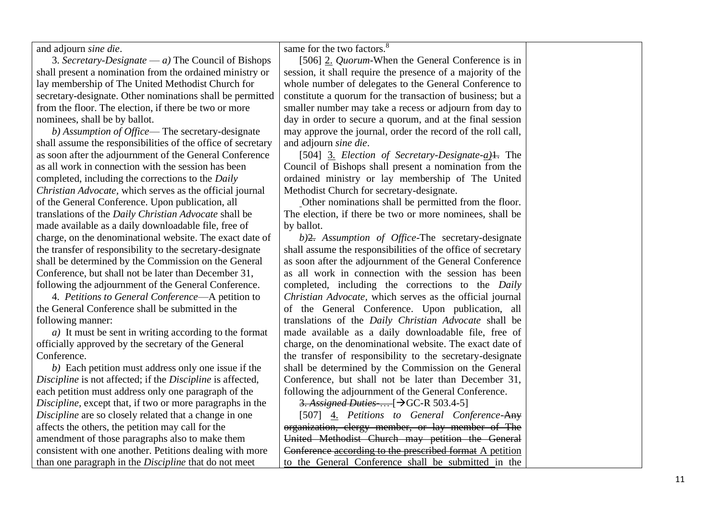and adjourn *sine die* .

3. *Secretary -Designate* — *a)* The Council of Bishops shall present a nomination from the ordained ministry or lay membership of The United Methodist Church for secretary -designate. Other nominations shall be permitted from the floor. The election, if there be two or more nominees, shall be by ballot.

*b) Assumption of Office* — The secretary -designate shall assume the responsibilities of the office of secretary as soon after the adjournment of the General Conference as all work in connection with the session has been completed, including the corrections to the *Daily Christian Advocate,* which serves as the official journal of the General Conference. Upon publication, all translations of the *Daily Christian Advocate* shall be made available as a daily downloadable file, free of charge, on the denominational website. The exact date of the transfer of responsibility to the secretary -designate shall be determined by the Commission on the General Conference, but shall not be later than December 31, following the adjournment of the General Conference.

4. *Petitions to General Conference* —A petition to the General Conference shall be submitted in the following manner:

*a)* It must be sent in writing according to the format officially approved by the secretary of the General Conference.

*b)* Each petition must address only one issue if the *Discipline* is not affected; if the *Discipline* is affected, each petition must address only one paragraph of the *Discipline,* except that, if two or more paragraphs in the *Discipline* are so closely related that a change in one affects the others, the petition may call for the amendment of those paragraphs also to make them consistent with one another. Petitions dealing with more than one paragraph in the *Discipline* that do not meet

same for the two factors.<sup>8</sup>

[506] 2. *Quorum*-When the General Conference is in session, it shall require the presence of a majority of the whole number of delegates to the General Conference to constitute a quorum for the transaction of business; but a smaller number may take a recess or adjourn from day to day in order to secure a quorum, and at the final session may approve the journal, order the record of the roll call, and adjourn *sine die* .

[504] 3. *Election of Secretary -Designate* -*a)*1. The Council of Bishops shall present a nomination from the ordained ministry or lay membership of The United Methodist Church for secretary -designate.

Other nominations shall be permitted from the floor. The election, if there be two or more nominees, shall be by ballot.

*b)*2. *Assumption of Office* -The secretary -designate shall assume the responsibilities of the office of secretary as soon after the adjournment of the General Conference as all work in connection with the session has been completed, including the corrections to the *Daily Christian Advocate,* which serves as the official journal of the General Conference. Upon publication, all translations of the *Daily Christian Advocate* shall be made available as a daily downloadable file, free of charge, on the denominational website. The exact date of the transfer of responsibility to the secretary -designate shall be determined by the Commission on the General Conference, but shall not be later than December 31, following the adjournment of the General Conference.

3. Assigned Duties-...-[→GC-R 503.4-5]

[507] **4.** Petitions to General Conference-Any organization, clergy member, or lay member of The United Methodist Church may petition the General Conference according to the prescribed format A petition to the General Conference shall be submitted in the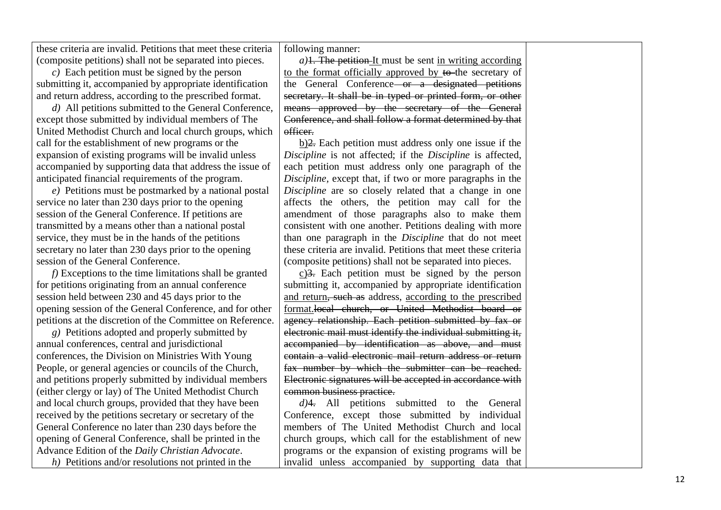these criteria are invalid. Petitions that meet these criteria (composite petitions) shall not be separated into pieces.

*c)* Each petition must be signed by the person submitting it, accompanied by appropriate identification and return address, according to the prescribed format.

*d)* All petitions submitted to the General Conference, except those submitted by individual members of The United Methodist Church and local church groups, which call for the establishment of new programs or the expansion of existing programs will be invalid unless accompanied by supporting data that address the issue of anticipated financial requirements of the program.

*e)* Petitions must be postmarked by a national postal service no later than 230 days prior to the opening session of the General Conference. If petitions are transmitted by a means other than a national postal service, they must be in the hands of the petitions secretary no later than 230 days prior to the opening session of the General Conference.

*f)* Exceptions to the time limitations shall be granted for petitions originating from an annual conference session held between 230 and 45 days prior to the opening session of the General Conference, and for other petitions at the discretion of the Committee on Reference.

*g)* Petitions adopted and properly submitted by annual conferences, central and jurisdictional conferences, the Division on Ministries With Young People, or general agencies or councils of the Church, and petitions properly submitted by individual members (either clergy or lay) of The United Methodist Church and local church groups, provided that they have been received by the petitions secretary or secretary of the General Conference no later than 230 days before the opening of General Conference, shall be printed in the Advance Edition of the *Daily Christian Advocate* .

*h)* Petitions and/or resolutions not printed in the

following manner:

*a)*1. The petition It must be sent in writing according to the format officially approved by to the secretary of the General Conference or a designated petitions secretary. It shall be in typed or printed form, or other means approved by the secretary of the General Conference, and shall follow a format determined by that officer.

b)2. Each petition must address only one issue if the *Discipline* is not affected; if the *Discipline* is affected, each petition must address only one paragraph of the *Discipline,* except that, if two or more paragraphs in the *Discipline* are so closely related that a change in one affects the others, the petition may call for the amendment of those paragraphs also to make them consistent with one another. Petitions dealing with more than one paragraph in the *Discipline* that do not meet these criteria are invalid. Petitions that meet these criteria (composite petitions) shall not be separated into pieces.

c)3. Each petition must be signed by the person submitting it, accompanied by appropriate identification and return<del>, such as</del> address, according to the prescribed format.local church, or United Methodist board or agency relationship. Each petition submitted by fax or electronic mail must identify the individual submitting it, accompanied by identification as above, and must contain a valid electronic mail return address or return fax number by which the submitter can be reached. Electronic signatures will be accepted in accordance with common business practice.

*d)*4. All petitions submitted to the General Conference, except those submitted by individual members of The United Methodist Church and local church groups, which call for the establishment of new programs or the expansion of existing programs will be invalid unless accompanied by supporting data that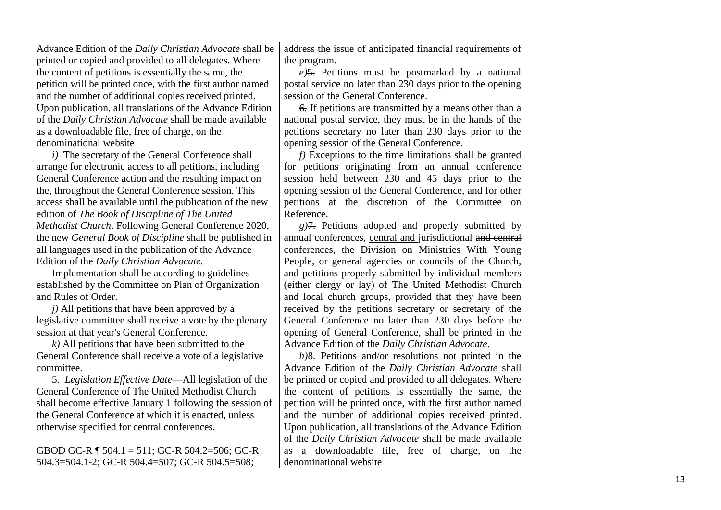Advance Edition of the *Daily Christian Advocate* shall be printed or copied and provided to all delegates. Where the content of petitions is essentially the same, the petition will be printed once, with the first author named and the number of additional copies received printed. Upon publication, all translations of the Advance Edition of the *Daily Christian Advocate* shall be made available as a downloadable file, free of charge, on the denominational website

*i)* The secretary of the General Conference shall arrange for electronic access to all petitions, including General Conference action and the resulting impact on the *,* throughout the General Conference session. This access shall be available until the publication of the new edition of *The Book of Discipline of The United Methodist Church*. Following General Conference 2020, the new *General Book of Discipline* shall be published in all languages used in the publication of the Advance Edition of the *Daily Christian Advocate.*

Implementation shall be according to guidelines established by the Committee on Plan of Organization and Rules of Order.

*j*) All petitions that have been approved by a legislative committee shall receive a vote by the plenary session at that year's General Conference.

*k)* All petitions that have been submitted to the General Conference shall receive a vote of a legislative committee.

5. *Legislation Effective Date* —All legislation of the General Conference of The United Methodist Church shall become effective January 1 following the session of the General Conference at which it is enacted, unless otherwise specified for central conferences.

GBOD GC -R ¶ 504.1 = 511; GC -R 504.2=506; GC -R 504.3=504.1 -2; GC -R 504.4=507; GC -R 504.5=508;

address the issue of anticipated financial requirements of the program.

*e)*5. Petitions must be postmarked by a national postal service no later than 230 days prior to the opening session of the General Conference.

6. If petitions are transmitted by a means other than a national postal service, they must be in the hands of the petitions secretary no later than 230 days prior to the opening session of the General Conference.

*f)* Exceptions to the time limitations shall be granted for petitions originating from an annual conference session held between 230 and 45 days prior to the opening session of the General Conference, and for other petitions at the discretion of the Committee on Reference.

*g)*7. Petitions adopted and properly submitted by annual conferences, central and jurisdictional and central conferences, the Division on Ministries With Young People, or general agencies or councils of the Church, and petitions properly submitted by individual members (either clergy or lay) of The United Methodist Church and local church groups, provided that they have been received by the petitions secretary or secretary of the General Conference no later than 230 days before the opening of General Conference, shall be printed in the Advance Edition of the *Daily Christian Advocate* .

*h)*8. Petitions and/or resolutions not printed in the Advance Edition of the *Daily Christian Advocate* shall be printed or copied and provided to all delegates. Where the content of petitions is essentially the same, the petition will be printed once, with the first author named and the number of additional copies received printed. Upon publication, all translations of the Advance Edition of the *Daily Christian Advocate* shall be made available as a downloadable file, free of charge, on the denominational website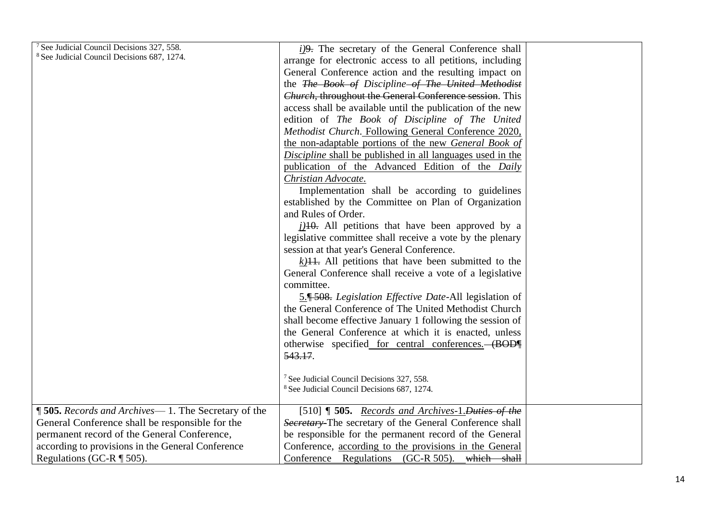| $i$ ). The secretary of the General Conference shall<br><sup>8</sup> See Judicial Council Decisions 687, 1274.<br>arrange for electronic access to all petitions, including<br>General Conference action and the resulting impact on<br>the <i>The Book of Discipline–of The United Methodist</i><br><b>Church, throughout the General Conference session.</b> This<br>access shall be available until the publication of the new<br>edition of The Book of Discipline of The United<br>Methodist Church. Following General Conference 2020,<br>the non-adaptable portions of the new General Book of<br>Discipline shall be published in all languages used in the<br>publication of the Advanced Edition of the Daily<br>Christian Advocate.<br>Implementation shall be according to guidelines<br>established by the Committee on Plan of Organization<br>and Rules of Order.<br>$\underline{j}$ i.e. All petitions that have been approved by a<br>legislative committee shall receive a vote by the plenary<br>session at that year's General Conference.<br>$k$ ) <sup>11</sup> . All petitions that have been submitted to the<br>General Conference shall receive a vote of a legislative<br>committee.<br>5. 508. Legislation Effective Date-All legislation of<br>the General Conference of The United Methodist Church<br>shall become effective January 1 following the session of<br>the General Conference at which it is enacted, unless<br>otherwise specified for central conferences. (BOD<br>543.17. |
|-------------------------------------------------------------------------------------------------------------------------------------------------------------------------------------------------------------------------------------------------------------------------------------------------------------------------------------------------------------------------------------------------------------------------------------------------------------------------------------------------------------------------------------------------------------------------------------------------------------------------------------------------------------------------------------------------------------------------------------------------------------------------------------------------------------------------------------------------------------------------------------------------------------------------------------------------------------------------------------------------------------------------------------------------------------------------------------------------------------------------------------------------------------------------------------------------------------------------------------------------------------------------------------------------------------------------------------------------------------------------------------------------------------------------------------------------------------------------------------------------------------------------|
|                                                                                                                                                                                                                                                                                                                                                                                                                                                                                                                                                                                                                                                                                                                                                                                                                                                                                                                                                                                                                                                                                                                                                                                                                                                                                                                                                                                                                                                                                                                         |
|                                                                                                                                                                                                                                                                                                                                                                                                                                                                                                                                                                                                                                                                                                                                                                                                                                                                                                                                                                                                                                                                                                                                                                                                                                                                                                                                                                                                                                                                                                                         |
|                                                                                                                                                                                                                                                                                                                                                                                                                                                                                                                                                                                                                                                                                                                                                                                                                                                                                                                                                                                                                                                                                                                                                                                                                                                                                                                                                                                                                                                                                                                         |
|                                                                                                                                                                                                                                                                                                                                                                                                                                                                                                                                                                                                                                                                                                                                                                                                                                                                                                                                                                                                                                                                                                                                                                                                                                                                                                                                                                                                                                                                                                                         |
|                                                                                                                                                                                                                                                                                                                                                                                                                                                                                                                                                                                                                                                                                                                                                                                                                                                                                                                                                                                                                                                                                                                                                                                                                                                                                                                                                                                                                                                                                                                         |
|                                                                                                                                                                                                                                                                                                                                                                                                                                                                                                                                                                                                                                                                                                                                                                                                                                                                                                                                                                                                                                                                                                                                                                                                                                                                                                                                                                                                                                                                                                                         |
|                                                                                                                                                                                                                                                                                                                                                                                                                                                                                                                                                                                                                                                                                                                                                                                                                                                                                                                                                                                                                                                                                                                                                                                                                                                                                                                                                                                                                                                                                                                         |
|                                                                                                                                                                                                                                                                                                                                                                                                                                                                                                                                                                                                                                                                                                                                                                                                                                                                                                                                                                                                                                                                                                                                                                                                                                                                                                                                                                                                                                                                                                                         |
|                                                                                                                                                                                                                                                                                                                                                                                                                                                                                                                                                                                                                                                                                                                                                                                                                                                                                                                                                                                                                                                                                                                                                                                                                                                                                                                                                                                                                                                                                                                         |
|                                                                                                                                                                                                                                                                                                                                                                                                                                                                                                                                                                                                                                                                                                                                                                                                                                                                                                                                                                                                                                                                                                                                                                                                                                                                                                                                                                                                                                                                                                                         |
|                                                                                                                                                                                                                                                                                                                                                                                                                                                                                                                                                                                                                                                                                                                                                                                                                                                                                                                                                                                                                                                                                                                                                                                                                                                                                                                                                                                                                                                                                                                         |
|                                                                                                                                                                                                                                                                                                                                                                                                                                                                                                                                                                                                                                                                                                                                                                                                                                                                                                                                                                                                                                                                                                                                                                                                                                                                                                                                                                                                                                                                                                                         |
|                                                                                                                                                                                                                                                                                                                                                                                                                                                                                                                                                                                                                                                                                                                                                                                                                                                                                                                                                                                                                                                                                                                                                                                                                                                                                                                                                                                                                                                                                                                         |
|                                                                                                                                                                                                                                                                                                                                                                                                                                                                                                                                                                                                                                                                                                                                                                                                                                                                                                                                                                                                                                                                                                                                                                                                                                                                                                                                                                                                                                                                                                                         |
|                                                                                                                                                                                                                                                                                                                                                                                                                                                                                                                                                                                                                                                                                                                                                                                                                                                                                                                                                                                                                                                                                                                                                                                                                                                                                                                                                                                                                                                                                                                         |
|                                                                                                                                                                                                                                                                                                                                                                                                                                                                                                                                                                                                                                                                                                                                                                                                                                                                                                                                                                                                                                                                                                                                                                                                                                                                                                                                                                                                                                                                                                                         |
|                                                                                                                                                                                                                                                                                                                                                                                                                                                                                                                                                                                                                                                                                                                                                                                                                                                                                                                                                                                                                                                                                                                                                                                                                                                                                                                                                                                                                                                                                                                         |
|                                                                                                                                                                                                                                                                                                                                                                                                                                                                                                                                                                                                                                                                                                                                                                                                                                                                                                                                                                                                                                                                                                                                                                                                                                                                                                                                                                                                                                                                                                                         |
|                                                                                                                                                                                                                                                                                                                                                                                                                                                                                                                                                                                                                                                                                                                                                                                                                                                                                                                                                                                                                                                                                                                                                                                                                                                                                                                                                                                                                                                                                                                         |
|                                                                                                                                                                                                                                                                                                                                                                                                                                                                                                                                                                                                                                                                                                                                                                                                                                                                                                                                                                                                                                                                                                                                                                                                                                                                                                                                                                                                                                                                                                                         |
|                                                                                                                                                                                                                                                                                                                                                                                                                                                                                                                                                                                                                                                                                                                                                                                                                                                                                                                                                                                                                                                                                                                                                                                                                                                                                                                                                                                                                                                                                                                         |
|                                                                                                                                                                                                                                                                                                                                                                                                                                                                                                                                                                                                                                                                                                                                                                                                                                                                                                                                                                                                                                                                                                                                                                                                                                                                                                                                                                                                                                                                                                                         |
|                                                                                                                                                                                                                                                                                                                                                                                                                                                                                                                                                                                                                                                                                                                                                                                                                                                                                                                                                                                                                                                                                                                                                                                                                                                                                                                                                                                                                                                                                                                         |
|                                                                                                                                                                                                                                                                                                                                                                                                                                                                                                                                                                                                                                                                                                                                                                                                                                                                                                                                                                                                                                                                                                                                                                                                                                                                                                                                                                                                                                                                                                                         |
|                                                                                                                                                                                                                                                                                                                                                                                                                                                                                                                                                                                                                                                                                                                                                                                                                                                                                                                                                                                                                                                                                                                                                                                                                                                                                                                                                                                                                                                                                                                         |
|                                                                                                                                                                                                                                                                                                                                                                                                                                                                                                                                                                                                                                                                                                                                                                                                                                                                                                                                                                                                                                                                                                                                                                                                                                                                                                                                                                                                                                                                                                                         |
|                                                                                                                                                                                                                                                                                                                                                                                                                                                                                                                                                                                                                                                                                                                                                                                                                                                                                                                                                                                                                                                                                                                                                                                                                                                                                                                                                                                                                                                                                                                         |
| <sup>7</sup> See Judicial Council Decisions 327, 558.                                                                                                                                                                                                                                                                                                                                                                                                                                                                                                                                                                                                                                                                                                                                                                                                                                                                                                                                                                                                                                                                                                                                                                                                                                                                                                                                                                                                                                                                   |
| <sup>8</sup> See Judicial Council Decisions 687, 1274.                                                                                                                                                                                                                                                                                                                                                                                                                                                                                                                                                                                                                                                                                                                                                                                                                                                                                                                                                                                                                                                                                                                                                                                                                                                                                                                                                                                                                                                                  |
| ¶ 505. Records and Archives-1. The Secretary of the                                                                                                                                                                                                                                                                                                                                                                                                                                                                                                                                                                                                                                                                                                                                                                                                                                                                                                                                                                                                                                                                                                                                                                                                                                                                                                                                                                                                                                                                     |
| [510] <b>[505.</b> <i>Records and Archives-1. Duties of the</i><br>Secretary-The secretary of the General Conference shall<br>General Conference shall be responsible for the                                                                                                                                                                                                                                                                                                                                                                                                                                                                                                                                                                                                                                                                                                                                                                                                                                                                                                                                                                                                                                                                                                                                                                                                                                                                                                                                           |
| be responsible for the permanent record of the General<br>permanent record of the General Conference,                                                                                                                                                                                                                                                                                                                                                                                                                                                                                                                                                                                                                                                                                                                                                                                                                                                                                                                                                                                                                                                                                                                                                                                                                                                                                                                                                                                                                   |
| according to provisions in the General Conference<br>Conference, according to the provisions in the General                                                                                                                                                                                                                                                                                                                                                                                                                                                                                                                                                                                                                                                                                                                                                                                                                                                                                                                                                                                                                                                                                                                                                                                                                                                                                                                                                                                                             |
| Conference Regulations (GC-R 505).<br>Regulations (GC-R $\parallel$ 505).<br>which shall                                                                                                                                                                                                                                                                                                                                                                                                                                                                                                                                                                                                                                                                                                                                                                                                                                                                                                                                                                                                                                                                                                                                                                                                                                                                                                                                                                                                                                |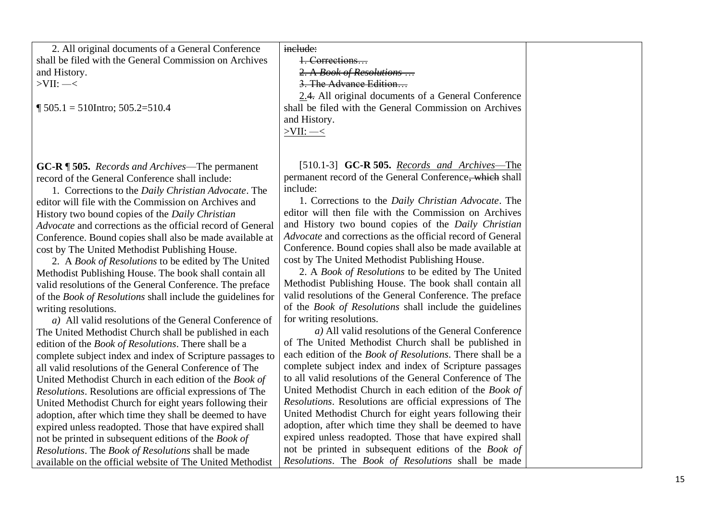2. All original documents of a General Conference shall be filed with the General Commission on Archives and History. >VII: *— <*

 $\text{\degree}505.1 = 510$ Intro; 505.2=510.4

**GC - R** ¶ **505.** *Records and Archives* —The permanent record of the General Conference shall include:

1. Corrections to the *Daily Christian Advocate* . The editor will file with the Commission on Archives and History two bound copies of the *Daily Christian Advocate* and corrections as the official record of General Conference. Bound copies shall also be made available at cost by The United Methodist Publishing House.

2. A *Book of Resolutions* to be edited by The United Methodist Publishing House. The book shall contain all valid resolutions of the General Conference. The preface of the *Book of Resolutions* shall include the guidelines for writing resolutions.

*a)* All valid resolutions of the General Conference of The United Methodist Church shall be published in each edition of the *Book of Resolutions*. There shall be a complete subject index and index of Scripture passages to all valid resolutions of the General Conference of The United Methodist Church in each edition of the *Book of Resolutions*. Resolutions are official expressions of The United Methodist Church for eight years following their adoption, after which time they shall be deemed to have expired unless readopted. Those that have expired shall not be printed in subsequent editions of the *Book of Resolutions*. The *Book of Resolutions* shall be made available on the official website of The United Methodist

include:

1. Corrections…

2. A *Book of Resolutions* …

3. The Advance Edition…

2.4. All original documents of a General Conference shall be filed with the General Commission on Archives and History.

>VII: *— <*

[510.1 -3] **GC - R 505.** *Records and Archives* —The permanent record of the General Conference, which shall include:

1. Corrections to the *Daily Christian Advocate*. The editor will then file with the Commission on Archives and History two bound copies of the *Daily Christian Advocate* and corrections as the official record of General Conference. Bound copies shall also be made available at cost by The United Methodist Publishing House.

2. A *Book of Resolutions* to be edited by The United Methodist Publishing House. The book shall contain all valid resolutions of the General Conference. The preface of the *Book of Resolutions* shall include the guidelines for writing resolutions.

*a)* All valid resolutions of the General Conference of The United Methodist Church shall be published in each edition of the *Book of Resolutions*. There shall be a complete subject index and index of Scripture passages to all valid resolutions of the General Conference of The United Methodist Church in each edition of the *Book of Resolutions*. Resolutions are official expressions of The United Methodist Church for eight years following their adoption, after which time they shall be deemed to have expired unless readopted. Those that have expired shall not be printed in subsequent editions of the *Book of Resolutions*. The *Book of Resolutions* shall be made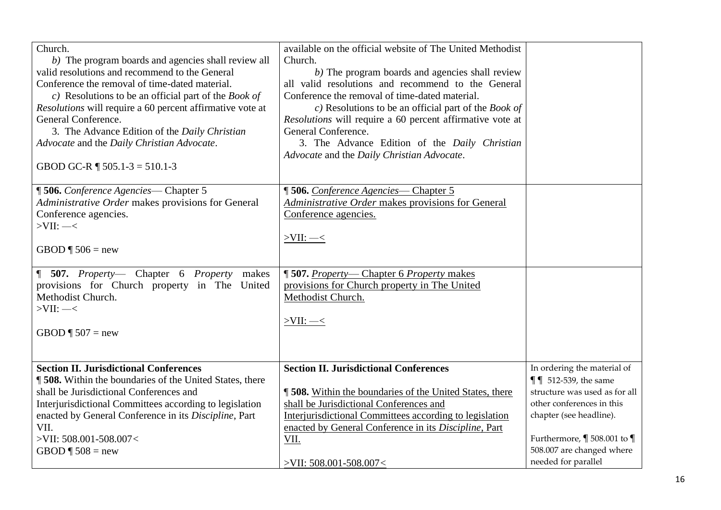| Church.<br>b) The program boards and agencies shall review all<br>valid resolutions and recommend to the General<br>Conference the removal of time-dated material.<br>c) Resolutions to be an official part of the <i>Book of</i><br>Resolutions will require a 60 percent affirmative vote at<br>General Conference.<br>3. The Advance Edition of the Daily Christian<br>Advocate and the Daily Christian Advocate. | available on the official website of The United Methodist<br>Church.<br>b) The program boards and agencies shall review<br>all valid resolutions and recommend to the General<br>Conference the removal of time-dated material.<br>$c)$ Resolutions to be an official part of the <i>Book of</i><br>Resolutions will require a 60 percent affirmative vote at<br>General Conference.<br>3. The Advance Edition of the Daily Christian<br>Advocate and the Daily Christian Advocate. |                                                                                                                                                                                                                                    |
|----------------------------------------------------------------------------------------------------------------------------------------------------------------------------------------------------------------------------------------------------------------------------------------------------------------------------------------------------------------------------------------------------------------------|-------------------------------------------------------------------------------------------------------------------------------------------------------------------------------------------------------------------------------------------------------------------------------------------------------------------------------------------------------------------------------------------------------------------------------------------------------------------------------------|------------------------------------------------------------------------------------------------------------------------------------------------------------------------------------------------------------------------------------|
| GBOD GC-R $\sqrt{$ 505.1-3 = 510.1-3                                                                                                                                                                                                                                                                                                                                                                                 |                                                                                                                                                                                                                                                                                                                                                                                                                                                                                     |                                                                                                                                                                                                                                    |
| ¶ 506. Conference Agencies— Chapter 5<br>Administrative Order makes provisions for General<br>Conference agencies.<br>$>$ VII: $-$ <<br>GBOD $\P$ 506 = new                                                                                                                                                                                                                                                          | ¶ 506. Conference Agencies— Chapter 5<br>Administrative Order makes provisions for General<br>Conference agencies.<br>$>$ VII: $-$                                                                                                                                                                                                                                                                                                                                                  |                                                                                                                                                                                                                                    |
| ¶ 507. Property— Chapter 6 Property makes<br>provisions for Church property in The United<br>Methodist Church.<br>$>$ VII: $-$ <<br>GBOD $\P$ 507 = new                                                                                                                                                                                                                                                              | <b>1507.</b> Property—Chapter 6 Property makes<br>provisions for Church property in The United<br>Methodist Church.<br><u>&gt;VII: —&lt;</u>                                                                                                                                                                                                                                                                                                                                        |                                                                                                                                                                                                                                    |
| <b>Section II. Jurisdictional Conferences</b><br><b>1508.</b> Within the boundaries of the United States, there<br>shall be Jurisdictional Conferences and<br>Interjurisdictional Committees according to legislation<br>enacted by General Conference in its Discipline, Part<br>VII.<br>>VII: 508.001-508.007<<br>GBOD $\sqrt{ }$ 508 = new                                                                        | <b>Section II. Jurisdictional Conferences</b><br>¶ 508. Within the boundaries of the United States, there<br>shall be Jurisdictional Conferences and<br>Interjurisdictional Committees according to legislation<br>enacted by General Conference in its Discipline, Part<br>VII.<br>$>$ VII: 508.001-508.007 $<$                                                                                                                                                                    | In ordering the material of<br>$\P\P$ 512-539, the same<br>structure was used as for all<br>other conferences in this<br>chapter (see headline).<br>Furthermore, 1508.001 to 1<br>508.007 are changed where<br>needed for parallel |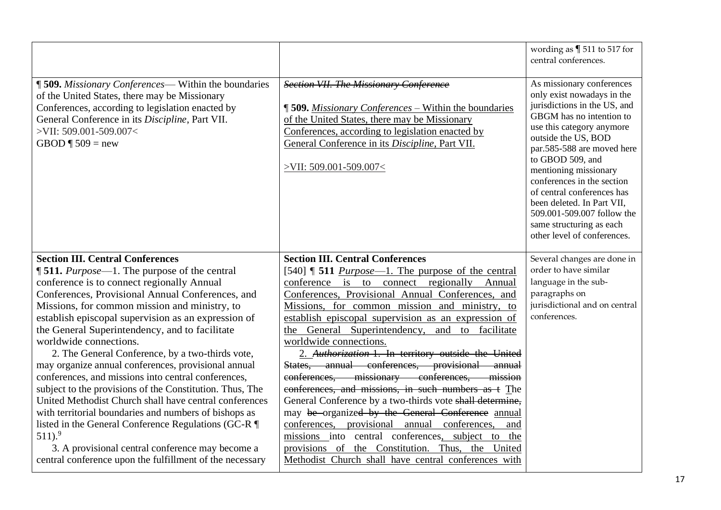|                                                                                                                                                                                                                                                               |                                                                                                                                                                                                                                                                                                | wording as $\P$ 511 to 517 for<br>central conferences.                                                                                                                                                                                                                                                                                                                                                                                |
|---------------------------------------------------------------------------------------------------------------------------------------------------------------------------------------------------------------------------------------------------------------|------------------------------------------------------------------------------------------------------------------------------------------------------------------------------------------------------------------------------------------------------------------------------------------------|---------------------------------------------------------------------------------------------------------------------------------------------------------------------------------------------------------------------------------------------------------------------------------------------------------------------------------------------------------------------------------------------------------------------------------------|
| ¶ 509. Missionary Conferences— Within the boundaries<br>of the United States, there may be Missionary<br>Conferences, according to legislation enacted by<br>General Conference in its Discipline, Part VII.<br>>VII: 509.001-509.007<<br>GBOD $\P$ 509 = new | <b>Section VII. The Missionary Conference</b><br><b>1509.</b> Missionary Conferences – Within the boundaries<br>of the United States, there may be Missionary<br>Conferences, according to legislation enacted by<br>General Conference in its Discipline, Part VII.<br>>VII: 509.001-509.007< | As missionary conferences<br>only exist nowadays in the<br>jurisdictions in the US, and<br>GBGM has no intention to<br>use this category anymore<br>outside the US, BOD<br>par.585-588 are moved here<br>to GBOD 509, and<br>mentioning missionary<br>conferences in the section<br>of central conferences has<br>been deleted. In Part VII,<br>509.001-509.007 follow the<br>same structuring as each<br>other level of conferences. |
| <b>Section III. Central Conferences</b>                                                                                                                                                                                                                       | <b>Section III. Central Conferences</b>                                                                                                                                                                                                                                                        | Several changes are done in                                                                                                                                                                                                                                                                                                                                                                                                           |
|                                                                                                                                                                                                                                                               |                                                                                                                                                                                                                                                                                                |                                                                                                                                                                                                                                                                                                                                                                                                                                       |
| <b>1511.</b> <i>Purpose</i> —1. The purpose of the central                                                                                                                                                                                                    | [540] $\parallel$ <b>511</b> <i>Purpose</i> —1. The purpose of the central                                                                                                                                                                                                                     | order to have similar                                                                                                                                                                                                                                                                                                                                                                                                                 |
| conference is to connect regionally Annual                                                                                                                                                                                                                    | connect regionally<br>conference is to<br>Annual                                                                                                                                                                                                                                               | language in the sub-                                                                                                                                                                                                                                                                                                                                                                                                                  |
| Conferences, Provisional Annual Conferences, and                                                                                                                                                                                                              | Conferences, Provisional Annual Conferences, and                                                                                                                                                                                                                                               | paragraphs on                                                                                                                                                                                                                                                                                                                                                                                                                         |
| Missions, for common mission and ministry, to                                                                                                                                                                                                                 | Missions, for common mission and ministry, to                                                                                                                                                                                                                                                  | jurisdictional and on central                                                                                                                                                                                                                                                                                                                                                                                                         |
| establish episcopal supervision as an expression of                                                                                                                                                                                                           | establish episcopal supervision as an expression of                                                                                                                                                                                                                                            | conferences.                                                                                                                                                                                                                                                                                                                                                                                                                          |
| the General Superintendency, and to facilitate                                                                                                                                                                                                                | the General Superintendency, and to facilitate                                                                                                                                                                                                                                                 |                                                                                                                                                                                                                                                                                                                                                                                                                                       |
| worldwide connections.                                                                                                                                                                                                                                        | worldwide connections.                                                                                                                                                                                                                                                                         |                                                                                                                                                                                                                                                                                                                                                                                                                                       |
| 2. The General Conference, by a two-thirds vote,                                                                                                                                                                                                              | 2. Authorization-1. In territory outside the United                                                                                                                                                                                                                                            |                                                                                                                                                                                                                                                                                                                                                                                                                                       |
| may organize annual conferences, provisional annual                                                                                                                                                                                                           | States, annual conferences, provisional annual                                                                                                                                                                                                                                                 |                                                                                                                                                                                                                                                                                                                                                                                                                                       |
| conferences, and missions into central conferences,                                                                                                                                                                                                           | conferences, missionary conferences,<br>mission                                                                                                                                                                                                                                                |                                                                                                                                                                                                                                                                                                                                                                                                                                       |
| subject to the provisions of the Constitution. Thus, The                                                                                                                                                                                                      | conferences, and missions, in such numbers as t The                                                                                                                                                                                                                                            |                                                                                                                                                                                                                                                                                                                                                                                                                                       |
| United Methodist Church shall have central conferences                                                                                                                                                                                                        | General Conference by a two-thirds vote shall determine,                                                                                                                                                                                                                                       |                                                                                                                                                                                                                                                                                                                                                                                                                                       |
| with territorial boundaries and numbers of bishops as                                                                                                                                                                                                         | may be organized by the General Conference annual                                                                                                                                                                                                                                              |                                                                                                                                                                                                                                                                                                                                                                                                                                       |
| listed in the General Conference Regulations (GC-R ¶                                                                                                                                                                                                          | conferences, provisional annual conferences,<br>and                                                                                                                                                                                                                                            |                                                                                                                                                                                                                                                                                                                                                                                                                                       |
| $511$ ). <sup>9</sup>                                                                                                                                                                                                                                         | missions into central conferences, subject to the                                                                                                                                                                                                                                              |                                                                                                                                                                                                                                                                                                                                                                                                                                       |
| 3. A provisional central conference may become a<br>central conference upon the fulfillment of the necessary                                                                                                                                                  | provisions of the Constitution. Thus, the United<br>Methodist Church shall have central conferences with                                                                                                                                                                                       |                                                                                                                                                                                                                                                                                                                                                                                                                                       |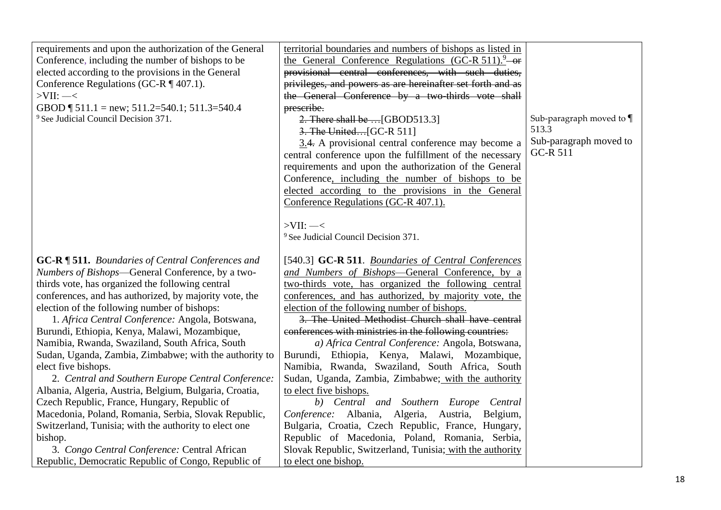| requirements and upon the authorization of the General<br>Conference, including the number of bishops to be<br>elected according to the provisions in the General<br>Conference Regulations (GC-R $\P$ 407.1).<br>$>$ VII: $-$ <<br>GBOD $\P$ 511.1 = new; 511.2=540.1; 511.3=540.4<br><sup>9</sup> See Judicial Council Decision 371.                                                                                                                                                                                                                                                                                                                                                                                                                                                                                                                                                                               | territorial boundaries and numbers of bishops as listed in<br>the General Conference Regulations (GC-R $511$ ). <sup>9</sup> -or<br>provisional central conferences, with such duties,<br>privileges, and powers as are hereinafter set forth and as<br>the General Conference by a two-thirds vote shall<br>prescribe.<br>2. There shall be $\ldots$ [GBOD513.3]<br>3. The United[GC-R 511]<br>3.4. A provisional central conference may become a<br>central conference upon the fulfillment of the necessary<br>requirements and upon the authorization of the General<br>Conference, including the number of bishops to be<br>elected according to the provisions in the General<br>Conference Regulations (GC-R 407.1).<br>$>$ VII: $-$ <<br><sup>9</sup> See Judicial Council Decision 371.                                                                                                                             | Sub-paragraph moved to $\P$<br>513.3<br>Sub-paragraph moved to<br>GC-R 511 |
|----------------------------------------------------------------------------------------------------------------------------------------------------------------------------------------------------------------------------------------------------------------------------------------------------------------------------------------------------------------------------------------------------------------------------------------------------------------------------------------------------------------------------------------------------------------------------------------------------------------------------------------------------------------------------------------------------------------------------------------------------------------------------------------------------------------------------------------------------------------------------------------------------------------------|------------------------------------------------------------------------------------------------------------------------------------------------------------------------------------------------------------------------------------------------------------------------------------------------------------------------------------------------------------------------------------------------------------------------------------------------------------------------------------------------------------------------------------------------------------------------------------------------------------------------------------------------------------------------------------------------------------------------------------------------------------------------------------------------------------------------------------------------------------------------------------------------------------------------------|----------------------------------------------------------------------------|
| <b>GC-R</b> [511. Boundaries of Central Conferences and<br>Numbers of Bishops—General Conference, by a two-<br>thirds vote, has organized the following central<br>conferences, and has authorized, by majority vote, the<br>election of the following number of bishops:<br>1. Africa Central Conference: Angola, Botswana,<br>Burundi, Ethiopia, Kenya, Malawi, Mozambique,<br>Namibia, Rwanda, Swaziland, South Africa, South<br>Sudan, Uganda, Zambia, Zimbabwe; with the authority to<br>elect five bishops.<br>2. Central and Southern Europe Central Conference:<br>Albania, Algeria, Austria, Belgium, Bulgaria, Croatia,<br>Czech Republic, France, Hungary, Republic of<br>Macedonia, Poland, Romania, Serbia, Slovak Republic,<br>Switzerland, Tunisia; with the authority to elect one<br>bishop.<br>3. Congo Central Conference: Central African<br>Republic, Democratic Republic of Congo, Republic of | [540.3] GC-R 511. Boundaries of Central Conferences<br>and Numbers of Bishops-General Conference, by a<br>two-thirds vote, has organized the following central<br>conferences, and has authorized, by majority vote, the<br>election of the following number of bishops.<br>3. The United Methodist Church shall have central<br>conferences with ministries in the following countries:<br>a) Africa Central Conference: Angola, Botswana,<br>Burundi, Ethiopia, Kenya, Malawi, Mozambique,<br>Namibia, Rwanda, Swaziland, South Africa, South<br>Sudan, Uganda, Zambia, Zimbabwe; with the authority<br>to elect five bishops.<br>b) Central and Southern Europe Central<br>Conference: Albania, Algeria, Austria, Belgium,<br>Bulgaria, Croatia, Czech Republic, France, Hungary,<br>Republic of Macedonia, Poland, Romania, Serbia,<br>Slovak Republic, Switzerland, Tunisia; with the authority<br>to elect one bishop. |                                                                            |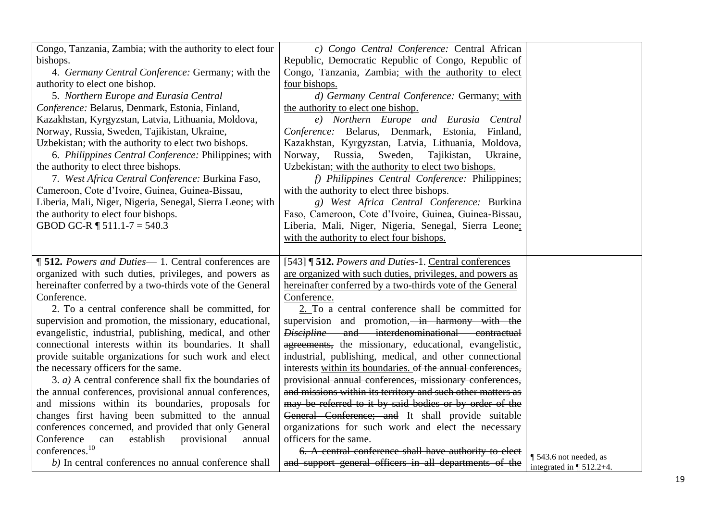| Republic, Democratic Republic of Congo, Republic of<br>bishops.<br>Congo, Tanzania, Zambia; with the authority to elect<br>4. Germany Central Conference: Germany; with the<br>authority to elect one bishop.<br>four bishops.<br>5. Northern Europe and Eurasia Central<br>d) Germany Central Conference: Germany; with<br>Conference: Belarus, Denmark, Estonia, Finland,<br>the authority to elect one bishop.<br>Kazakhstan, Kyrgyzstan, Latvia, Lithuania, Moldova,<br>e) Northern Europe and Eurasia Central<br>Norway, Russia, Sweden, Tajikistan, Ukraine,<br>Conference: Belarus, Denmark, Estonia,<br>Finland,<br>Kazakhstan, Kyrgyzstan, Latvia, Lithuania, Moldova,<br>Uzbekistan; with the authority to elect two bishops.<br>Sweden,<br>6. Philippines Central Conference: Philippines; with<br>Russia,<br>Tajikistan,<br>Ukraine,<br>Norway,<br>the authority to elect three bishops.<br>Uzbekistan; with the authority to elect two bishops.<br>f) Philippines Central Conference: Philippines;<br>7. West Africa Central Conference: Burkina Faso,<br>Cameroon, Cote d'Ivoire, Guinea, Guinea-Bissau,<br>with the authority to elect three bishops.<br>Liberia, Mali, Niger, Nigeria, Senegal, Sierra Leone; with<br>g) West Africa Central Conference: Burkina<br>the authority to elect four bishops.<br>Faso, Cameroon, Cote d'Ivoire, Guinea, Guinea-Bissau,<br>GBOD GC-R $\sqrt{ }$ 511.1-7 = 540.3<br>Liberia, Mali, Niger, Nigeria, Senegal, Sierra Leone;<br>with the authority to elect four bishops.<br><b>1512.</b> Powers and Duties-1. Central conferences are<br>[543] [512. Powers and Duties-1. Central conferences<br>organized with such duties, privileges, and powers as<br>are organized with such duties, privileges, and powers as<br>hereinafter conferred by a two-thirds vote of the General<br>hereinafter conferred by a two-thirds vote of the General |
|------------------------------------------------------------------------------------------------------------------------------------------------------------------------------------------------------------------------------------------------------------------------------------------------------------------------------------------------------------------------------------------------------------------------------------------------------------------------------------------------------------------------------------------------------------------------------------------------------------------------------------------------------------------------------------------------------------------------------------------------------------------------------------------------------------------------------------------------------------------------------------------------------------------------------------------------------------------------------------------------------------------------------------------------------------------------------------------------------------------------------------------------------------------------------------------------------------------------------------------------------------------------------------------------------------------------------------------------------------------------------------------------------------------------------------------------------------------------------------------------------------------------------------------------------------------------------------------------------------------------------------------------------------------------------------------------------------------------------------------------------------------------------------------------------------------------------------------------------------------------------------------------------|
|                                                                                                                                                                                                                                                                                                                                                                                                                                                                                                                                                                                                                                                                                                                                                                                                                                                                                                                                                                                                                                                                                                                                                                                                                                                                                                                                                                                                                                                                                                                                                                                                                                                                                                                                                                                                                                                                                                      |
|                                                                                                                                                                                                                                                                                                                                                                                                                                                                                                                                                                                                                                                                                                                                                                                                                                                                                                                                                                                                                                                                                                                                                                                                                                                                                                                                                                                                                                                                                                                                                                                                                                                                                                                                                                                                                                                                                                      |
|                                                                                                                                                                                                                                                                                                                                                                                                                                                                                                                                                                                                                                                                                                                                                                                                                                                                                                                                                                                                                                                                                                                                                                                                                                                                                                                                                                                                                                                                                                                                                                                                                                                                                                                                                                                                                                                                                                      |
|                                                                                                                                                                                                                                                                                                                                                                                                                                                                                                                                                                                                                                                                                                                                                                                                                                                                                                                                                                                                                                                                                                                                                                                                                                                                                                                                                                                                                                                                                                                                                                                                                                                                                                                                                                                                                                                                                                      |
|                                                                                                                                                                                                                                                                                                                                                                                                                                                                                                                                                                                                                                                                                                                                                                                                                                                                                                                                                                                                                                                                                                                                                                                                                                                                                                                                                                                                                                                                                                                                                                                                                                                                                                                                                                                                                                                                                                      |
|                                                                                                                                                                                                                                                                                                                                                                                                                                                                                                                                                                                                                                                                                                                                                                                                                                                                                                                                                                                                                                                                                                                                                                                                                                                                                                                                                                                                                                                                                                                                                                                                                                                                                                                                                                                                                                                                                                      |
|                                                                                                                                                                                                                                                                                                                                                                                                                                                                                                                                                                                                                                                                                                                                                                                                                                                                                                                                                                                                                                                                                                                                                                                                                                                                                                                                                                                                                                                                                                                                                                                                                                                                                                                                                                                                                                                                                                      |
|                                                                                                                                                                                                                                                                                                                                                                                                                                                                                                                                                                                                                                                                                                                                                                                                                                                                                                                                                                                                                                                                                                                                                                                                                                                                                                                                                                                                                                                                                                                                                                                                                                                                                                                                                                                                                                                                                                      |
|                                                                                                                                                                                                                                                                                                                                                                                                                                                                                                                                                                                                                                                                                                                                                                                                                                                                                                                                                                                                                                                                                                                                                                                                                                                                                                                                                                                                                                                                                                                                                                                                                                                                                                                                                                                                                                                                                                      |
|                                                                                                                                                                                                                                                                                                                                                                                                                                                                                                                                                                                                                                                                                                                                                                                                                                                                                                                                                                                                                                                                                                                                                                                                                                                                                                                                                                                                                                                                                                                                                                                                                                                                                                                                                                                                                                                                                                      |
|                                                                                                                                                                                                                                                                                                                                                                                                                                                                                                                                                                                                                                                                                                                                                                                                                                                                                                                                                                                                                                                                                                                                                                                                                                                                                                                                                                                                                                                                                                                                                                                                                                                                                                                                                                                                                                                                                                      |
|                                                                                                                                                                                                                                                                                                                                                                                                                                                                                                                                                                                                                                                                                                                                                                                                                                                                                                                                                                                                                                                                                                                                                                                                                                                                                                                                                                                                                                                                                                                                                                                                                                                                                                                                                                                                                                                                                                      |
|                                                                                                                                                                                                                                                                                                                                                                                                                                                                                                                                                                                                                                                                                                                                                                                                                                                                                                                                                                                                                                                                                                                                                                                                                                                                                                                                                                                                                                                                                                                                                                                                                                                                                                                                                                                                                                                                                                      |
|                                                                                                                                                                                                                                                                                                                                                                                                                                                                                                                                                                                                                                                                                                                                                                                                                                                                                                                                                                                                                                                                                                                                                                                                                                                                                                                                                                                                                                                                                                                                                                                                                                                                                                                                                                                                                                                                                                      |
|                                                                                                                                                                                                                                                                                                                                                                                                                                                                                                                                                                                                                                                                                                                                                                                                                                                                                                                                                                                                                                                                                                                                                                                                                                                                                                                                                                                                                                                                                                                                                                                                                                                                                                                                                                                                                                                                                                      |
|                                                                                                                                                                                                                                                                                                                                                                                                                                                                                                                                                                                                                                                                                                                                                                                                                                                                                                                                                                                                                                                                                                                                                                                                                                                                                                                                                                                                                                                                                                                                                                                                                                                                                                                                                                                                                                                                                                      |
|                                                                                                                                                                                                                                                                                                                                                                                                                                                                                                                                                                                                                                                                                                                                                                                                                                                                                                                                                                                                                                                                                                                                                                                                                                                                                                                                                                                                                                                                                                                                                                                                                                                                                                                                                                                                                                                                                                      |
|                                                                                                                                                                                                                                                                                                                                                                                                                                                                                                                                                                                                                                                                                                                                                                                                                                                                                                                                                                                                                                                                                                                                                                                                                                                                                                                                                                                                                                                                                                                                                                                                                                                                                                                                                                                                                                                                                                      |
|                                                                                                                                                                                                                                                                                                                                                                                                                                                                                                                                                                                                                                                                                                                                                                                                                                                                                                                                                                                                                                                                                                                                                                                                                                                                                                                                                                                                                                                                                                                                                                                                                                                                                                                                                                                                                                                                                                      |
|                                                                                                                                                                                                                                                                                                                                                                                                                                                                                                                                                                                                                                                                                                                                                                                                                                                                                                                                                                                                                                                                                                                                                                                                                                                                                                                                                                                                                                                                                                                                                                                                                                                                                                                                                                                                                                                                                                      |
| Conference.<br>Conference.                                                                                                                                                                                                                                                                                                                                                                                                                                                                                                                                                                                                                                                                                                                                                                                                                                                                                                                                                                                                                                                                                                                                                                                                                                                                                                                                                                                                                                                                                                                                                                                                                                                                                                                                                                                                                                                                           |
| 2. To a central conference shall be committed, for<br>2. To a central conference shall be committed for                                                                                                                                                                                                                                                                                                                                                                                                                                                                                                                                                                                                                                                                                                                                                                                                                                                                                                                                                                                                                                                                                                                                                                                                                                                                                                                                                                                                                                                                                                                                                                                                                                                                                                                                                                                              |
| supervision and promotion, the missionary, educational,<br>supervision and promotion, in harmony with the                                                                                                                                                                                                                                                                                                                                                                                                                                                                                                                                                                                                                                                                                                                                                                                                                                                                                                                                                                                                                                                                                                                                                                                                                                                                                                                                                                                                                                                                                                                                                                                                                                                                                                                                                                                            |
| Discipline and interdenominational contractual<br>evangelistic, industrial, publishing, medical, and other                                                                                                                                                                                                                                                                                                                                                                                                                                                                                                                                                                                                                                                                                                                                                                                                                                                                                                                                                                                                                                                                                                                                                                                                                                                                                                                                                                                                                                                                                                                                                                                                                                                                                                                                                                                           |
| connectional interests within its boundaries. It shall<br>agreements, the missionary, educational, evangelistic,                                                                                                                                                                                                                                                                                                                                                                                                                                                                                                                                                                                                                                                                                                                                                                                                                                                                                                                                                                                                                                                                                                                                                                                                                                                                                                                                                                                                                                                                                                                                                                                                                                                                                                                                                                                     |
| industrial, publishing, medical, and other connectional<br>provide suitable organizations for such work and elect                                                                                                                                                                                                                                                                                                                                                                                                                                                                                                                                                                                                                                                                                                                                                                                                                                                                                                                                                                                                                                                                                                                                                                                                                                                                                                                                                                                                                                                                                                                                                                                                                                                                                                                                                                                    |
| interests within its boundaries. of the annual conferences,<br>the necessary officers for the same.                                                                                                                                                                                                                                                                                                                                                                                                                                                                                                                                                                                                                                                                                                                                                                                                                                                                                                                                                                                                                                                                                                                                                                                                                                                                                                                                                                                                                                                                                                                                                                                                                                                                                                                                                                                                  |
| provisional annual conferences, missionary conferences,<br>3. $a)$ A central conference shall fix the boundaries of                                                                                                                                                                                                                                                                                                                                                                                                                                                                                                                                                                                                                                                                                                                                                                                                                                                                                                                                                                                                                                                                                                                                                                                                                                                                                                                                                                                                                                                                                                                                                                                                                                                                                                                                                                                  |
| the annual conferences, provisional annual conferences,<br>and missions within its territory and such other matters as                                                                                                                                                                                                                                                                                                                                                                                                                                                                                                                                                                                                                                                                                                                                                                                                                                                                                                                                                                                                                                                                                                                                                                                                                                                                                                                                                                                                                                                                                                                                                                                                                                                                                                                                                                               |
| and missions within its boundaries, proposals for<br>may be referred to it by said bodies or by order of the                                                                                                                                                                                                                                                                                                                                                                                                                                                                                                                                                                                                                                                                                                                                                                                                                                                                                                                                                                                                                                                                                                                                                                                                                                                                                                                                                                                                                                                                                                                                                                                                                                                                                                                                                                                         |
| changes first having been submitted to the annual<br>General Conference; and It shall provide suitable                                                                                                                                                                                                                                                                                                                                                                                                                                                                                                                                                                                                                                                                                                                                                                                                                                                                                                                                                                                                                                                                                                                                                                                                                                                                                                                                                                                                                                                                                                                                                                                                                                                                                                                                                                                               |
| conferences concerned, and provided that only General<br>organizations for such work and elect the necessary                                                                                                                                                                                                                                                                                                                                                                                                                                                                                                                                                                                                                                                                                                                                                                                                                                                                                                                                                                                                                                                                                                                                                                                                                                                                                                                                                                                                                                                                                                                                                                                                                                                                                                                                                                                         |
| provisional<br>officers for the same.<br>Conference<br>establish<br>can<br>annual                                                                                                                                                                                                                                                                                                                                                                                                                                                                                                                                                                                                                                                                                                                                                                                                                                                                                                                                                                                                                                                                                                                                                                                                                                                                                                                                                                                                                                                                                                                                                                                                                                                                                                                                                                                                                    |
| conferences. <sup>10</sup><br>6. A central conference shall have authority to elect<br>¶ 543.6 not needed, as                                                                                                                                                                                                                                                                                                                                                                                                                                                                                                                                                                                                                                                                                                                                                                                                                                                                                                                                                                                                                                                                                                                                                                                                                                                                                                                                                                                                                                                                                                                                                                                                                                                                                                                                                                                        |
| b) In central conferences no annual conference shall<br>and support general officers in all departments of the<br>integrated in $\P$ 512.2+4.                                                                                                                                                                                                                                                                                                                                                                                                                                                                                                                                                                                                                                                                                                                                                                                                                                                                                                                                                                                                                                                                                                                                                                                                                                                                                                                                                                                                                                                                                                                                                                                                                                                                                                                                                        |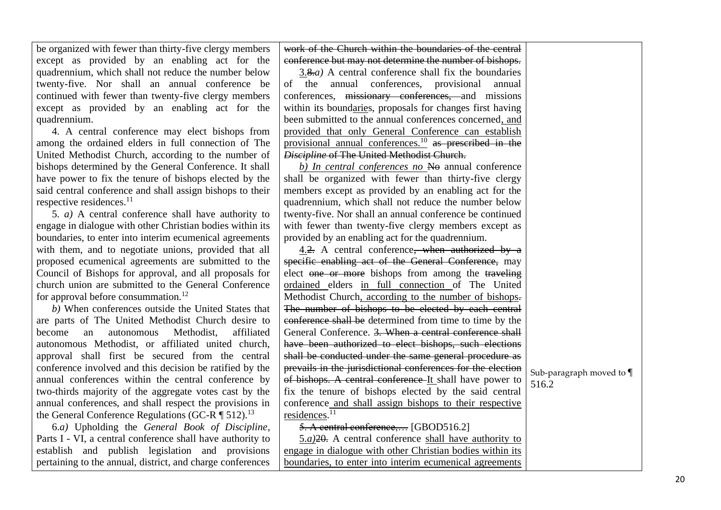be organized with fewer than thirty-five clergy members except as provided by an enabling act for the quadrennium, which shall not reduce the number below twenty-five. Nor shall an annual conference be continued with fewer than twenty-five clergy members except as provided by an enabling act for the quadrennium.

4. A central conference may elect bishops from among the ordained elders in full connection of The United Methodist Church, according to the number of bishops determined by the General Conference. It shall have power to fix the tenure of bishops elected by the said central conference and shall assign bishops to their respective residences. 11

5. *a)* A central conference shall have authority to engage in dialogue with other Christian bodies within its boundaries, to enter into interim ecumenical agreements with them, and to negotiate unions, provided that all proposed ecumenical agreements are submitted to the Council of Bishops for approval, and all proposals for church union are submitted to the General Conference for approval before consummation.<sup>12</sup>

*b)* When conferences outside the United States that are parts of The United Methodist Church desire to become an autonomous Methodist, affiliated autonomous Methodist, or affiliated united church, approval shall first be secured from the central conference involved and this decision be ratified by the annual conferences within the central conference by two-thirds majority of the aggregate votes cast by the annual conferences, and shall respect the provisions in the General Conference Regulations (GC-R  $\P$  512).<sup>13</sup>

6.*a)* Upholding the *General Book of Discipline*, Parts I - VI, a central conference shall have authority to establish and publish legislation and provisions pertaining to the annual, district, and charge conferences

work of the Church within the boundaries of the central conference but may not determine the number of bishops.

3.8.*a)* A central conference shall fix the boundaries of the annual conferences, provisional annual conferences, missionary conferences, and missions within its boundaries, proposals for changes first having been submitted to the annual conferences concerned, and provided that only General Conference can establish provisional annual conferences.<sup>10</sup> as prescribed in the *Discipline* of The United Methodist Church.

b) In central conferences no No annual conference shall be organized with fewer than thirty-five clergy members except as provided by an enabling act for the quadrennium, which shall not reduce the number below twenty-five. Nor shall an annual conference be continued with fewer than twenty-five clergy members except as provided by an enabling act for the quadrennium.

4.2. A central conference, when authorized by a specific enabling act of the General Conference, may elect one or more bishops from among the traveling ordained elders in full connection of The United Methodist Church, according to the number of bishops. The number of bishops to be elected by each central conference shall be determined from time to time by the General Conference. 3. When a central conference shall have been authorized to elect bishops, such elections shall be conducted under the same general procedure as prevails in the jurisdictional conferences for the election of bishops. A central conference It shall have power to fix the tenure of bishops elected by the said central conference and shall assign bishops to their respective residences.<sup>11</sup>

5. A central conference,… [GBOD516.2]

5.*a)*20. A central conference shall have authority to engage in dialogue with other Christian bodies within its boundaries, to enter into interim ecumenical agreements

Sub-paragraph moved to ¶ 516.2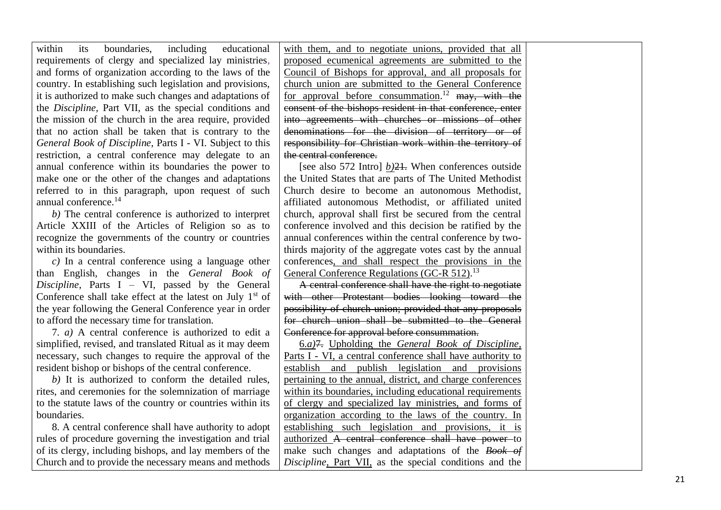within its boundaries, including educational requirements of clergy and specialized lay ministries, and forms of organization according to the laws of the country. In establishing such legislation and provisions, it is authorized to make such changes and adaptations of the *Discipline,* Part VII, as the special conditions and the mission of the church in the area require, provided that no action shall be taken that is contrary to the General Book of Discipline, Parts I - VI. Subject to this restriction, a central conference may delegate to an annual conference within its boundaries the power to make one or the other of the changes and adaptations referred to in this paragraph, upon request of such annual conference.<sup>14</sup>

*b)* The central conference is authorized to interpret Article XXIII of the Articles of Religion so as to recognize the governments of the country or countries within its boundaries.

*c)* In a central conference using a language other than English, changes in the *General Book of Discipline*, Parts I – VI, passed by the General Conference shall take effect at the latest on July  $1<sup>st</sup>$  of the year following the General Conference year in order to afford the necessary time for translation.

7. *a)* A central conference is authorized to edit a simplified, revised, and translated Ritual as it may deem necessary, such changes to require the approval of the resident bishop or bishops of the central conference.

*b*) It is authorized to conform the detailed rules, rites, and ceremonies for the solemnization of marriage to the statute laws of the country or countries within its boundaries.

8. A central conference shall have authority to adopt rules of procedure governing the investigation and trial of its clergy, including bishops, and lay members of the Church and to provide the necessary means and methods with them, and to negotiate unions, provided that all proposed ecumenical agreements are submitted to the Council of Bishops for approval, and all proposals for church union are submitted to the General Conference for approval before consummation.<sup>12</sup> may, with the consent of the bishops resident in that conference, enter into agreements with churches or missions of other denominations for the division of territory or of responsibility for Christian work within the territory of the central conference.

[see also 572 Intro] *b)*21. When conferences outside the United States that are parts of The United Methodist Church desire to become an autonomous Methodist, affiliated autonomous Methodist, or affiliated united church, approval shall first be secured from the central conference involved and this decision be ratified by the annual conferences within the central conference by two thirds majority of the aggregate votes cast by the annual conferences, and shall respect the provisions in the General Conference Regulations (GC-R 512).<sup>13</sup>

A central conference shall have the right to negotiate with other Protestant bodies looking toward the possibility of church union; provided that any proposals for church union shall be submitted to the General Conference for approval before consummation.

6.*a)*7. Upholding the *General Book of Discipline,* Parts I - VI, a central conference shall have authority to establish and publish legislation and provisions pertaining to the annual, district, and charge conferences within its boundaries, including educational requirements of clergy and specialized lay ministries, and forms of organization according to the laws of the country. In establishing such legislation and provisions, it is authorized A central conference shall have power to make such changes and adaptations of the *Book of Discipline*, Part VII, as the special conditions and the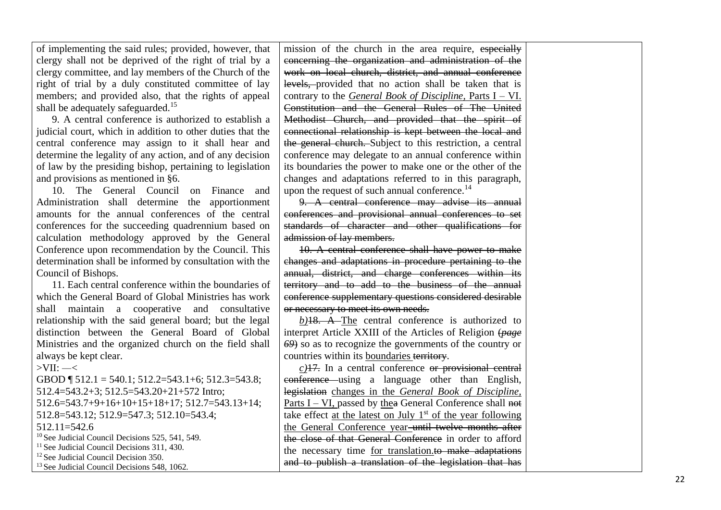of implementing the said rules; provided*,* however, that clergy shall not be deprived of the right of trial by a clergy committee, and lay members of the Church of the right of trial by a duly constituted committee of lay members; and provided also, that the rights of appeal shall be adequately safeguarded.<sup>15</sup>

9. A central conference is authorized to establish a judicial court, which in addition to other duties that the central conference may assign to it shall hear and determine the legality of any action, and of any decision of law by the presiding bishop, pertaining to legislation and provisions as mentioned in §6.

10. The General Council on Finance and Administration shall determine the apportionment amounts for the annual conferences of the central conferences for the succeeding quadrennium based on calculation methodology approved by the General Conference upon recommendation by the Council. This determination shall be informed by consultation with the Council of Bishops.

11. Each central conference within the boundaries of which the General Board of Global Ministries has work shall maintain a cooperative and consultative relationship with the said general board; but the legal distinction between the General Board of Global Ministries and the organized church on the field shall always be kept clear.

>VII: *—<*

GBOD | 512.1 = 540.1; 512.2=543.1+6; 512.3=543.8; 512.4=543.2+3; 512.5=543.20+21+572 Intro; 512.6=543.7+9+16+10+15+18+17; 512.7=543.13+14; 512.8=543.12; 512.9=547.3; 512.10=543.4;  $512.11=542.6$ <sup>10</sup>See Judicial Council Decisions 525, 541, 549. <sup>11</sup> See Judicial Council Decisions 311, 430. <sup>12</sup>See Judicial Council Decision 350. <sup>13</sup> See Judicial Council Decisions 548, 1062.

mission of the church in the area require, especially concerning the organization and administration of the work on local church, district, and annual conference levels, provided that no action shall be taken that is contrary to the *General Book of Discipline*, Parts I – VI. Constitution and the General Rules of The United Methodist Church, and provided that the spirit of connectional relationship is kept between the local and the general church. Subject to this restriction, a central conference may delegate to an annual conference within its boundaries the power to make one or the other of the changes and adaptations referred to in this paragraph, upon the request of such annual conference. $^{14}$ 

9. A central conference may advise its annual conferences and provisional annual conferences to set standards of character and other qualifications for admission of lay members.

10. A central conference shall have power to make changes and adaptations in procedure pertaining to the annual, district, and charge conferences within its territory and to add to the business of the annual conference supplementary questions considered desirable or necessary to meet its own needs.

*b)*18. A The central conference is authorized to interpret Article XXIII of the Articles of Religion (*page 69* ) so as to recognize the governments of the country or countries within its **boundaries** territory.

*c)*17. In a central conference or provisional central conference using a language other than English, legislation changes in the *General Book of Discipline,* Parts I – VI, passed by the a General Conference shall not take effect at the latest on July  $1<sup>st</sup>$  of the year following the General Conference year-until twelve months after the close of that General Conference in order to afford the necessary time for translation.to make adaptations and to publish a translation of the legislation that has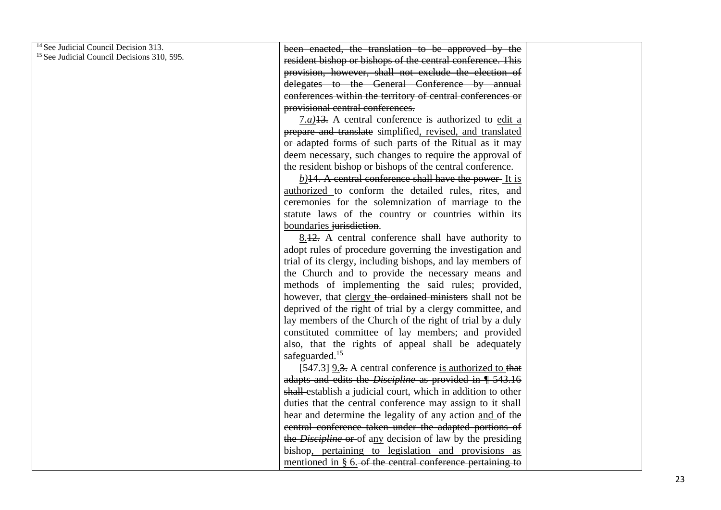<sup>14</sup> See Judicial Council Decision 313. <sup>15</sup>See Judicial Council Decisions 310, 595. been enacted, the translation to be approved by the resident bishop or bishops of the central conference. This provision, however, shall not exclude the election of delegates to the General Conference by annual conferences within the territory of central conferences or provisional central conferences.

7.*a)*13. A central conference is authorized to edit a prepare and translate simplified, revised, and translated or adapted forms of such parts of the Ritual as it may deem necessary, such changes to require the approval of the resident bishop or bishops of the central conference.

*b*)<sup>14.</sup> A central conference shall have the power- It is authorized to conform the detailed rules, rites, and ceremonies for the solemnization of marriage to the statute laws of the country or countries within its boundaries jurisdiction .

8.12. A central conference shall have authority to adopt rules of procedure governing the investigation and trial of its clergy, including bishops, and lay members of the Church and to provide the necessary means and methods of implementing the said rules; provided *,* however, that clergy the ordained ministers shall not be deprived of the right of trial by a clergy committee, and lay members of the Church of the right of trial by a duly constituted committee of lay members; and provided also, that the rights of appeal shall be adequately safeguarded.<sup>15</sup>

[547.3] 9.3. A central conference is authorized to that adapts and edits the *Discipline* as provided in ¶ 543.16 shall establish a judicial court, which in addition to other duties that the central conference may assign to it shall hear and determine the legality of any action and of the central conference taken under the adapted portions of the *Discipline* or of any decision of law by the presiding bishop, pertaining to legislation and provisions as mentioned in § 6. of the central conference pertaining to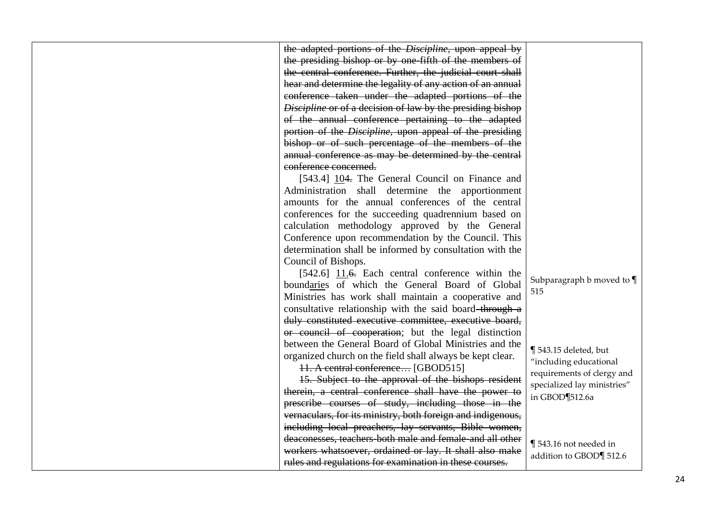| the adapted portions of the Discipline, upon appeal by      |                              |
|-------------------------------------------------------------|------------------------------|
| the presiding bishop or by one fifth of the members of      |                              |
| the central conference. Further, the judicial court shall   |                              |
| hear and determine the legality of any action of an annual  |                              |
| conference taken under the adapted portions of the          |                              |
| Discipline or of a decision of law by the presiding bishop  |                              |
| of the annual conference pertaining to the adapted          |                              |
| portion of the Discipline, upon appeal of the presiding     |                              |
| bishop or of such percentage of the members of the          |                              |
| annual conference as may be determined by the central       |                              |
| conference concerned.                                       |                              |
| [543.4] 104. The General Council on Finance and             |                              |
| Administration shall<br>determine<br>the<br>apportionment   |                              |
| amounts for the annual conferences of the central           |                              |
| conferences for the succeeding quadrennium based on         |                              |
| calculation methodology approved by the General             |                              |
| Conference upon recommendation by the Council. This         |                              |
| determination shall be informed by consultation with the    |                              |
| Council of Bishops.                                         |                              |
| [542.6] $11.6$ . Each central conference within the         | Subparagraph b moved to $\P$ |
| boundaries of which the General Board of Global             | 515                          |
| Ministries has work shall maintain a cooperative and        |                              |
| consultative relationship with the said board-through a     |                              |
| duly constituted executive committee, executive board,      |                              |
| or council of cooperation; but the legal distinction        |                              |
| between the General Board of Global Ministries and the      | 1543.15 deleted, but         |
| organized church on the field shall always be kept clear.   | "including educational       |
| 11. A central conference [GBOD515]                          | requirements of clergy and   |
| 15. Subject to the approval of the bishops resident         | specialized lay ministries"  |
| therein, a central conference shall have the power to       | in GBOD¶512.6a               |
| prescribe courses of study, including those in the          |                              |
| vernaculars, for its ministry, both foreign and indigenous, |                              |
| including local preachers, lay servants, Bible women,       |                              |
| deaconesses, teachers-both male and female-and all other    | 1543.16 not needed in        |
| workers whatsoever, ordained or lay. It shall also make     | addition to GBOD¶ 512.6      |
| rules and regulations for examination in these courses.     |                              |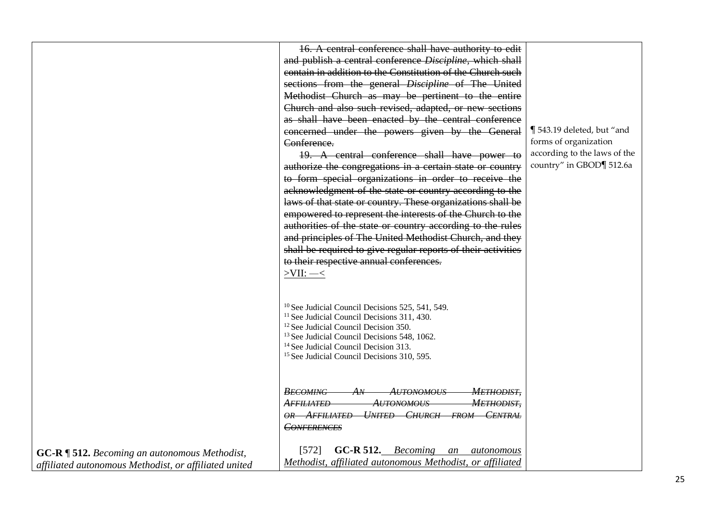|                                                         | 16. A central conference shall have authority to edit<br>and publish a central conference Discipline, which shall |                              |
|---------------------------------------------------------|-------------------------------------------------------------------------------------------------------------------|------------------------------|
|                                                         | contain in addition to the Constitution of the Church such                                                        |                              |
|                                                         | sections from the general Discipline of The United                                                                |                              |
|                                                         | Methodist Church as may be pertinent to the entire                                                                |                              |
|                                                         | Church and also such revised, adapted, or new sections                                                            |                              |
|                                                         | as shall have been enacted by the central conference                                                              |                              |
|                                                         | concerned under the powers given by the General                                                                   | 1543.19 deleted, but "and    |
|                                                         | Conference.                                                                                                       | forms of organization        |
|                                                         | 19. A central conference shall have power to                                                                      | according to the laws of the |
|                                                         | authorize the congregations in a certain state or country                                                         | country" in GBOD¶ 512.6a     |
|                                                         | to form special organizations in order to receive the                                                             |                              |
|                                                         | acknowledgment of the state or country according to the                                                           |                              |
|                                                         | laws of that state or country. These organizations shall be                                                       |                              |
|                                                         | empowered to represent the interests of the Church to the                                                         |                              |
|                                                         | authorities of the state or country according to the rules                                                        |                              |
|                                                         | and principles of The United Methodist Church, and they                                                           |                              |
|                                                         | shall be required to give regular reports of their activities                                                     |                              |
|                                                         | to their respective annual conferences.                                                                           |                              |
|                                                         | $>$ VII: $-$                                                                                                      |                              |
|                                                         |                                                                                                                   |                              |
|                                                         |                                                                                                                   |                              |
|                                                         | <sup>10</sup> See Judicial Council Decisions 525, 541, 549.                                                       |                              |
|                                                         | <sup>11</sup> See Judicial Council Decisions 311, 430.                                                            |                              |
|                                                         | <sup>12</sup> See Judicial Council Decision 350.<br><sup>13</sup> See Judicial Council Decisions 548, 1062.       |                              |
|                                                         | <sup>14</sup> See Judicial Council Decision 313.                                                                  |                              |
|                                                         | <sup>15</sup> See Judicial Council Decisions 310, 595.                                                            |                              |
|                                                         |                                                                                                                   |                              |
|                                                         |                                                                                                                   |                              |
|                                                         | Autonomous<br>Methodist.<br><b>BECOMING</b><br>$\boldsymbol{A}\boldsymbol{N}$                                     |                              |
|                                                         | <b>AUTONOMOUS</b><br><b>METHODIST,</b><br>Affiliated                                                              |                              |
|                                                         | <b>UNITED CHURCH</b><br><i><b>AFFILIATED</b></i><br>Central<br><del>- FROM</del>                                  |                              |
|                                                         | <b>CONFERENCES</b>                                                                                                |                              |
|                                                         |                                                                                                                   |                              |
| $GC-R \searrow 512$ . Becoming an autonomous Methodist, | $GC-R$ 512. <i>Becoming</i><br>[572]<br>an<br>autonomous                                                          |                              |
| affiliated autonomous Methodist, or affiliated united   | Methodist, affiliated autonomous Methodist, or affiliated                                                         |                              |

┯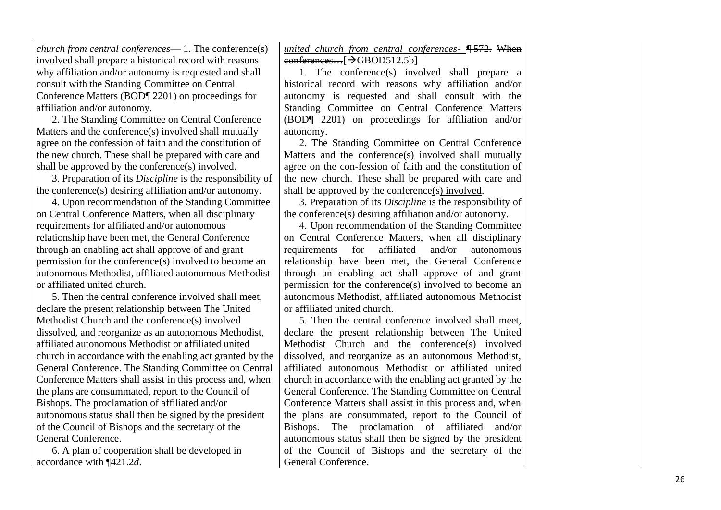*church from central conferences* — 1. The conference(s) involved shall prepare a historical record with reasons why affiliation and/or autonomy is requested and shall consult with the Standing Committee on Central Conference Matters (BOD¶ 2201) on proceedings for affiliation and/or autonomy.

2. The Standing Committee on Central Conference Matters and the conference(s) involved shall mutually agree on the confession of faith and the constitution of the new church. These shall be prepared with care and shall be approved by the conference(s) involved.

3. Preparation of its *Discipline* is the responsibility of the conference(s) desiring affiliation and/or autonomy.

4. Upon recommendation of the Standing Committee on Central Conference Matters, when all disciplinary requirements for affiliated and/or autonomous relationship have been met, the General Conference through an enabling act shall approve of and grant permission for the conference(s) involved to become an autonomous Methodist, affiliated autonomous Methodist or affiliated united church.

5. Then the central conference involved shall meet, declare the present relationship between The United Methodist Church and the conference(s) involved dissolved, and reorganize as an autonomous Methodist, affiliated autonomous Methodist or affiliated united church in accordance with the enabling act granted by the General Conference. The Standing Committee on Central Conference Matters shall assist in this process and, when the plans are consummated, report to the Council of Bishops. The proclamation of affiliated and/or autonomous status shall then be signed by the president of the Council of Bishops and the secretary of the General Conference.

6. A plan of cooperation shall be developed in accordance with ¶421.2 *d* .

<u>united church from central conferences- 1572.</u> When conferences… [ →GBOD512.5b]

1. The conference(s) involved shall prepare a historical record with reasons why affiliation and/or autonomy is requested and shall consult with the Standing Committee on Central Conference Matters (BOD¶ 2201) on proceedings for affiliation and/or autonomy.

2. The Standing Committee on Central Conference Matters and the conference(s) involved shall mutually agree on the con -fession of faith and the constitution of the new church. These shall be prepared with care and shall be approved by the conference(s) involved.

3. Preparation of its *Discipline* is the responsibility of the conference(s) desiring affiliation and/or autonomy.

4. Upon recommendation of the Standing Committee on Central Conference Matters, when all disciplinary requirements for affiliated and/or autonomous relationship have been met, the General Conference through an enabling act shall approve of and grant permission for the conference(s) involved to become an autonomous Methodist, affiliated autonomous Methodist or affiliated united church.

5. Then the central conference involved shall meet, declare the present relationship between The United Methodist Church and the conference(s) involved dissolved, and reorganize as an autonomous Methodist, affiliated autonomous Methodist or affiliated united church in accordance with the enabling act granted by the General Conference. The Standing Committee on Central Conference Matters shall assist in this process and, when the plans are consummated, report to the Council of Bishops. The proclamation of affiliated and/or autonomous status shall then be signed by the president of the Council of Bishops and the secretary of the General Conference.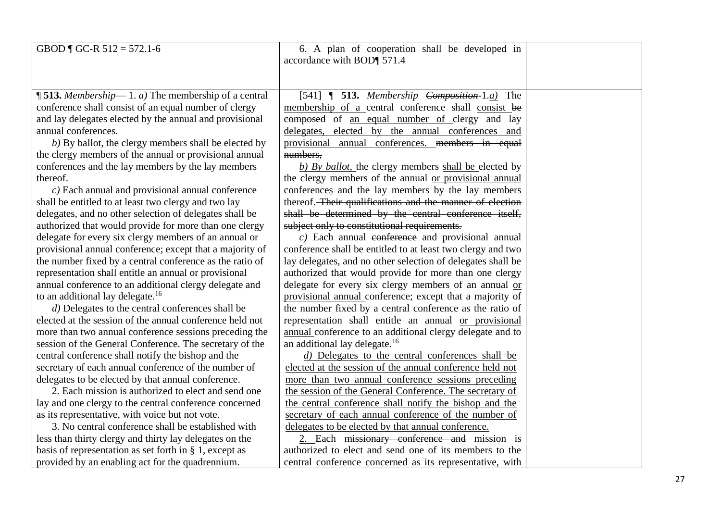| GBOD $\P$ GC-R 512 = 572.1-6                              | 6. A plan of cooperation shall be developed in                          |  |
|-----------------------------------------------------------|-------------------------------------------------------------------------|--|
|                                                           | accordance with BOD¶ 571.4                                              |  |
|                                                           |                                                                         |  |
|                                                           |                                                                         |  |
| <b>1513.</b> Membership—1. a) The membership of a central | [541] $\parallel$ 513. Membership Composition-1.a) The                  |  |
| conference shall consist of an equal number of clergy     | membership of a central conference shall consist be                     |  |
| and lay delegates elected by the annual and provisional   | composed of an equal number of clergy and lay                           |  |
| annual conferences.                                       | delegates, elected by the annual conferences and                        |  |
| b) By ballot, the clergy members shall be elected by      | provisional annual conferences. members in equal                        |  |
| the clergy members of the annual or provisional annual    | numbers,                                                                |  |
| conferences and the lay members by the lay members        | $\frac{b}{b}$ <i>By ballot</i> , the clergy members shall be elected by |  |
| thereof.                                                  | the clergy members of the annual or provisional annual                  |  |
| $c$ ) Each annual and provisional annual conference       | conferences and the lay members by the lay members                      |  |
| shall be entitled to at least two clergy and two lay      | thereof. Their qualifications and the manner of election                |  |
| delegates, and no other selection of delegates shall be   | shall be determined by the central conference itself,                   |  |
| authorized that would provide for more than one clergy    | subject only to constitutional requirements.                            |  |
| delegate for every six clergy members of an annual or     | $c)$ Each annual conference and provisional annual                      |  |
| provisional annual conference; except that a majority of  | conference shall be entitled to at least two clergy and two             |  |
| the number fixed by a central conference as the ratio of  | lay delegates, and no other selection of delegates shall be             |  |
| representation shall entitle an annual or provisional     | authorized that would provide for more than one clergy                  |  |
| annual conference to an additional clergy delegate and    | delegate for every six clergy members of an annual or                   |  |
| to an additional lay delegate. <sup>16</sup>              | provisional annual conference; except that a majority of                |  |
| d) Delegates to the central conferences shall be          | the number fixed by a central conference as the ratio of                |  |
| elected at the session of the annual conference held not  | representation shall entitle an annual or provisional                   |  |
| more than two annual conference sessions preceding the    | annual conference to an additional clergy delegate and to               |  |
| session of the General Conference. The secretary of the   | an additional lay delegate. <sup>16</sup>                               |  |
| central conference shall notify the bishop and the        | d) Delegates to the central conferences shall be                        |  |
| secretary of each annual conference of the number of      | elected at the session of the annual conference held not                |  |
| delegates to be elected by that annual conference.        | more than two annual conference sessions preceding                      |  |
| 2. Each mission is authorized to elect and send one       | the session of the General Conference. The secretary of                 |  |
| lay and one clergy to the central conference concerned    | the central conference shall notify the bishop and the                  |  |
| as its representative, with voice but not vote.           | secretary of each annual conference of the number of                    |  |
| 3. No central conference shall be established with        | delegates to be elected by that annual conference.                      |  |
| less than thirty clergy and thirty lay delegates on the   | 2. Each missionary conference and mission is                            |  |
| basis of representation as set forth in $\S$ 1, except as | authorized to elect and send one of its members to the                  |  |
| provided by an enabling act for the quadrennium.          | central conference concerned as its representative, with                |  |
|                                                           |                                                                         |  |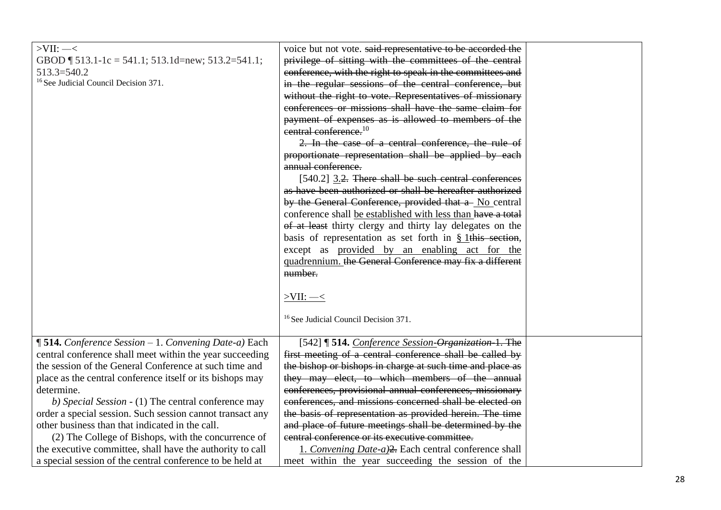| $>$ VII: $-$ <                                            | voice but not vote. said representative to be accorded the             |  |
|-----------------------------------------------------------|------------------------------------------------------------------------|--|
| GBOD $\sqrt{513.1}$ -1c = 541.1; 513.1d=new; 513.2=541.1; | privilege of sitting with the committees of the central                |  |
| $513.3 = 540.2$                                           | conference, with the right to speak in the committees and              |  |
| <sup>16</sup> See Judicial Council Decision 371.          | in the regular sessions of the central conference, but                 |  |
|                                                           | without the right to vote. Representatives of missionary               |  |
|                                                           | conferences or missions shall have the same claim for                  |  |
|                                                           | payment of expenses as is allowed to members of the                    |  |
|                                                           | central conference. <sup>10</sup>                                      |  |
|                                                           | 2. In the case of a central conference, the rule of                    |  |
|                                                           | proportionate representation shall be applied by each                  |  |
|                                                           | annual conference.                                                     |  |
|                                                           | [540.2] 3.2. There shall be such central conferences                   |  |
|                                                           | as have been authorized or shall be hereafter authorized               |  |
|                                                           | by the General Conference, provided that a- No central                 |  |
|                                                           | conference shall be established with less than have a total            |  |
|                                                           | of at least thirty clergy and thirty lay delegates on the              |  |
|                                                           | basis of representation as set forth in $§$ 1 <sup>this</sup> section, |  |
|                                                           | except as provided by an enabling act for the                          |  |
|                                                           | quadrennium. the General Conference may fix a different                |  |
|                                                           | number.                                                                |  |
|                                                           |                                                                        |  |
|                                                           | $>$ VII: $-$                                                           |  |
|                                                           |                                                                        |  |
|                                                           | <sup>16</sup> See Judicial Council Decision 371.                       |  |
|                                                           |                                                                        |  |
| ¶ 514. Conference Session - 1. Convening Date-a) Each     | [542] <b>[514.</b> Conference Session-Organization-1. The              |  |
| central conference shall meet within the year succeeding  | first meeting of a central conference shall be called by               |  |
| the session of the General Conference at such time and    | the bishop or bishops in charge at such time and place as              |  |
| place as the central conference itself or its bishops may | they may elect, to which members of the annual                         |  |
| determine.                                                | conferences, provisional annual conferences, missionary                |  |
| b) Special Session - (1) The central conference may       | conferences, and missions concerned shall be elected on                |  |
| order a special session. Such session cannot transact any | the basis of representation as provided herein. The time               |  |
| other business than that indicated in the call.           | and place of future meetings shall be determined by the                |  |
| (2) The College of Bishops, with the concurrence of       | central conference or its executive committee.                         |  |
| the executive committee, shall have the authority to call | 1. Convening Date-a)2. Each central conference shall                   |  |
| a special session of the central conference to be held at | meet within the year succeeding the session of the                     |  |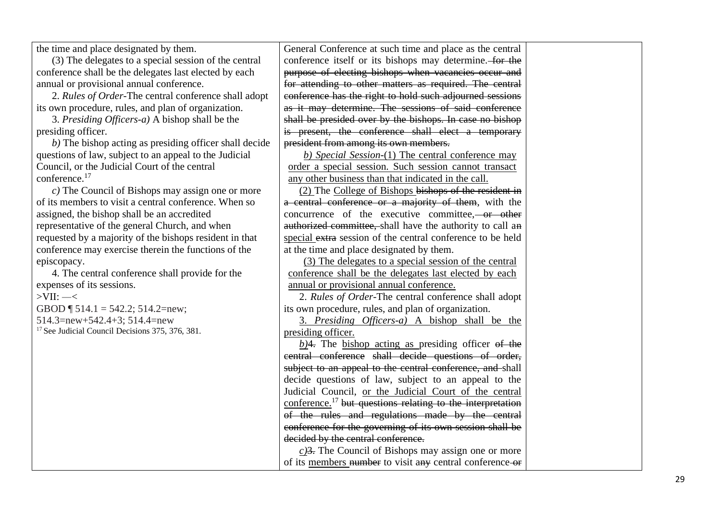the time and place designated by them.

(3) The delegates to a special session of the central conference shall be the delegates last elected by each annual or provisional annual conference.

2. *Rules of Order*-The central conference shall adopt its own procedure, rules, and plan of organization.

3. *Presiding Officers -a)* A bishop shall be the presiding officer.

*b)* The bishop acting as presiding officer shall decide questions of law, subject to an appeal to the Judicial Council, or the Judicial Court of the central conference.<sup>17</sup>

*c)* The Council of Bishops may assign one or more of its members to visit a central conference. When so assigned, the bishop shall be an accredited representative of the general Church, and when requested by a majority of the bishops resident in that conference may exercise therein the functions of the episcopacy.

4. The central conference shall provide for the expenses of its sessions.  $>$ VII: $-\lt$ 

GBOD  $\sqrt{514.1} = 542.2$ ; 514.2=new;

514.3=new+542.4+3; 514.4=new

<sup>17</sup> See Judicial Council Decisions 375, 376, 381.

General Conference at such time and place as the central conference itself or its bishops may determine. for the purpose of electing bishops when vacancies occur and for attending to other matters as required. The central conference has the right to hold such adjourned sessions as it may determine. The sessions of said conference shall be presided over by the bishops. In case no bishop is present, the conference shall elect a temporary president from among its own members.

*b) Special Session -*(1) The central conference may order a special session. Such session cannot transact any other business than that indicated in the call.

(2) The College of Bishops bishops of the resident in a central conference or a majority of them, with the concurrence of the executive committee, or other authorized committee, shall have the authority to call an special extra session of the central conference to be held at the time and place designated by them.

(3) The delegates to a special session of the central conference shall be the delegates last elected by each annual or provisional annual conference.

2. *Rules of Order* -The central conference shall adopt its own procedure, rules, and plan of organization.

3. *Presiding Officers -a)* A bishop shall be the presiding officer.

b)4. The bishop acting as presiding officer of the central conference shall decide questions of order, subject to an appeal to the central conference, and shall decide questions of law, subject to an appeal to the Judicial Council, or the Judicial Court of the central conference.<sup>17</sup> but questions relating to the interpretation of the rules and regulations made by the central conference for the governing of its own session shall be decided by the central conference.

*c)*3. The Council of Bishops may assign one or more of its members number to visit any central conference or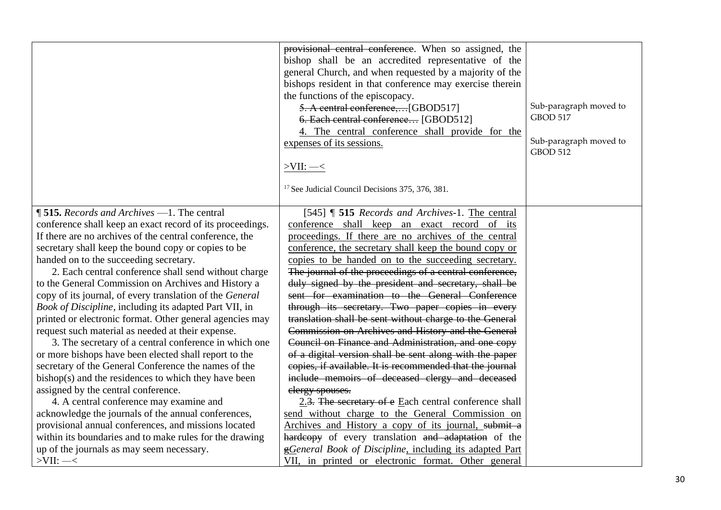|                                                                                                                                                                                                                                                                            | provisional central conference. When so assigned, the<br>bishop shall be an accredited representative of the<br>general Church, and when requested by a majority of the<br>bishops resident in that conference may exercise therein<br>the functions of the episcopacy.<br>5. A central conference,[GBOD517]<br>6. Each central conference [GBOD512] | Sub-paragraph moved to<br>GBOD 517        |
|----------------------------------------------------------------------------------------------------------------------------------------------------------------------------------------------------------------------------------------------------------------------------|------------------------------------------------------------------------------------------------------------------------------------------------------------------------------------------------------------------------------------------------------------------------------------------------------------------------------------------------------|-------------------------------------------|
|                                                                                                                                                                                                                                                                            | 4. The central conference shall provide for the<br>expenses of its sessions.<br>$>$ VII: $-$                                                                                                                                                                                                                                                         | Sub-paragraph moved to<br><b>GBOD 512</b> |
|                                                                                                                                                                                                                                                                            | <sup>17</sup> See Judicial Council Decisions 375, 376, 381.                                                                                                                                                                                                                                                                                          |                                           |
| <b>1515.</b> Records and Archives -1. The central<br>conference shall keep an exact record of its proceedings.<br>If there are no archives of the central conference, the<br>secretary shall keep the bound copy or copies to be<br>handed on to the succeeding secretary. | [545] <b>[515</b> Records and Archives-1. The central<br>conference shall keep an exact record of its<br>proceedings. If there are no archives of the central<br>conference, the secretary shall keep the bound copy or<br>copies to be handed on to the succeeding secretary.                                                                       |                                           |
| 2. Each central conference shall send without charge<br>to the General Commission on Archives and History a<br>copy of its journal, of every translation of the General<br>Book of Discipline, including its adapted Part VII, in                                          | The journal of the proceedings of a central conference,<br>duly signed by the president and secretary, shall be<br>sent for examination to the General Conference<br>through its secretary. Two paper copies in every                                                                                                                                |                                           |
| printed or electronic format. Other general agencies may<br>request such material as needed at their expense.<br>3. The secretary of a central conference in which one<br>or more bishops have been elected shall report to the                                            | translation shall be sent without charge to the General<br>Commission on Archives and History and the General<br>Council on Finance and Administration, and one copy<br>of a digital version shall be sent along with the paper                                                                                                                      |                                           |
| secretary of the General Conference the names of the<br>bishop(s) and the residences to which they have been<br>assigned by the central conference.<br>4. A central conference may examine and                                                                             | copies, if available. It is recommended that the journal<br>include memoirs of deceased clergy and deceased<br>elergy spouses.                                                                                                                                                                                                                       |                                           |
| acknowledge the journals of the annual conferences,<br>provisional annual conferences, and missions located<br>within its boundaries and to make rules for the drawing<br>up of the journals as may seem necessary.                                                        | 2.3. The secretary of e Each central conference shall<br>send without charge to the General Commission on<br>Archives and History a copy of its journal, submit a<br>hardcopy of every translation and adaptation of the<br><b>gGeneral Book of Discipline</b> , including its adapted Part                                                          |                                           |
| $>VII:-<$                                                                                                                                                                                                                                                                  | VII, in printed or electronic format. Other general                                                                                                                                                                                                                                                                                                  |                                           |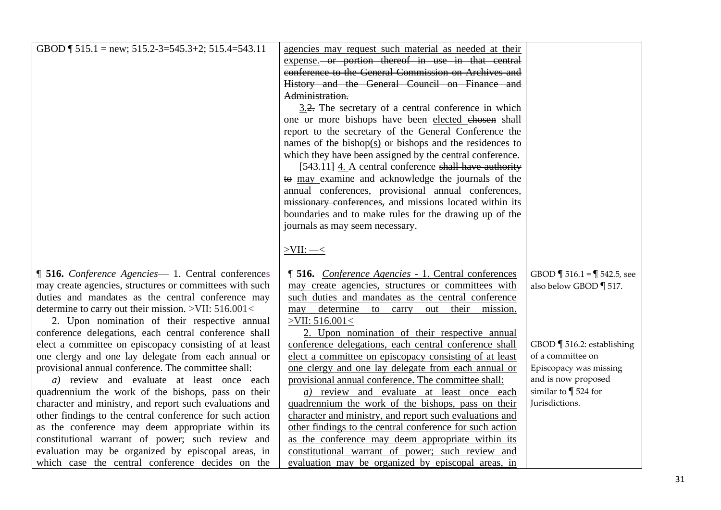| GBOD $\sqrt{515.1}$ = new; 515.2-3=545.3+2; 515.4=543.11                                               | agencies may request such material as needed at their<br>expense. or portion thereof in use in that central<br>conference to the General Commission on Archives and<br>History and the General Council on Finance and<br>Administration.<br>$3.2$ . The secretary of a central conference in which<br>one or more bishops have been elected ehosen shall<br>report to the secretary of the General Conference the<br>names of the bishop( $s$ ) or bishops and the residences to<br>which they have been assigned by the central conference.<br>[543.11] $4.$ A central conference shall have authority<br>to may examine and acknowledge the journals of the<br>annual conferences, provisional annual conferences,<br>missionary conferences, and missions located within its<br>boundaries and to make rules for the drawing up of the<br>journals as may seem necessary.<br>$>$ VII: $-\le$ |                                   |
|--------------------------------------------------------------------------------------------------------|-------------------------------------------------------------------------------------------------------------------------------------------------------------------------------------------------------------------------------------------------------------------------------------------------------------------------------------------------------------------------------------------------------------------------------------------------------------------------------------------------------------------------------------------------------------------------------------------------------------------------------------------------------------------------------------------------------------------------------------------------------------------------------------------------------------------------------------------------------------------------------------------------|-----------------------------------|
| <b>1516.</b> Conference Agencies-1. Central conferences                                                | <b>1516.</b> Conference Agencies - 1. Central conferences                                                                                                                                                                                                                                                                                                                                                                                                                                                                                                                                                                                                                                                                                                                                                                                                                                       | GBOD $\P$ 516.1 = $\P$ 542.5, see |
| may create agencies, structures or committees with such                                                | may create agencies, structures or committees with                                                                                                                                                                                                                                                                                                                                                                                                                                                                                                                                                                                                                                                                                                                                                                                                                                              | also below GBOD   517.            |
| duties and mandates as the central conference may                                                      | such duties and mandates as the central conference                                                                                                                                                                                                                                                                                                                                                                                                                                                                                                                                                                                                                                                                                                                                                                                                                                              |                                   |
| determine to carry out their mission. >VII: 516.001<                                                   | determine to carry out their mission.<br>may                                                                                                                                                                                                                                                                                                                                                                                                                                                                                                                                                                                                                                                                                                                                                                                                                                                    |                                   |
| 2. Upon nomination of their respective annual                                                          | $>$ VII: 516.001<                                                                                                                                                                                                                                                                                                                                                                                                                                                                                                                                                                                                                                                                                                                                                                                                                                                                               |                                   |
| conference delegations, each central conference shall                                                  | 2. Upon nomination of their respective annual                                                                                                                                                                                                                                                                                                                                                                                                                                                                                                                                                                                                                                                                                                                                                                                                                                                   |                                   |
| elect a committee on episcopacy consisting of at least                                                 | conference delegations, each central conference shall                                                                                                                                                                                                                                                                                                                                                                                                                                                                                                                                                                                                                                                                                                                                                                                                                                           | GBOD $\P$ 516.2: establishing     |
| one clergy and one lay delegate from each annual or                                                    | elect a committee on episcopacy consisting of at least                                                                                                                                                                                                                                                                                                                                                                                                                                                                                                                                                                                                                                                                                                                                                                                                                                          | of a committee on                 |
| provisional annual conference. The committee shall:                                                    | one clergy and one lay delegate from each annual or                                                                                                                                                                                                                                                                                                                                                                                                                                                                                                                                                                                                                                                                                                                                                                                                                                             | Episcopacy was missing            |
| a) review and evaluate at least once each                                                              | provisional annual conference. The committee shall:                                                                                                                                                                                                                                                                                                                                                                                                                                                                                                                                                                                                                                                                                                                                                                                                                                             | and is now proposed               |
| quadrennium the work of the bishops, pass on their                                                     | a) review and evaluate at least once each                                                                                                                                                                                                                                                                                                                                                                                                                                                                                                                                                                                                                                                                                                                                                                                                                                                       | similar to $\P$ 524 for           |
| character and ministry, and report such evaluations and                                                | quadrennium the work of the bishops, pass on their                                                                                                                                                                                                                                                                                                                                                                                                                                                                                                                                                                                                                                                                                                                                                                                                                                              | Jurisdictions.                    |
| other findings to the central conference for such action                                               | character and ministry, and report such evaluations and                                                                                                                                                                                                                                                                                                                                                                                                                                                                                                                                                                                                                                                                                                                                                                                                                                         |                                   |
| as the conference may deem appropriate within its                                                      | other findings to the central conference for such action                                                                                                                                                                                                                                                                                                                                                                                                                                                                                                                                                                                                                                                                                                                                                                                                                                        |                                   |
| constitutional warrant of power; such review and<br>evaluation may be organized by episcopal areas, in | as the conference may deem appropriate within its                                                                                                                                                                                                                                                                                                                                                                                                                                                                                                                                                                                                                                                                                                                                                                                                                                               |                                   |
|                                                                                                        | constitutional warrant of power; such review and                                                                                                                                                                                                                                                                                                                                                                                                                                                                                                                                                                                                                                                                                                                                                                                                                                                |                                   |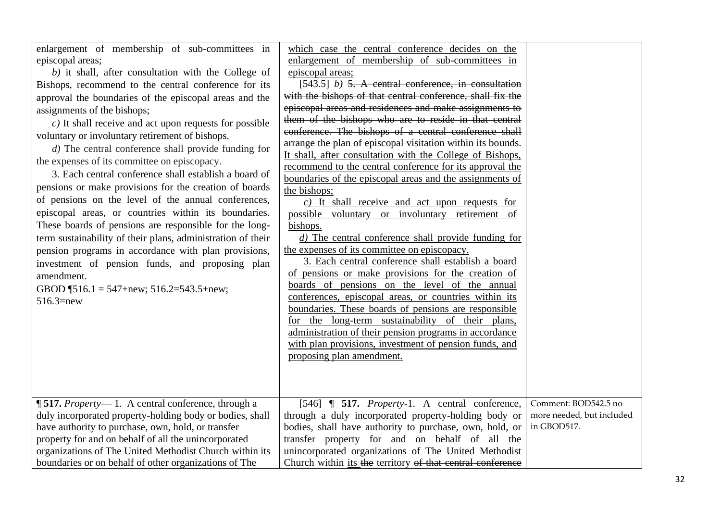| enlargement of membership of sub-committees in<br>episcopal areas;<br>$b)$ it shall, after consultation with the College of<br>Bishops, recommend to the central conference for its<br>approval the boundaries of the episcopal areas and the<br>assignments of the bishops;<br>$c$ ) It shall receive and act upon requests for possible<br>voluntary or involuntary retirement of bishops.<br>$d$ ) The central conference shall provide funding for<br>the expenses of its committee on episcopacy.<br>3. Each central conference shall establish a board of<br>pensions or make provisions for the creation of boards<br>of pensions on the level of the annual conferences,<br>episcopal areas, or countries within its boundaries.<br>These boards of pensions are responsible for the long-<br>term sustainability of their plans, administration of their<br>pension programs in accordance with plan provisions,<br>investment of pension funds, and proposing plan<br>amendment.<br>GBOD $$16.1 = 547 + new$ ; 516.2=543.5+new;<br>$516.3$ =new<br><b>1517.</b> <i>Property</i> —1. A central conference, through a | which case the central conference decides on the<br>enlargement of membership of sub-committees in<br>episcopal areas;<br>[543.5] $b)$ 5. A central conference, in consultation<br>with the bishops of that central conference, shall fix the<br>episcopal areas and residences and make assignments to<br>them of the bishops who are to reside in that central<br>conference. The bishops of a central conference shall<br>arrange the plan of episcopal visitation within its bounds.<br>It shall, after consultation with the College of Bishops,<br>recommend to the central conference for its approval the<br>boundaries of the episcopal areas and the assignments of<br>the bishops;<br>$\overline{c}$ ) It shall receive and act upon requests for<br>possible voluntary or involuntary retirement of<br>bishops.<br>d) The central conference shall provide funding for<br>the expenses of its committee on episcopacy.<br>3. Each central conference shall establish a board<br>of pensions or make provisions for the creation of<br>boards of pensions on the level of the annual<br>conferences, episcopal areas, or countries within its<br>boundaries. These boards of pensions are responsible<br>for the long-term sustainability of their plans,<br>administration of their pension programs in accordance<br>with plan provisions, investment of pension funds, and<br>proposing plan amendment.<br>[546] <b>[517.</b> <i>Property-1. A central conference,</i> | Comment: BOD542.5 no                     |
|-------------------------------------------------------------------------------------------------------------------------------------------------------------------------------------------------------------------------------------------------------------------------------------------------------------------------------------------------------------------------------------------------------------------------------------------------------------------------------------------------------------------------------------------------------------------------------------------------------------------------------------------------------------------------------------------------------------------------------------------------------------------------------------------------------------------------------------------------------------------------------------------------------------------------------------------------------------------------------------------------------------------------------------------------------------------------------------------------------------------------------|--------------------------------------------------------------------------------------------------------------------------------------------------------------------------------------------------------------------------------------------------------------------------------------------------------------------------------------------------------------------------------------------------------------------------------------------------------------------------------------------------------------------------------------------------------------------------------------------------------------------------------------------------------------------------------------------------------------------------------------------------------------------------------------------------------------------------------------------------------------------------------------------------------------------------------------------------------------------------------------------------------------------------------------------------------------------------------------------------------------------------------------------------------------------------------------------------------------------------------------------------------------------------------------------------------------------------------------------------------------------------------------------------------------------------------------------------------------------------------------|------------------------------------------|
| duly incorporated property-holding body or bodies, shall<br>have authority to purchase, own, hold, or transfer<br>property for and on behalf of all the unincorporated<br>organizations of The United Methodist Church within its<br>boundaries or on behalf of other organizations of The                                                                                                                                                                                                                                                                                                                                                                                                                                                                                                                                                                                                                                                                                                                                                                                                                                    | through a duly incorporated property-holding body or<br>bodies, shall have authority to purchase, own, hold, or<br>transfer property for and on behalf of all the<br>unincorporated organizations of The United Methodist<br>Church within its the territory of that central conference                                                                                                                                                                                                                                                                                                                                                                                                                                                                                                                                                                                                                                                                                                                                                                                                                                                                                                                                                                                                                                                                                                                                                                                              | more needed, but included<br>in GBOD517. |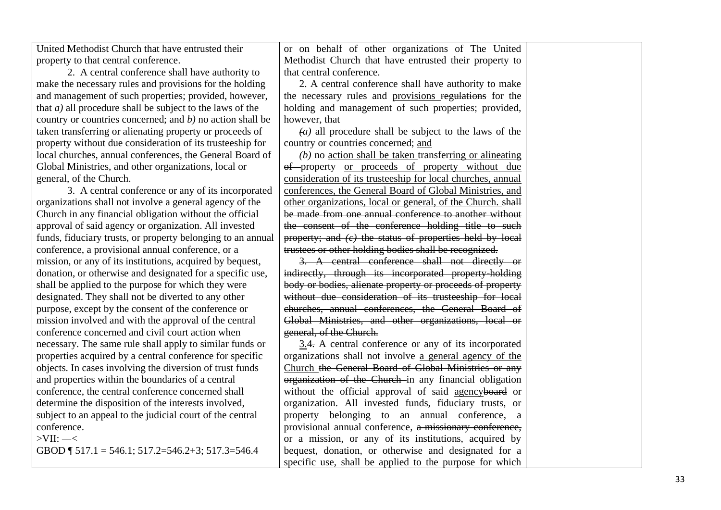United Methodist Church that have entrusted their property to that central conference.

2. A central conference shall have authority to make the necessary rules and provisions for the holding and management of such properties; provided, however, that *a)* all procedure shall be subject to the laws of the country or countries concerned; and *b)* no action shall be taken transferring or alienating property or proceeds of property without due consideration of its trusteeship for local churches, annual conferences, the General Board of Global Ministries, and other organizations, local or general, of the Church.

3. A central conference or any of its incorporated organizations shall not involve a general agency of the Church in any financial obligation without the official approval of said agency or organization. All invested funds, fiduciary trusts, or property belonging to an annual conference, a provisional annual conference, or a mission, or any of its institutions, acquired by bequest, donation, or otherwise and designated for a specific use, shall be applied to the purpose for which they were designated. They shall not be diverted to any other purpose, except by the consent of the conference or mission involved and with the approval of the central conference concerned and civil court action when necessary. The same rule shall apply to similar funds or properties acquired by a central conference for specific objects. In cases involving the diversion of trust funds and properties within the boundaries of a central conference, the central conference concerned shall determine the disposition of the interests involved, subject to an appeal to the judicial court of the central conference.

>VII: *— <* GBOD | 517.1 = 546.1; 517.2=546.2+3; 517.3=546.4 or on behalf of other organizations of The United Methodist Church that have entrusted their property to that central conference.

2. A central conference shall have authority to make the necessary rules and provisions regulations for the holding and management of such properties; provided, however, that

*(a)* all procedure shall be subject to the laws of the country or countries concerned; and

*(b)* no action shall be taken transferring or alineating of property or proceeds of property without due consideration of its trusteeship for local churches, annual conferences, the General Board of Global Ministries, and other organizations, local or general, of the Church. shall be made from one annual conference to another without the consent of the conference holding title to such property; and *(c)* the status of properties held by local trustees or other holding bodies shall be recognized.

3. A central conference shall not directly or indirectly, through its incorporated property-holding body or bodies, alienate property or proceeds of property without due consideration of its trusteeship for local churches, annual conferences, the General Board of Global Ministries, and other organizations, local or general, of the Church.

3.4. A central conference or any of its incorporated organizations shall not involve a general agency of the Church the General Board of Global Ministries or any organization of the Church in any financial obligation without the official approval of said agencyboard or organization. All invested funds, fiduciary trusts, or property belonging to an annual conference, a provisional annual conference, a missionary conference, or a mission, or any of its institutions, acquired by bequest, donation, or otherwise and designated for a specific use, shall be applied to the purpose for which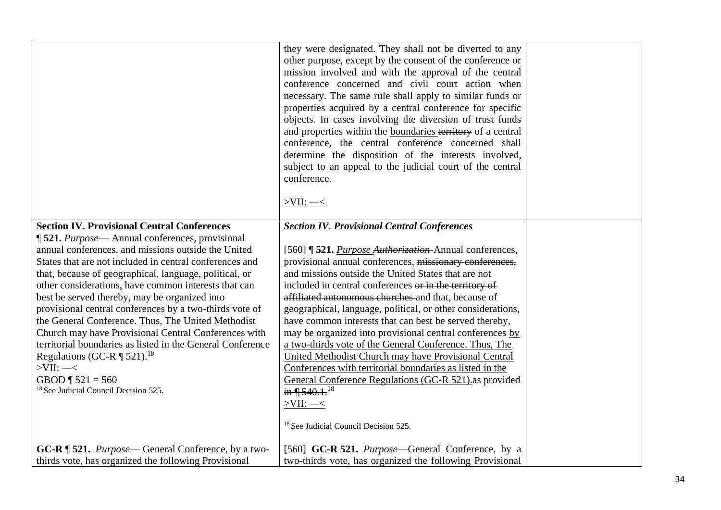|                                                               | they were designated. They shall not be diverted to any<br>other purpose, except by the consent of the conference or<br>mission involved and with the approval of the central<br>conference concerned and civil court action when<br>necessary. The same rule shall apply to similar funds or<br>properties acquired by a central conference for specific<br>objects. In cases involving the diversion of trust funds<br>and properties within the boundaries territory of a central<br>conference, the central conference concerned shall<br>determine the disposition of the interests involved,<br>subject to an appeal to the judicial court of the central<br>conference.<br>$>$ VII: $-$ |  |
|---------------------------------------------------------------|------------------------------------------------------------------------------------------------------------------------------------------------------------------------------------------------------------------------------------------------------------------------------------------------------------------------------------------------------------------------------------------------------------------------------------------------------------------------------------------------------------------------------------------------------------------------------------------------------------------------------------------------------------------------------------------------|--|
| <b>Section IV. Provisional Central Conferences</b>            |                                                                                                                                                                                                                                                                                                                                                                                                                                                                                                                                                                                                                                                                                                |  |
| <b>1521.</b> <i>Purpose</i> — Annual conferences, provisional | <b>Section IV. Provisional Central Conferences</b>                                                                                                                                                                                                                                                                                                                                                                                                                                                                                                                                                                                                                                             |  |
| annual conferences, and missions outside the United           | [560] [521. <i>Purpose Authorization</i> -Annual conferences,                                                                                                                                                                                                                                                                                                                                                                                                                                                                                                                                                                                                                                  |  |
|                                                               |                                                                                                                                                                                                                                                                                                                                                                                                                                                                                                                                                                                                                                                                                                |  |
| States that are not included in central conferences and       | provisional annual conferences, missionary conferences,                                                                                                                                                                                                                                                                                                                                                                                                                                                                                                                                                                                                                                        |  |
| that, because of geographical, language, political, or        | and missions outside the United States that are not                                                                                                                                                                                                                                                                                                                                                                                                                                                                                                                                                                                                                                            |  |
| other considerations, have common interests that can          | included in central conferences or in the territory of                                                                                                                                                                                                                                                                                                                                                                                                                                                                                                                                                                                                                                         |  |
| best be served thereby, may be organized into                 | affiliated autonomous churches and that, because of                                                                                                                                                                                                                                                                                                                                                                                                                                                                                                                                                                                                                                            |  |
| provisional central conferences by a two-thirds vote of       | geographical, language, political, or other considerations,                                                                                                                                                                                                                                                                                                                                                                                                                                                                                                                                                                                                                                    |  |
| the General Conference. Thus, The United Methodist            | have common interests that can best be served thereby,                                                                                                                                                                                                                                                                                                                                                                                                                                                                                                                                                                                                                                         |  |
| Church may have Provisional Central Conferences with          | may be organized into provisional central conferences by                                                                                                                                                                                                                                                                                                                                                                                                                                                                                                                                                                                                                                       |  |
| territorial boundaries as listed in the General Conference    | a two-thirds vote of the General Conference. Thus, The                                                                                                                                                                                                                                                                                                                                                                                                                                                                                                                                                                                                                                         |  |
| Regulations (GC-R $\P$ 521). <sup>18</sup><br>$>$ VII: $-$ <  | United Methodist Church may have Provisional Central<br>Conferences with territorial boundaries as listed in the                                                                                                                                                                                                                                                                                                                                                                                                                                                                                                                                                                               |  |
| GBOD $\P$ 521 = 560                                           | General Conference Regulations (GC-R 521).as provided                                                                                                                                                                                                                                                                                                                                                                                                                                                                                                                                                                                                                                          |  |
| <sup>18</sup> See Judicial Council Decision 525.              | in $\P$ 540.1. <sup>18</sup>                                                                                                                                                                                                                                                                                                                                                                                                                                                                                                                                                                                                                                                                   |  |
|                                                               | $>$ VII: $-$ <                                                                                                                                                                                                                                                                                                                                                                                                                                                                                                                                                                                                                                                                                 |  |
|                                                               |                                                                                                                                                                                                                                                                                                                                                                                                                                                                                                                                                                                                                                                                                                |  |
|                                                               | <sup>18</sup> See Judicial Council Decision 525.                                                                                                                                                                                                                                                                                                                                                                                                                                                                                                                                                                                                                                               |  |
| GC-R   521. Purpose— General Conference, by a two-            | [560] GC-R 521. Purpose—General Conference, by a                                                                                                                                                                                                                                                                                                                                                                                                                                                                                                                                                                                                                                               |  |
| thirds vote, has organized the following Provisional          | two-thirds vote, has organized the following Provisional                                                                                                                                                                                                                                                                                                                                                                                                                                                                                                                                                                                                                                       |  |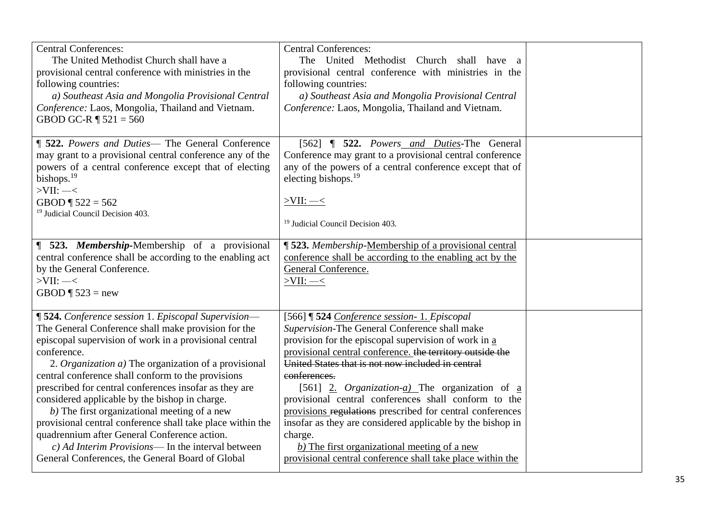| <b>Central Conferences:</b><br>The United Methodist Church shall have a<br>provisional central conference with ministries in the<br>following countries:<br>a) Southeast Asia and Mongolia Provisional Central<br>Conference: Laos, Mongolia, Thailand and Vietnam.<br>GBOD GC-R $\P$ 521 = 560                                                                                                                                                                                                                                                                                                                                                                                          | <b>Central Conferences:</b><br>The United Methodist Church shall have a<br>provisional central conference with ministries in the<br>following countries:<br>a) Southeast Asia and Mongolia Provisional Central<br>Conference: Laos, Mongolia, Thailand and Vietnam.                                                                                                                                                                                                                                                                                                                                                                                               |  |
|------------------------------------------------------------------------------------------------------------------------------------------------------------------------------------------------------------------------------------------------------------------------------------------------------------------------------------------------------------------------------------------------------------------------------------------------------------------------------------------------------------------------------------------------------------------------------------------------------------------------------------------------------------------------------------------|-------------------------------------------------------------------------------------------------------------------------------------------------------------------------------------------------------------------------------------------------------------------------------------------------------------------------------------------------------------------------------------------------------------------------------------------------------------------------------------------------------------------------------------------------------------------------------------------------------------------------------------------------------------------|--|
| <b>1 522.</b> Powers and Duties- The General Conference<br>may grant to a provisional central conference any of the<br>powers of a central conference except that of electing<br>bishops. $^{19}$<br>$>$ VII: $-$ <<br>GBOD $\P$ 522 = 562<br><sup>19</sup> Judicial Council Decision 403.                                                                                                                                                                                                                                                                                                                                                                                               | [562] ¶ 522. Powers_and_Duties-The General<br>Conference may grant to a provisional central conference<br>any of the powers of a central conference except that of<br>electing bishops. $^{19}$<br>$>$ VII: $-$<br><sup>19</sup> Judicial Council Decision 403.                                                                                                                                                                                                                                                                                                                                                                                                   |  |
| <b>1</b> 523. Membership-Membership of a provisional<br>central conference shall be according to the enabling act<br>by the General Conference.<br>$>$ VII: $-$ <<br>GBOD $\P$ 523 = new                                                                                                                                                                                                                                                                                                                                                                                                                                                                                                 | ¶ 523. Membership-Membership of a provisional central<br>conference shall be according to the enabling act by the<br>General Conference.<br>$>$ VII: $-$ <                                                                                                                                                                                                                                                                                                                                                                                                                                                                                                        |  |
| ¶ 524. Conference session 1. Episcopal Supervision-<br>The General Conference shall make provision for the<br>episcopal supervision of work in a provisional central<br>conference.<br>2. Organization a) The organization of a provisional<br>central conference shall conform to the provisions<br>prescribed for central conferences insofar as they are<br>considered applicable by the bishop in charge.<br>$b)$ The first organizational meeting of a new<br>provisional central conference shall take place within the<br>quadrennium after General Conference action.<br>$c)$ Ad Interim Provisions— In the interval between<br>General Conferences, the General Board of Global | [566] [524 Conference session- 1. Episcopal<br>Supervision-The General Conference shall make<br>provision for the episcopal supervision of work in a<br>provisional central conference. the territory outside the<br>United States that is not now included in central<br>conferences.<br>[561] $2.$ <i>Organization-a</i> ) The organization of a<br>provisional central conferences shall conform to the<br>provisions regulations prescribed for central conferences<br>insofar as they are considered applicable by the bishop in<br>charge.<br>$b$ ) The first organizational meeting of a new<br>provisional central conference shall take place within the |  |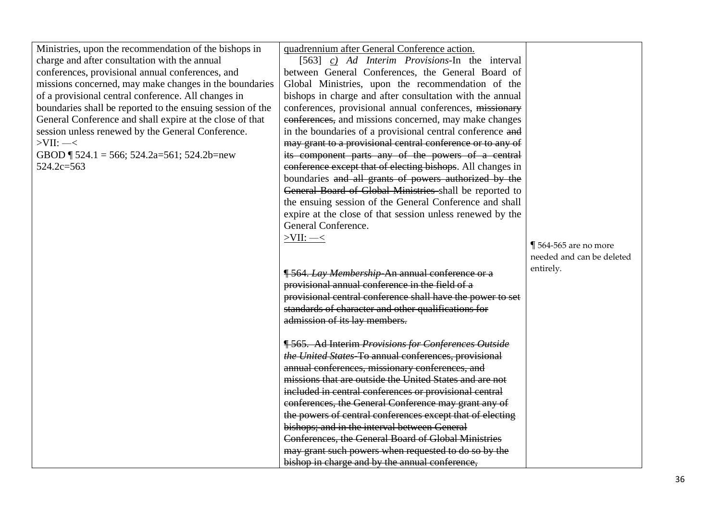| Ministries, upon the recommendation of the bishops in      | quadrennium after General Conference action.               |                                                       |
|------------------------------------------------------------|------------------------------------------------------------|-------------------------------------------------------|
| charge and after consultation with the annual              | [563] $c)$ Ad Interim Provisions-In the interval           |                                                       |
| conferences, provisional annual conferences, and           | between General Conferences, the General Board of          |                                                       |
| missions concerned, may make changes in the boundaries     | Global Ministries, upon the recommendation of the          |                                                       |
| of a provisional central conference. All changes in        | bishops in charge and after consultation with the annual   |                                                       |
| boundaries shall be reported to the ensuing session of the | conferences, provisional annual conferences, missionary    |                                                       |
| General Conference and shall expire at the close of that   | conferences, and missions concerned, may make changes      |                                                       |
| session unless renewed by the General Conference.          | in the boundaries of a provisional central conference and  |                                                       |
| $>$ VII: $-$ <                                             | may grant to a provisional central conference or to any of |                                                       |
| GBOD $\sqrt{524.1}$ = 566; 524.2a=561; 524.2b=new          | its component parts any of the powers of a central         |                                                       |
| $524.2c = 563$                                             | conference except that of electing bishops. All changes in |                                                       |
|                                                            | boundaries and all grants of powers authorized by the      |                                                       |
|                                                            | General Board of Global Ministries shall be reported to    |                                                       |
|                                                            | the ensuing session of the General Conference and shall    |                                                       |
|                                                            | expire at the close of that session unless renewed by the  |                                                       |
|                                                            | General Conference.                                        |                                                       |
|                                                            | $>$ VII: $-\leq$                                           |                                                       |
|                                                            |                                                            | $\P$ 564-565 are no more<br>needed and can be deleted |
|                                                            |                                                            | entirely.                                             |
|                                                            | <b>1564.</b> Lay Membership-An annual conference or a      |                                                       |
|                                                            | provisional annual conference in the field of a            |                                                       |
|                                                            | provisional central conference shall have the power to set |                                                       |
|                                                            | standards of character and other qualifications for        |                                                       |
|                                                            | admission of its lay members.                              |                                                       |
|                                                            |                                                            |                                                       |
|                                                            | <b>[565. Ad Interim Provisions for Conferences Outside</b> |                                                       |
|                                                            | the United States-To annual conferences, provisional       |                                                       |
|                                                            | annual conferences, missionary conferences, and            |                                                       |
|                                                            | missions that are outside the United States and are not    |                                                       |
|                                                            | included in central conferences or provisional central     |                                                       |
|                                                            | conferences, the General Conference may grant any of       |                                                       |
|                                                            | the powers of central conferences except that of electing  |                                                       |
|                                                            | bishops; and in the interval between General               |                                                       |
|                                                            | Conferences, the General Board of Global Ministries        |                                                       |
|                                                            | may grant such powers when requested to do so by the       |                                                       |
|                                                            | bishop in charge and by the annual conference,             |                                                       |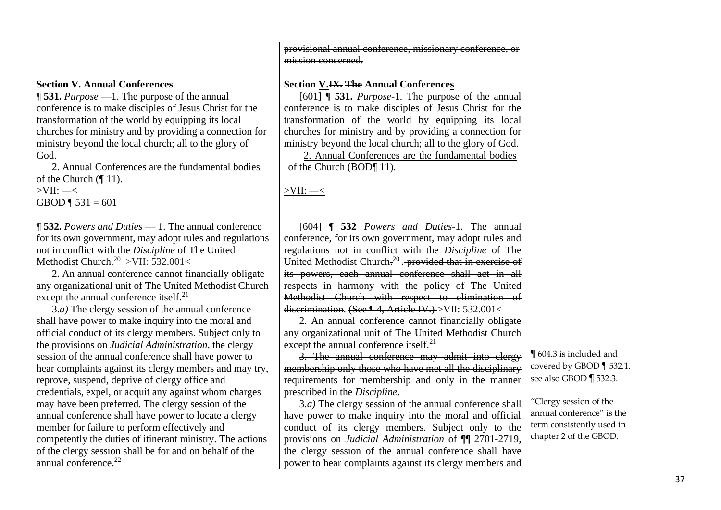|                                                                                                                                                                                                                                                                                                                                                                                                                                                                                                                                                                                                                                                                                                                                                                                                                                                                                                                                                                                                                                                                                                                                                                                                   | provisional annual conference, missionary conference, or<br>mission concerned.                                                                                                                                                                                                                                                                                                                                                                                                                                                                                                                                                                                                                                                                                                                                                                                                                                                                                                                                                                                                                                                                                                                                               |                                                                                                                                                                                            |
|---------------------------------------------------------------------------------------------------------------------------------------------------------------------------------------------------------------------------------------------------------------------------------------------------------------------------------------------------------------------------------------------------------------------------------------------------------------------------------------------------------------------------------------------------------------------------------------------------------------------------------------------------------------------------------------------------------------------------------------------------------------------------------------------------------------------------------------------------------------------------------------------------------------------------------------------------------------------------------------------------------------------------------------------------------------------------------------------------------------------------------------------------------------------------------------------------|------------------------------------------------------------------------------------------------------------------------------------------------------------------------------------------------------------------------------------------------------------------------------------------------------------------------------------------------------------------------------------------------------------------------------------------------------------------------------------------------------------------------------------------------------------------------------------------------------------------------------------------------------------------------------------------------------------------------------------------------------------------------------------------------------------------------------------------------------------------------------------------------------------------------------------------------------------------------------------------------------------------------------------------------------------------------------------------------------------------------------------------------------------------------------------------------------------------------------|--------------------------------------------------------------------------------------------------------------------------------------------------------------------------------------------|
| <b>Section V. Annual Conferences</b><br><b><math>\llbracket</math> 531.</b> Purpose —1. The purpose of the annual<br>conference is to make disciples of Jesus Christ for the<br>transformation of the world by equipping its local<br>churches for ministry and by providing a connection for<br>ministry beyond the local church; all to the glory of<br>God.<br>2. Annual Conferences are the fundamental bodies<br>of the Church $(\P 11)$ .<br>$>$ VII: $-$ <<br>GBOD $\P$ 531 = 601                                                                                                                                                                                                                                                                                                                                                                                                                                                                                                                                                                                                                                                                                                          | <b>Section V.IX. The Annual Conferences</b><br>[601] $\llbracket$ <b>531.</b> <i>Purpose</i> -1. The purpose of the annual<br>conference is to make disciples of Jesus Christ for the<br>transformation of the world by equipping its local<br>churches for ministry and by providing a connection for<br>ministry beyond the local church; all to the glory of God.<br>2. Annual Conferences are the fundamental bodies<br>of the Church (BOD¶ 11).<br>$>$ VII: $-\leq$                                                                                                                                                                                                                                                                                                                                                                                                                                                                                                                                                                                                                                                                                                                                                     |                                                                                                                                                                                            |
| <b>[532.</b> Powers and Duties - 1. The annual conference<br>for its own government, may adopt rules and regulations<br>not in conflict with the Discipline of The United<br>Methodist Church. $^{20}$ >VII: 532.001<<br>2. An annual conference cannot financially obligate<br>any organizational unit of The United Methodist Church<br>except the annual conference itself. <sup>21</sup><br>$3.a$ ) The clergy session of the annual conference<br>shall have power to make inquiry into the moral and<br>official conduct of its clergy members. Subject only to<br>the provisions on <i>Judicial Administration</i> , the clergy<br>session of the annual conference shall have power to<br>hear complaints against its clergy members and may try,<br>reprove, suspend, deprive of clergy office and<br>credentials, expel, or acquit any against whom charges<br>may have been preferred. The clergy session of the<br>annual conference shall have power to locate a clergy<br>member for failure to perform effectively and<br>competently the duties of itinerant ministry. The actions<br>of the clergy session shall be for and on behalf of the<br>annual conference. <sup>22</sup> | [604] <b>[532</b> Powers and Duties-1. The annual<br>conference, for its own government, may adopt rules and<br>regulations not in conflict with the Discipline of The<br>United Methodist Church <sup>-20</sup> . provided that in exercise of<br>its powers, each annual conference shall act in all<br>respects in harmony with the policy of The United<br>Methodist Church with respect to elimination of<br>discrimination. (See ¶4, Article IV.) > VII: 532.001<<br>2. An annual conference cannot financially obligate<br>any organizational unit of The United Methodist Church<br>except the annual conference itself. <sup>21</sup><br>3. The annual conference may admit into clergy<br>membership only those who have met all the disciplinary<br>requirements for membership and only in the manner<br>prescribed in the Discipline.<br>$3.a$ ) The clergy session of the annual conference shall<br>have power to make inquiry into the moral and official<br>conduct of its clergy members. Subject only to the<br>provisions on <i>Judicial Administration</i> of <b>11</b> 2701-2719,<br>the clergy session of the annual conference shall have<br>power to hear complaints against its clergy members and | 1604.3 is included and<br>covered by GBOD   532.1.<br>see also GBOD   532.3.<br>"Clergy session of the<br>annual conference" is the<br>term consistently used in<br>chapter 2 of the GBOD. |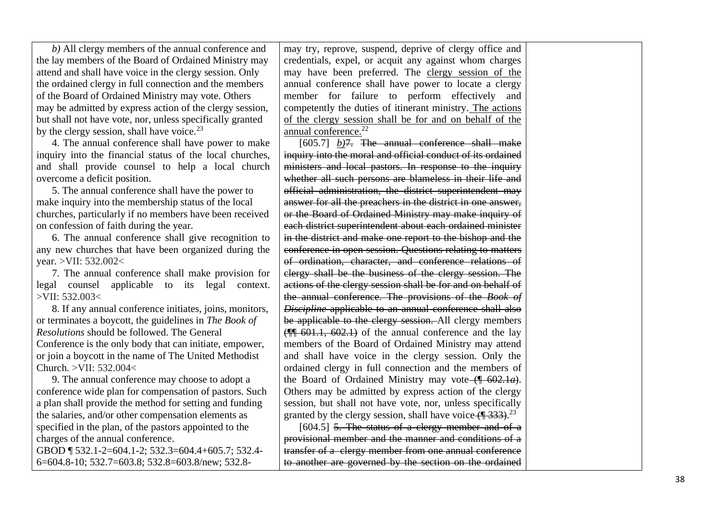*b)* All clergy members of the annual conference and the lay members of the Board of Ordained Ministry may attend and shall have voice in the clergy session. Only the ordained clergy in full connection and the members of the Board of Ordained Ministry may vote. Others may be admitted by express action of the clergy session, but shall not have vote, nor, unless specifically granted by the clergy session, shall have voice. $^{23}$ 

4. The annual conference shall have power to make inquiry into the financial status of the local churches, and shall provide counsel to help a local church overcome a deficit position.

5. The annual conference shall have the power to make inquiry into the membership status of the local churches, particularly if no members have been received on confession of faith during the year.

6. The annual conference shall give recognition to any new churches that have been organized during the year. >VII: 532.002<

7. The annual conference shall make provision for legal counsel applicable to its legal context. >VII: 532.003<

8. If any annual conference initiates, joins, monitors, or terminates a boycott, the guidelines in *The Book of Resolutions* should be followed. The General Conference is the only body that can initiate, empower, or join a boycott in the name of The United Methodist Church. >VII: 532.004<

9. The annual conference may choose to adopt a conference wide plan for compensation of pastors. Such a plan shall provide the method for setting and funding the salaries, and/or other compensation elements as specified in the plan, of the pastors appointed to the charges of the annual conference.

GBOD | 532.1-2=604.1-2; 532.3=604.4+605.7; 532.4-6=604.8 -10; 532.7=603.8; 532.8=603.8/new; 532.8 -

may try, reprove, suspend, deprive of clergy office and credentials, expel, or acquit any against whom charges may have been preferred. The clergy session of the annual conference shall have power to locate a clergy member for failure to perform effectively and competently the duties of itinerant ministry. The actions of the clergy session shall be for and on behalf of the annual conference.<sup>22</sup>

[605.7] *b)*7. The annual conference shall make inquiry into the moral and official conduct of its ordained ministers and local pastors. In response to the inquiry whether all such persons are blameless in their life and official administration, the district superintendent may answer for all the preachers in the district in one answer, or the Board of Ordained Ministry may make inquiry of each district superintendent about each ordained minister in the district and make one report to the bishop and the conference in open session. Questions relating to matters of ordination, character, and conference relations of clergy shall be the business of the clergy session. The actions of the clergy session shall be for and on behalf of the annual conference. The provisions of the *Book of Discipline* applicable to an annual conference shall also be applicable to the clergy session. All clergy members  $(\P \qquad \overline{\P} \qquad 601.1, 602.1)$  of the annual conference and the lay members of the Board of Ordained Ministry may attend and shall have voice in the clergy session. Only the ordained clergy in full connection and the members of the Board of Ordained Ministry may vote  $(\sqrt{602.1a})$ . Others may be admitted by express action of the clergy session, but shall not have vote, nor, unless specifically granted by the clergy session, shall have voice  $(\sqrt{\frac{333}{3}})^{23}$ 

[604.5]  $5.$  The status of a clergy member and of a provisional member and the manner and conditions of a transfer of a clergy member from one annual conference to another are governed by the section on the ordained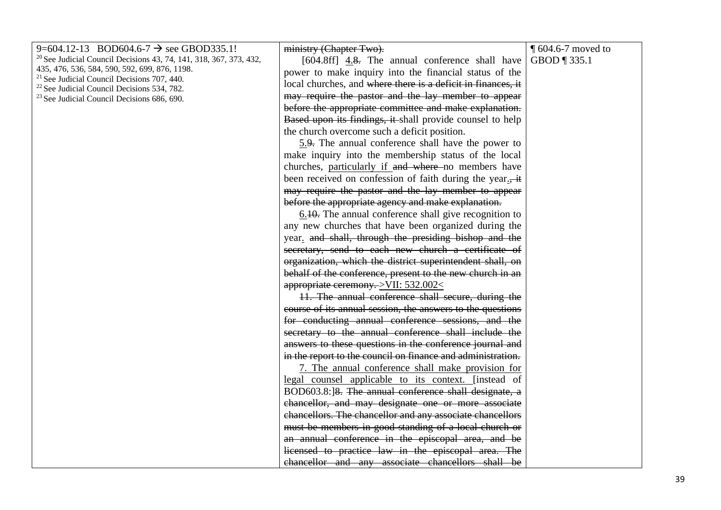| 9=604.12-13 BOD604.6-7 $\rightarrow$ see GBOD335.1!                                                              | ministry (Chapter Two).                                          | $\P$ 604.6-7 moved to |
|------------------------------------------------------------------------------------------------------------------|------------------------------------------------------------------|-----------------------|
| <sup>20</sup> See Judicial Council Decisions 43, 74, 141, 318, 367, 373, 432,                                    | $[604.8ff]$ $\overline{4.8}$ . The annual conference shall have  | GBOD ¶ 335.1          |
| 435, 476, 536, 584, 590, 592, 699, 876, 1198.                                                                    | power to make inquiry into the financial status of the           |                       |
| <sup>21</sup> See Judicial Council Decisions 707, 440.<br><sup>22</sup> See Judicial Council Decisions 534, 782. | local churches, and where there is a deficit in finances, it     |                       |
| <sup>23</sup> See Judicial Council Decisions 686, 690.                                                           | may require the pastor and the lay member to appear              |                       |
|                                                                                                                  | before the appropriate committee and make explanation.           |                       |
|                                                                                                                  | <b>Based upon its findings, it shall provide counsel to help</b> |                       |
|                                                                                                                  | the church overcome such a deficit position.                     |                       |
|                                                                                                                  | 5.9. The annual conference shall have the power to               |                       |
|                                                                                                                  | make inquiry into the membership status of the local             |                       |
|                                                                                                                  | churches, particularly if and where no members have              |                       |
|                                                                                                                  | been received on confession of faith during the year.            |                       |
|                                                                                                                  | may require the pastor and the lay member to appear              |                       |
|                                                                                                                  | before the appropriate agency and make explanation.              |                       |
|                                                                                                                  | 6.10. The annual conference shall give recognition to            |                       |
|                                                                                                                  | any new churches that have been organized during the             |                       |
|                                                                                                                  | year, and shall, through the presiding bishop and the            |                       |
|                                                                                                                  | secretary, send to each new church a certificate of              |                       |
|                                                                                                                  | organization, which the district superintendent shall, on        |                       |
|                                                                                                                  | behalf of the conference, present to the new church in an        |                       |
|                                                                                                                  | appropriate ceremony. > VII: 532.002<                            |                       |
|                                                                                                                  | 11. The annual conference shall secure, during the               |                       |
|                                                                                                                  | course of its annual session, the answers to the questions       |                       |
|                                                                                                                  | for conducting annual conference sessions, and the               |                       |
|                                                                                                                  | secretary to the annual conference shall include the             |                       |
|                                                                                                                  | answers to these questions in the conference journal and         |                       |
|                                                                                                                  | in the report to the council on finance and administration.      |                       |
|                                                                                                                  | 7. The annual conference shall make provision for                |                       |
|                                                                                                                  | legal counsel applicable to its context. [instead of             |                       |
|                                                                                                                  | BOD603.8:18. The annual conference shall designate, a            |                       |
|                                                                                                                  | chancellor, and may designate one or more associate              |                       |
|                                                                                                                  | chancellors. The chancellor and any associate chancellors        |                       |
|                                                                                                                  | must be members in good standing of a local church or            |                       |
|                                                                                                                  | an annual conference in the episcopal area, and be               |                       |
|                                                                                                                  | licensed to practice law in the episcopal area. The              |                       |
|                                                                                                                  | chancellor and any associate chancellors shall be                |                       |
|                                                                                                                  |                                                                  |                       |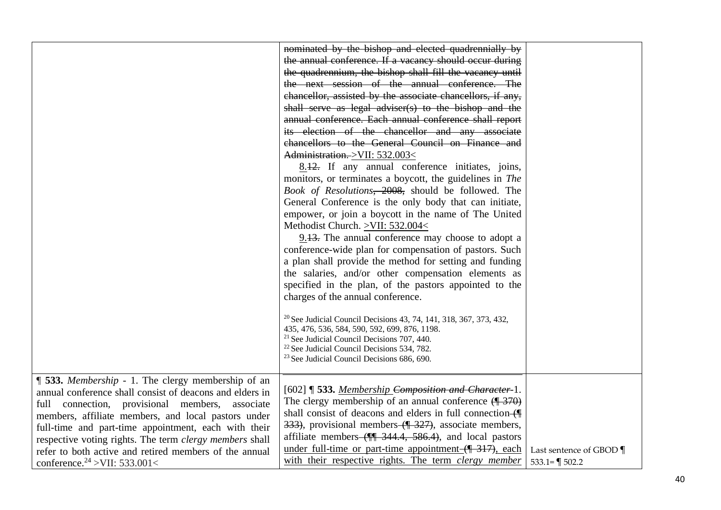|                                                                | nominated by the bishop and elected quadrennially by<br>the annual conference. If a vacancy should occur during<br>the quadrennium, the bishop shall fill the vacancy until |                       |
|----------------------------------------------------------------|-----------------------------------------------------------------------------------------------------------------------------------------------------------------------------|-----------------------|
|                                                                | the next session of the annual conference. The                                                                                                                              |                       |
|                                                                | chancellor, assisted by the associate chancellors, if any,                                                                                                                  |                       |
|                                                                | shall serve as legal adviser(s) to the bishop and the                                                                                                                       |                       |
|                                                                | annual conference. Each annual conference shall report                                                                                                                      |                       |
|                                                                | its election of the chancellor and any associate                                                                                                                            |                       |
|                                                                | chancellors to the General Council on Finance and                                                                                                                           |                       |
|                                                                | Administration. >VII: 532.003<                                                                                                                                              |                       |
|                                                                | $8.12$ . If any annual conference initiates, joins,                                                                                                                         |                       |
|                                                                | monitors, or terminates a boycott, the guidelines in The                                                                                                                    |                       |
|                                                                | Book of Resolutions, 2008, should be followed. The                                                                                                                          |                       |
|                                                                | General Conference is the only body that can initiate,                                                                                                                      |                       |
|                                                                | empower, or join a boycott in the name of The United                                                                                                                        |                       |
|                                                                | Methodist Church. >VII: 532.004<                                                                                                                                            |                       |
|                                                                | $9.13$ . The annual conference may choose to adopt a                                                                                                                        |                       |
|                                                                | conference-wide plan for compensation of pastors. Such                                                                                                                      |                       |
|                                                                | a plan shall provide the method for setting and funding                                                                                                                     |                       |
|                                                                | the salaries, and/or other compensation elements as                                                                                                                         |                       |
|                                                                | specified in the plan, of the pastors appointed to the                                                                                                                      |                       |
|                                                                | charges of the annual conference.                                                                                                                                           |                       |
|                                                                |                                                                                                                                                                             |                       |
|                                                                | <sup>20</sup> See Judicial Council Decisions 43, 74, 141, 318, 367, 373, 432,                                                                                               |                       |
|                                                                | 435, 476, 536, 584, 590, 592, 699, 876, 1198.                                                                                                                               |                       |
|                                                                | <sup>21</sup> See Judicial Council Decisions 707, 440.<br><sup>22</sup> See Judicial Council Decisions 534, 782.                                                            |                       |
|                                                                | <sup>23</sup> See Judicial Council Decisions 686, 690.                                                                                                                      |                       |
|                                                                |                                                                                                                                                                             |                       |
| <b>1533.</b> Membership - 1. The clergy membership of an       |                                                                                                                                                                             |                       |
| annual conference shall consist of deacons and elders in       | [602] [533. Membership Composition and Character-1.                                                                                                                         |                       |
| connection, provisional members, associate<br>full             | The clergy membership of an annual conference $(\sqrt{370})$                                                                                                                |                       |
| members, affiliate members, and local pastors under            | shall consist of deacons and elders in full connection- $\left( \frac{1}{2} \right)$                                                                                        |                       |
| full-time and part-time appointment, each with their           | 333), provisional members (1 327), associate members,                                                                                                                       |                       |
| respective voting rights. The term <i>clergy members</i> shall | affiliate members $(\sqrt{44} \cdot 344.4, \frac{586.4}{9})$ , and local pastors                                                                                            |                       |
| refer to both active and retired members of the annual         | under full-time or part-time appointment- $(\sqrt{\frac{317}{217}})$ , each                                                                                                 | Last sentence of GBOD |
| conference. $^{24}$ >VII: 533.001<                             | with their respective rights. The term <i>clergy member</i>                                                                                                                 | $533.1 =$ 502.2       |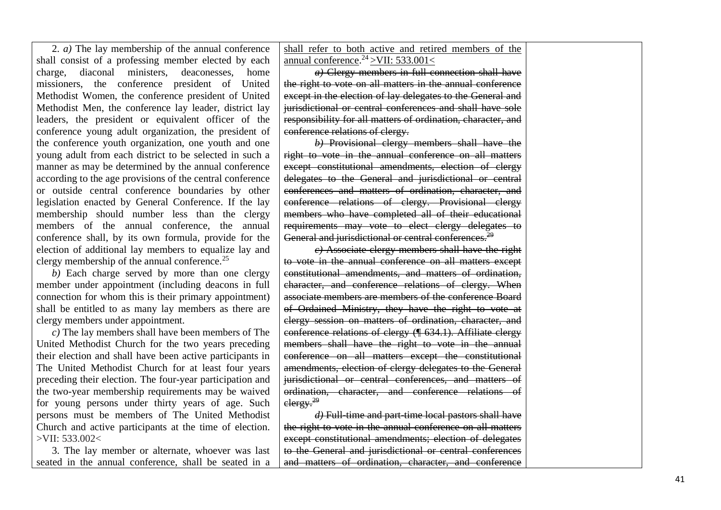2. *a)* The lay membership of the annual conference shall consist of a professing member elected by each charge, diaconal ministers, deaconesses, home missioners, the conference president of United Methodist Women, the conference president of United Methodist Men, the conference lay leader, district lay leaders, the president or equivalent officer of the conference young adult organization, the president of the conference youth organization, one youth and one young adult from each district to be selected in such a manner as may be determined by the annual conference according to the age provisions of the central conference or outside central conference boundaries by other legislation enacted by General Conference. If the lay membership should number less than the clergy members of the annual conference, the annual conference shall, by its own formula, provide for the election of additional lay members to equalize lay and clergy membership of the annual conference.<sup>25</sup>

b) Each charge served by more than one clergy member under appointment (including deacons in full connection for whom this is their primary appointment) shall be entitled to as many lay members as there are clergy members under appointment.

*c)* The lay members shall have been members of The United Methodist Church for the two years preceding their election and shall have been active participants in The United Methodist Church for at least four years preceding their election. The four -year participation and the two -year membership requirements may be waived for young persons under thirty years of age. Such persons must be members of The United Methodist Church and active participants at the time of election. >VII: 533.002<

3. The lay member or alternate, whoever was last seated in the annual conference, shall be seated in a shall refer to both active and retired members of the annual conference . <sup>24</sup>>VII: 533.001<

*a)* Clergy members in full connection shall have the right to vote on all matters in the annual conference except in the election of lay delegates to the General and jurisdictional or central conferences and shall have sole responsibility for all matters of ordination, character, and conference relations of clergy.

*b)* Provisional clergy members shall have the right to vote in the annual conference on all matters except constitutional amendments, election of clergy delegates to the General and jurisdictional or central conferences and matters of ordination, character, and conference relations of clergy. Provisional clergy members who have completed all of their educational requirements may vote to elect clergy delegates to General and jurisdictional or central conferences.<sup>29</sup>

*c)* Associate clergy members shall have the right to vote in the annual conference on all matters except constitutional amendments, and matters of ordination, character, and conference relations of clergy. When associate members are members of the conference Board of Ordained Ministry, they have the right to vote at clergy session on matters of ordination, character, and conference relations of clergy (¶ 634.1). Affiliate clergy members shall have the right to vote in the annual conference on all matters except the constitutional amendments, election of clergy delegates to the General jurisdictional or central conferences, and matters of ordination, character, and conference relations of elergy.<sup>29</sup>

d) Full-time and part-time local pastors shall have the right to vote in the annual conference on all matters except constitutional amendments; election of delegates to the General and jurisdictional or central conferences and matters of ordination, character, and conference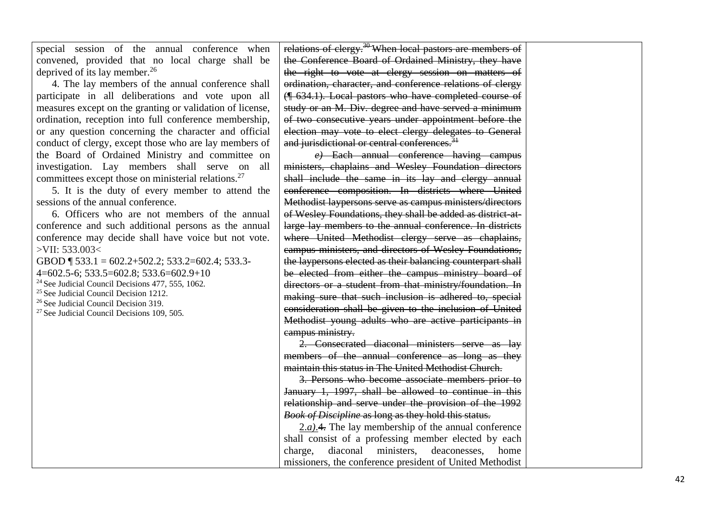special session of the annual conference when convened, provided that no local charge shall be deprived of its lay member.<sup>26</sup>

4. The lay members of the annual conference shall participate in all deliberations and vote upon all measures except on the granting or validation of license, ordination, reception into full conference membership, or any question concerning the character and official conduct of clergy, except those who are lay members of the Board of Ordained Ministry and committee on investigation. Lay members shall serve on all committees except those on ministerial relations.<sup>27</sup>

5. It is the duty of every member to attend the sessions of the annual conference.

6. Officers who are not members of the annual conference and such additional persons as the annual conference may decide shall have voice but not vote. >VII: 533.003<

GBOD | 533.1 = 602.2+502.2; 533.2=602.4; 533.3-4=602.5 -6; 533.5=602.8; 533.6=602.9+10

- <sup>24</sup> See Judicial Council Decisions 477, 555, 1062.
- <sup>25</sup> See Judicial Council Decision 1212.
- <sup>26</sup> See Judicial Council Decision 319.
- 2 <sup>7</sup>See Judicial Council Decisions 109, 505.

relations of clergy.<sup>30</sup>When local pastors are members of the Conference Board of Ordained Ministry, they have the right to vote at clergy session on matters of ordination, character, and conference relations of clergy (¶ 634.1). Local pastors who have completed course of study or an M. Div. degree and have served a minimum of two consecutive years under appointment before the election may vote to elect clergy delegates to General and jurisdictional or central conferences.<sup>31</sup>

*e)* Each annual conference having campus ministers, chaplains and Wesley Foundation directors shall include the same in its lay and clergy annual conference composition. In districts where United Methodist laypersons serve as campus ministers/directors of Wesley Foundations, they shall be added as district -at large lay members to the annual conference. In districts where United Methodist clergy serve as chaplains, campus ministers, and directors of Wesley Foundations, the laypersons elected as their balancing counterpart shall be elected from either the campus ministry board of directors or a student from that ministry/foundation. In making sure that such inclusion is adhered to, special consideration shall be given to the inclusion of United Methodist young adults who are active participants in campus ministry.

2. Consecrated diaconal ministers serve as lay members of the annual conference as long as they maintain this status in The United Methodist Church.

3. Persons who become associate members prior to January 1, 1997, shall be allowed to continue in this relationship and serve under the provision of the 1992 *Book of Discipline* as long as they hold this status.

2.*a)* .4. The lay membership of the annual conference shall consist of a professing member elected by each charge, diaconal ministers, deaconesses, home missioners, the conference president of United Methodist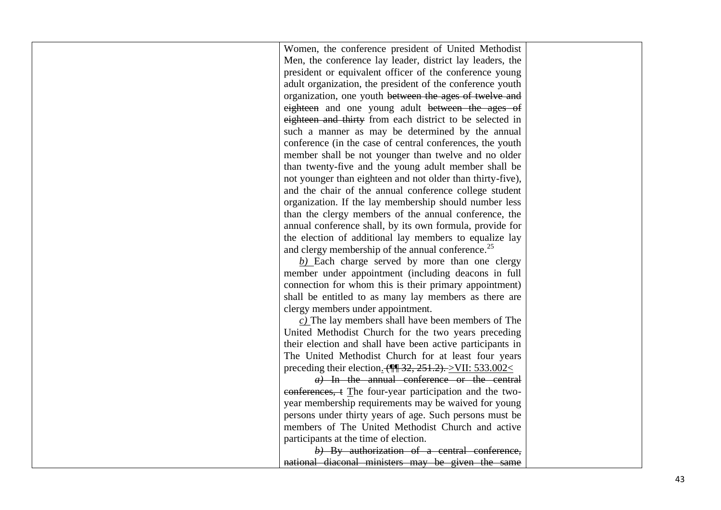Women, the conference president of United Methodist Men, the conference lay leader, district lay leaders, the president or equivalent officer of the conference young adult organization, the president of the conference youth organization, one youth between the ages of twelve and eighteen and one young adult between the ages of eighteen and thirty from each district to be selected in such a manner as may be determined by the annual conference (in the case of central conferences, the youth member shall be not younger than twelve and no older than twenty -five and the young adult member shall be not younger than eighteen and not older than thirty -five), and the chair of the annual conference college student organization. If the lay membership should number less than the clergy members of the annual conference, the annual conference shall, by its own formula, provide for the election of additional lay members to equalize lay and clergy membership of the annual conference.<sup>25</sup>

b) Each charge served by more than one clergy member under appointment (including deacons in full connection for whom this is their primary appointment) shall be entitled to as many lay members as there are clergy members under appointment.

*c)* The lay members shall have been members of The United Methodist Church for the two years preceding their election and shall have been active participants in The United Methodist Church for at least four years preceding their election. (14 32, 251.2). > VII: 533.002<

*a)* In the annual conference or the central conferences, t The four-year participation and the twoyear membership requirements may be waived for young persons under thirty years of age. Such persons must be members of The United Methodist Church and active participants at the time of election.

*b)* By authorization of a central conference, national diaconal ministers may be given the same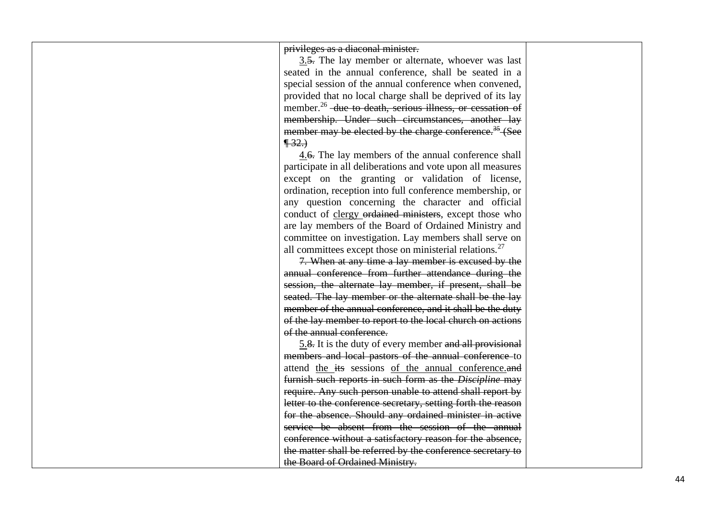privileges as a diaconal minister.

3.5. The lay member or alternate, whoever was last seated in the annual conference, shall be seated in a special session of the annual conference when convened, provided that no local charge shall be deprived of its lay member.<sup>26</sup>  $-$ due to death, serious illness, or cessation of membership. Under such circumstances, another lay member may be elected by the charge conference.<sup>35</sup> (See  $\sqrt{32}$ 

4.6. The lay members of the annual conference shall participate in all deliberations and vote upon all measures except on the granting or validation of license, ordination, reception into full conference membership, or any question concerning the character and official conduct of clergy ordained ministers, except those who are lay members of the Board of Ordained Ministry and committee on investigation. Lay members shall serve on all committees except those on ministerial relations.<sup>27</sup>

7. When at any time a lay member is excused by the annual conference from further attendance during the session, the alternate lay member, if present, shall be seated. The lay member or the alternate shall be the lay member of the annual conference, and it shall be the duty of the lay member to report to the local church on actions of the annual conference.

5.8. It is the duty of every member and all provisional members and local pastors of the annual conference to attend the its sessions of the annual conference.and furnish such reports in such form as the *Discipline* may require. Any such person unable to attend shall report by letter to the conference secretary, setting forth the reason for the absence. Should any ordained minister in active service be absent from the session of the annual conference without a satisfactory reason for the absence, the matter shall be referred by the conference secretary to the Board of Ordained Ministry.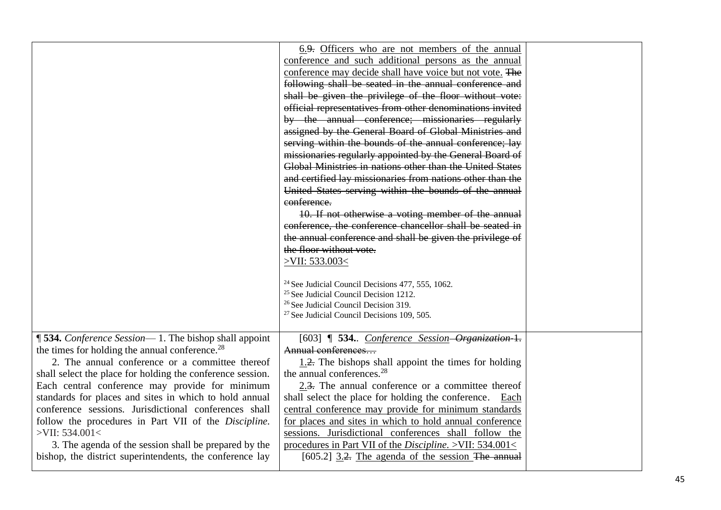|                                                            | 6.9. Officers who are not members of the annual              |  |
|------------------------------------------------------------|--------------------------------------------------------------|--|
|                                                            | conference and such additional persons as the annual         |  |
|                                                            |                                                              |  |
|                                                            | conference may decide shall have voice but not vote. The     |  |
|                                                            | following shall be seated in the annual conference and       |  |
|                                                            | shall be given the privilege of the floor without vote:      |  |
|                                                            | official representatives from other denominations invited    |  |
|                                                            | by the annual conference; missionaries regularly             |  |
|                                                            | assigned by the General Board of Global Ministries and       |  |
|                                                            | serving within the bounds of the annual conference; lay      |  |
|                                                            | missionaries regularly appointed by the General Board of     |  |
|                                                            | Global Ministries in nations other than the United States    |  |
|                                                            | and certified lay missionaries from nations other than the   |  |
|                                                            | United States serving within the bounds of the annual        |  |
|                                                            | conference.                                                  |  |
|                                                            | 10. If not otherwise a voting member of the annual           |  |
|                                                            | conference, the conference chancellor shall be seated in     |  |
|                                                            | the annual conference and shall be given the privilege of    |  |
|                                                            | the floor without vote.                                      |  |
|                                                            | $>$ VII: 533.003<                                            |  |
|                                                            |                                                              |  |
|                                                            | <sup>24</sup> See Judicial Council Decisions 477, 555, 1062. |  |
|                                                            | <sup>25</sup> See Judicial Council Decision 1212.            |  |
|                                                            | <sup>26</sup> See Judicial Council Decision 319.             |  |
|                                                            | <sup>27</sup> See Judicial Council Decisions 109, 505.       |  |
|                                                            |                                                              |  |
| ¶ 534. Conference Session—1. The bishop shall appoint      | [603] ¶ 534. Conference Session-Organization-1.              |  |
| the times for holding the annual conference. $28$          | Annual conferences                                           |  |
| 2. The annual conference or a committee thereof            | $1.2$ . The bishops shall appoint the times for holding      |  |
| shall select the place for holding the conference session. | the annual conferences. <sup>28</sup>                        |  |
| Each central conference may provide for minimum            | $2.3$ . The annual conference or a committee thereof         |  |
| standards for places and sites in which to hold annual     | shall select the place for holding the conference. Each      |  |
| conference sessions. Jurisdictional conferences shall      |                                                              |  |
|                                                            | central conference may provide for minimum standards         |  |
| follow the procedures in Part VII of the Discipline.       | for places and sites in which to hold annual conference      |  |
| >VII: 534.001<                                             | sessions. Jurisdictional conferences shall follow the        |  |
| 3. The agenda of the session shall be prepared by the      | procedures in Part VII of the Discipline. >VII: 534.001<     |  |
| bishop, the district superintendents, the conference lay   | $[605.2]$ 3.2. The agenda of the session The annual          |  |
|                                                            |                                                              |  |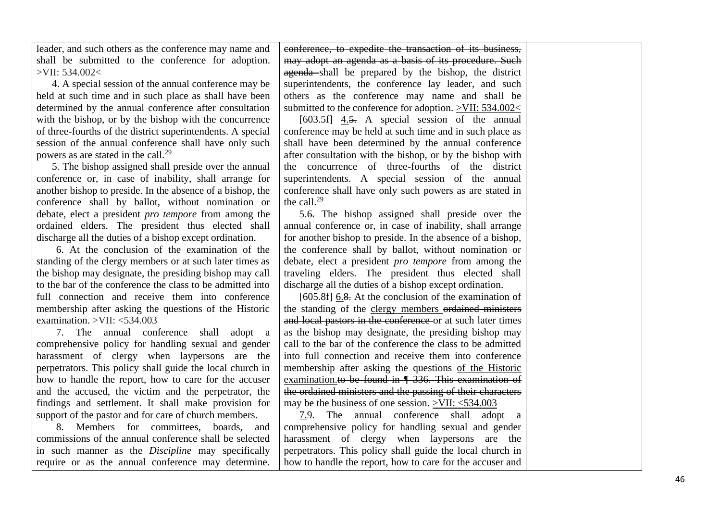leader, and such others as the conference may name and shall be submitted to the conference for adoption . >VII: 534.002<

4. A special session of the annual conference may be held at such time and in such place as shall have been determined by the annual conference after consultation with the bishop, or by the bishop with the concurrence of three -fourths of the district superintendents. A special session of the annual conference shall have only such powers as are stated in the call.<sup>29</sup>

5. The bishop assigned shall preside over the annual conference or, in case of inability, shall arrange for another bishop to preside. In the absence of a bishop, the conference shall by ballot, without nomination or debate, elect a president *pro tempore* from among the ordained elders. The president thus elected shall discharge all the duties of a bishop except ordination.

6. At the conclusion of the examination of the standing of the clergy members or at such later times as the bishop may designate, the presiding bishop may call to the bar of the conference the class to be admitted into full connection and receive them into conference membership after asking the questions of the Historic examination.  $>$ VII:  $<$ 534.003

7. The annual conference shall adopt a comprehensive policy for handling sexual and gender harassment of clergy when laypersons are the perpetrators. This policy shall guide the local church in how to handle the report, how to care for the accuser and the accused, the victim and the perpetrator, the findings and settlement. It shall make provision for support of the pastor and for care of church members.

8. Members for committees, boards, and commissions of the annual conference shall be selected in such manner as the *Discipline* may specifically require or as the annual conference may determine. conference, to expedite the transaction of its business, may adopt an agenda as a basis of its procedure. Such agenda shall be prepared by the bishop, the district superintendents, the conference lay leader, and such others as the conference may name and shall be submitted to the conference for adoption. >VII: 534.002<

[603.5f] 4.5. A special session of the annual conference may be held at such time and in such place as shall have been determined by the annual conference after consultation with the bishop, or by the bishop with the concurrence of three -fourths of the district superintendents. A special session of the annual conference shall have only such powers as are stated in the call.<sup>29</sup>

5.6. The bishop assigned shall preside over the annual conference or, in case of inability, shall arrange for another bishop to preside. In the absence of a bishop, the conference shall by ballot, without nomination or debate, elect a president *pro tempore* from among the traveling elders. The president thus elected shall discharge all the duties of a bishop except ordination.

[605.8f] 6.8. At the conclusion of the examination of the standing of the clergy members ordained ministers and local pastors in the conference or at such later times as the bishop may designate, the presiding bishop may call to the bar of the conference the class to be admitted into full connection and receive them into conference membership after asking the questions of the Historic examination.to be found in ¶ 336. This examination of the ordained ministers and the passing of their characters may be the business of one session. >VII: <534.003

7.9. The annual conference shall adopt a comprehensive policy for handling sexual and gender harassment of clergy when laypersons are the perpetrators. This policy shall guide the local church in how to handle the report, how to care for the accuser and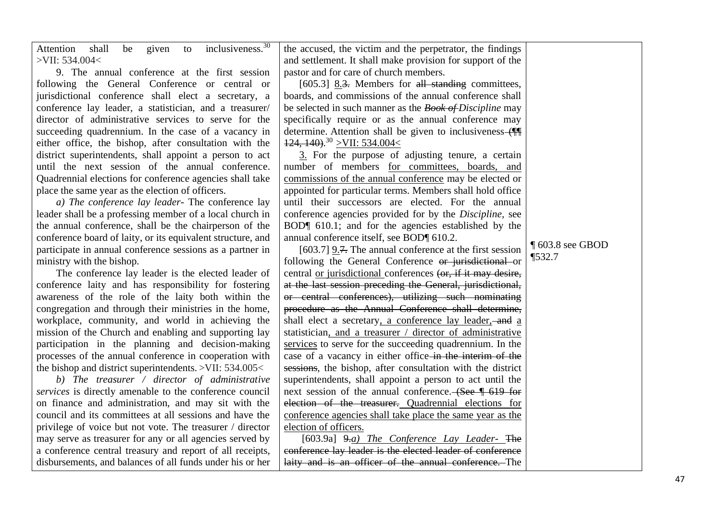Attention shall be given to inclusiveness. $30$  $>$ VII: 534.004 $<$ 

9. The annual conference at the first session following the General Conference or central or jurisdictional conference shall elect a secretary, a conference lay leader, a statistician, and a treasurer/ director of administrative services to serve for the succeeding quadrennium. In the case of a vacancy in either office, the bishop, after consultation with the district superintendents, shall appoint a person to act until the next session of the annual conference. Quadrennial elections for conference agencies shall take place the same year as the election of officers.

*a) The conference lay leader-* The conference lay leader shall be a professing member of a local church in the annual conference, shall be the chairperson of the conference board of laity, or its equivalent structure, and participate in annual conference sessions as a partner in ministry with the bishop.

The conference lay leader is the elected leader of conference laity and has responsibility for fostering awareness of the role of the laity both within the congregation and through their ministries in the home, workplace, community, and world in achieving the mission of the Church and enabling and supporting lay participation in the planning and decision-making processes of the annual conference in cooperation with the bishop and district superintendents. >VII: 534.005<

*b) The treasurer / director of administrative services* is directly amenable to the conference council on finance and administration, and may sit with the council and its committees at all sessions and have the privilege of voice but not vote. The treasurer / director may serve as treasurer for any or all agencies served by a conference central treasury and report of all receipts, disbursements, and balances of all funds under his or her the accused, the victim and the perpetrator, the findings and settlement. It shall make provision for support of the pastor and for care of church members.

[605.3] 8.3. Members for all standing committees, boards, and commissions of the annual conference shall be selected in such manner as the *Book of Discipline* may specifically require or as the annual conference may determine. Attention shall be given to inclusiveness ( $\P$  $124, 140$ .<sup>30</sup>  $\geq$ VII: 534.004<

3. For the purpose of adjusting tenure, a certain number of members for committees, boards, and commissions of the annual conference may be elected or appointed for particular terms. Members shall hold office until their successors are elected. For the annual conference agencies provided for by the *Discipline,* see BOD¶ 610.1; and for the agencies established by the annual conference itself, see BOD¶ 610.2.

[603.7]  $9.7.$  The annual conference at the first session following the General Conference or jurisdictional or central or jurisdictional conferences (or, if it may desire, at the last session preceding the General, jurisdictional, or central conferences), utilizing such nominating procedure as the Annual Conference shall determine, shall elect a secretary, a conference lay leader, and a statistician, and a treasurer / director of administrative services to serve for the succeeding quadrennium. In the case of a vacancy in either office in the interim of the sessions, the bishop, after consultation with the district superintendents, shall appoint a person to act until the next session of the annual conference. (See ¶ 619 for election of the treasurer. Quadrennial elections for conference agencies shall take place the same year as the election of officers.

[603.9a] 9.*a) The Conference Lay Leader-* The conference lay leader is the elected leader of conference laity and is an officer of the annual conference. The

¶ 603.8 see GBOD ¶532.7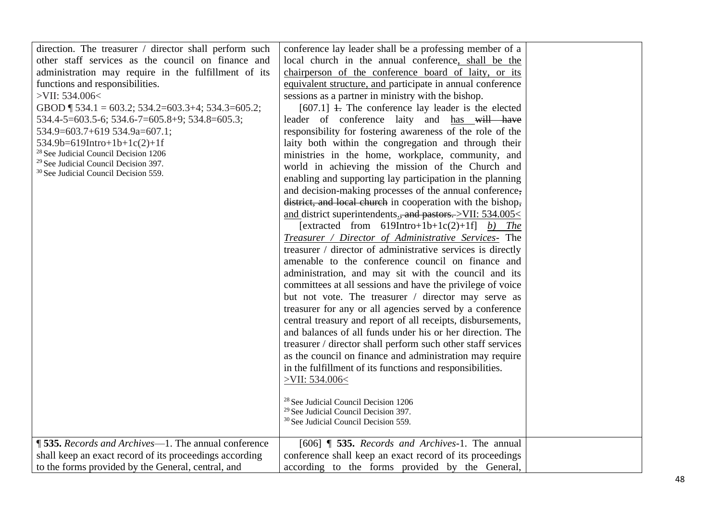| other staff services as the council on finance and<br>local church in the annual conference, shall be the<br>administration may require in the fulfillment of its<br>chairperson of the conference board of laity, or its<br>equivalent structure, and participate in annual conference<br>functions and responsibilities.<br>sessions as a partner in ministry with the bishop.<br>$>$ VII: 534.006 $<$<br>GBOD $\sqrt{534.1}$ = 603.2; 534.2=603.3+4; 534.3=605.2;<br>$[607.1]$ +. The conference lay leader is the elected<br>leader of conference laity and has will have<br>534.4-5=603.5-6; 534.6-7=605.8+9; 534.8=605.3;<br>responsibility for fostering awareness of the role of the<br>534.9=603.7+619 534.9a=607.1;<br>$534.9b = 619$ Intro+ $1b+1c(2)+1f$<br>laity both within the congregation and through their<br><sup>28</sup> See Judicial Council Decision 1206<br>ministries in the home, workplace, community, and<br><sup>29</sup> See Judicial Council Decision 397.<br>world in achieving the mission of the Church and<br><sup>30</sup> See Judicial Council Decision 559.<br>enabling and supporting lay participation in the planning<br>and decision-making processes of the annual conference,<br>district, and local church in cooperation with the bishop,<br>and district superintendents., and pastors. >VII: 534.005<<br>[extracted from 619Intro+1b+1c(2)+1f] $b)$ The<br>Treasurer / Director of Administrative Services- The<br>treasurer / director of administrative services is directly<br>amenable to the conference council on finance and<br>administration, and may sit with the council and its<br>committees at all sessions and have the privilege of voice<br>but not vote. The treasurer / director may serve as<br>treasurer for any or all agencies served by a conference<br>central treasury and report of all receipts, disbursements,<br>and balances of all funds under his or her direction. The<br>treasurer / director shall perform such other staff services<br>as the council on finance and administration may require<br>in the fulfillment of its functions and responsibilities.<br>$>$ VII: 534.006 $<$<br><sup>28</sup> See Judicial Council Decision 1206<br><sup>29</sup> See Judicial Council Decision 397.<br><sup>30</sup> See Judicial Council Decision 559.<br><b>1535.</b> Records and Archives-1. The annual conference<br>[606] <b>[535.</b> Records and Archives-1. The annual<br>shall keep an exact record of its proceedings according<br>conference shall keep an exact record of its proceedings | direction. The treasurer / director shall perform such | conference lay leader shall be a professing member of a |  |
|-------------------------------------------------------------------------------------------------------------------------------------------------------------------------------------------------------------------------------------------------------------------------------------------------------------------------------------------------------------------------------------------------------------------------------------------------------------------------------------------------------------------------------------------------------------------------------------------------------------------------------------------------------------------------------------------------------------------------------------------------------------------------------------------------------------------------------------------------------------------------------------------------------------------------------------------------------------------------------------------------------------------------------------------------------------------------------------------------------------------------------------------------------------------------------------------------------------------------------------------------------------------------------------------------------------------------------------------------------------------------------------------------------------------------------------------------------------------------------------------------------------------------------------------------------------------------------------------------------------------------------------------------------------------------------------------------------------------------------------------------------------------------------------------------------------------------------------------------------------------------------------------------------------------------------------------------------------------------------------------------------------------------------------------------------------------------------------------------------------------------------------------------------------------------------------------------------------------------------------------------------------------------------------------------------------------------------------------------------------------------------------------------------------------------------------------------------------------------------------------------------------------------------------------------------------------------------------|--------------------------------------------------------|---------------------------------------------------------|--|
|                                                                                                                                                                                                                                                                                                                                                                                                                                                                                                                                                                                                                                                                                                                                                                                                                                                                                                                                                                                                                                                                                                                                                                                                                                                                                                                                                                                                                                                                                                                                                                                                                                                                                                                                                                                                                                                                                                                                                                                                                                                                                                                                                                                                                                                                                                                                                                                                                                                                                                                                                                                     |                                                        |                                                         |  |
|                                                                                                                                                                                                                                                                                                                                                                                                                                                                                                                                                                                                                                                                                                                                                                                                                                                                                                                                                                                                                                                                                                                                                                                                                                                                                                                                                                                                                                                                                                                                                                                                                                                                                                                                                                                                                                                                                                                                                                                                                                                                                                                                                                                                                                                                                                                                                                                                                                                                                                                                                                                     |                                                        |                                                         |  |
|                                                                                                                                                                                                                                                                                                                                                                                                                                                                                                                                                                                                                                                                                                                                                                                                                                                                                                                                                                                                                                                                                                                                                                                                                                                                                                                                                                                                                                                                                                                                                                                                                                                                                                                                                                                                                                                                                                                                                                                                                                                                                                                                                                                                                                                                                                                                                                                                                                                                                                                                                                                     |                                                        |                                                         |  |
|                                                                                                                                                                                                                                                                                                                                                                                                                                                                                                                                                                                                                                                                                                                                                                                                                                                                                                                                                                                                                                                                                                                                                                                                                                                                                                                                                                                                                                                                                                                                                                                                                                                                                                                                                                                                                                                                                                                                                                                                                                                                                                                                                                                                                                                                                                                                                                                                                                                                                                                                                                                     |                                                        |                                                         |  |
|                                                                                                                                                                                                                                                                                                                                                                                                                                                                                                                                                                                                                                                                                                                                                                                                                                                                                                                                                                                                                                                                                                                                                                                                                                                                                                                                                                                                                                                                                                                                                                                                                                                                                                                                                                                                                                                                                                                                                                                                                                                                                                                                                                                                                                                                                                                                                                                                                                                                                                                                                                                     |                                                        |                                                         |  |
|                                                                                                                                                                                                                                                                                                                                                                                                                                                                                                                                                                                                                                                                                                                                                                                                                                                                                                                                                                                                                                                                                                                                                                                                                                                                                                                                                                                                                                                                                                                                                                                                                                                                                                                                                                                                                                                                                                                                                                                                                                                                                                                                                                                                                                                                                                                                                                                                                                                                                                                                                                                     |                                                        |                                                         |  |
|                                                                                                                                                                                                                                                                                                                                                                                                                                                                                                                                                                                                                                                                                                                                                                                                                                                                                                                                                                                                                                                                                                                                                                                                                                                                                                                                                                                                                                                                                                                                                                                                                                                                                                                                                                                                                                                                                                                                                                                                                                                                                                                                                                                                                                                                                                                                                                                                                                                                                                                                                                                     |                                                        |                                                         |  |
|                                                                                                                                                                                                                                                                                                                                                                                                                                                                                                                                                                                                                                                                                                                                                                                                                                                                                                                                                                                                                                                                                                                                                                                                                                                                                                                                                                                                                                                                                                                                                                                                                                                                                                                                                                                                                                                                                                                                                                                                                                                                                                                                                                                                                                                                                                                                                                                                                                                                                                                                                                                     |                                                        |                                                         |  |
|                                                                                                                                                                                                                                                                                                                                                                                                                                                                                                                                                                                                                                                                                                                                                                                                                                                                                                                                                                                                                                                                                                                                                                                                                                                                                                                                                                                                                                                                                                                                                                                                                                                                                                                                                                                                                                                                                                                                                                                                                                                                                                                                                                                                                                                                                                                                                                                                                                                                                                                                                                                     |                                                        |                                                         |  |
|                                                                                                                                                                                                                                                                                                                                                                                                                                                                                                                                                                                                                                                                                                                                                                                                                                                                                                                                                                                                                                                                                                                                                                                                                                                                                                                                                                                                                                                                                                                                                                                                                                                                                                                                                                                                                                                                                                                                                                                                                                                                                                                                                                                                                                                                                                                                                                                                                                                                                                                                                                                     |                                                        |                                                         |  |
|                                                                                                                                                                                                                                                                                                                                                                                                                                                                                                                                                                                                                                                                                                                                                                                                                                                                                                                                                                                                                                                                                                                                                                                                                                                                                                                                                                                                                                                                                                                                                                                                                                                                                                                                                                                                                                                                                                                                                                                                                                                                                                                                                                                                                                                                                                                                                                                                                                                                                                                                                                                     |                                                        |                                                         |  |
|                                                                                                                                                                                                                                                                                                                                                                                                                                                                                                                                                                                                                                                                                                                                                                                                                                                                                                                                                                                                                                                                                                                                                                                                                                                                                                                                                                                                                                                                                                                                                                                                                                                                                                                                                                                                                                                                                                                                                                                                                                                                                                                                                                                                                                                                                                                                                                                                                                                                                                                                                                                     |                                                        |                                                         |  |
|                                                                                                                                                                                                                                                                                                                                                                                                                                                                                                                                                                                                                                                                                                                                                                                                                                                                                                                                                                                                                                                                                                                                                                                                                                                                                                                                                                                                                                                                                                                                                                                                                                                                                                                                                                                                                                                                                                                                                                                                                                                                                                                                                                                                                                                                                                                                                                                                                                                                                                                                                                                     |                                                        |                                                         |  |
|                                                                                                                                                                                                                                                                                                                                                                                                                                                                                                                                                                                                                                                                                                                                                                                                                                                                                                                                                                                                                                                                                                                                                                                                                                                                                                                                                                                                                                                                                                                                                                                                                                                                                                                                                                                                                                                                                                                                                                                                                                                                                                                                                                                                                                                                                                                                                                                                                                                                                                                                                                                     |                                                        |                                                         |  |
|                                                                                                                                                                                                                                                                                                                                                                                                                                                                                                                                                                                                                                                                                                                                                                                                                                                                                                                                                                                                                                                                                                                                                                                                                                                                                                                                                                                                                                                                                                                                                                                                                                                                                                                                                                                                                                                                                                                                                                                                                                                                                                                                                                                                                                                                                                                                                                                                                                                                                                                                                                                     |                                                        |                                                         |  |
|                                                                                                                                                                                                                                                                                                                                                                                                                                                                                                                                                                                                                                                                                                                                                                                                                                                                                                                                                                                                                                                                                                                                                                                                                                                                                                                                                                                                                                                                                                                                                                                                                                                                                                                                                                                                                                                                                                                                                                                                                                                                                                                                                                                                                                                                                                                                                                                                                                                                                                                                                                                     |                                                        |                                                         |  |
|                                                                                                                                                                                                                                                                                                                                                                                                                                                                                                                                                                                                                                                                                                                                                                                                                                                                                                                                                                                                                                                                                                                                                                                                                                                                                                                                                                                                                                                                                                                                                                                                                                                                                                                                                                                                                                                                                                                                                                                                                                                                                                                                                                                                                                                                                                                                                                                                                                                                                                                                                                                     |                                                        |                                                         |  |
|                                                                                                                                                                                                                                                                                                                                                                                                                                                                                                                                                                                                                                                                                                                                                                                                                                                                                                                                                                                                                                                                                                                                                                                                                                                                                                                                                                                                                                                                                                                                                                                                                                                                                                                                                                                                                                                                                                                                                                                                                                                                                                                                                                                                                                                                                                                                                                                                                                                                                                                                                                                     |                                                        |                                                         |  |
|                                                                                                                                                                                                                                                                                                                                                                                                                                                                                                                                                                                                                                                                                                                                                                                                                                                                                                                                                                                                                                                                                                                                                                                                                                                                                                                                                                                                                                                                                                                                                                                                                                                                                                                                                                                                                                                                                                                                                                                                                                                                                                                                                                                                                                                                                                                                                                                                                                                                                                                                                                                     |                                                        |                                                         |  |
|                                                                                                                                                                                                                                                                                                                                                                                                                                                                                                                                                                                                                                                                                                                                                                                                                                                                                                                                                                                                                                                                                                                                                                                                                                                                                                                                                                                                                                                                                                                                                                                                                                                                                                                                                                                                                                                                                                                                                                                                                                                                                                                                                                                                                                                                                                                                                                                                                                                                                                                                                                                     |                                                        |                                                         |  |
|                                                                                                                                                                                                                                                                                                                                                                                                                                                                                                                                                                                                                                                                                                                                                                                                                                                                                                                                                                                                                                                                                                                                                                                                                                                                                                                                                                                                                                                                                                                                                                                                                                                                                                                                                                                                                                                                                                                                                                                                                                                                                                                                                                                                                                                                                                                                                                                                                                                                                                                                                                                     |                                                        |                                                         |  |
|                                                                                                                                                                                                                                                                                                                                                                                                                                                                                                                                                                                                                                                                                                                                                                                                                                                                                                                                                                                                                                                                                                                                                                                                                                                                                                                                                                                                                                                                                                                                                                                                                                                                                                                                                                                                                                                                                                                                                                                                                                                                                                                                                                                                                                                                                                                                                                                                                                                                                                                                                                                     |                                                        |                                                         |  |
|                                                                                                                                                                                                                                                                                                                                                                                                                                                                                                                                                                                                                                                                                                                                                                                                                                                                                                                                                                                                                                                                                                                                                                                                                                                                                                                                                                                                                                                                                                                                                                                                                                                                                                                                                                                                                                                                                                                                                                                                                                                                                                                                                                                                                                                                                                                                                                                                                                                                                                                                                                                     |                                                        |                                                         |  |
|                                                                                                                                                                                                                                                                                                                                                                                                                                                                                                                                                                                                                                                                                                                                                                                                                                                                                                                                                                                                                                                                                                                                                                                                                                                                                                                                                                                                                                                                                                                                                                                                                                                                                                                                                                                                                                                                                                                                                                                                                                                                                                                                                                                                                                                                                                                                                                                                                                                                                                                                                                                     |                                                        |                                                         |  |
|                                                                                                                                                                                                                                                                                                                                                                                                                                                                                                                                                                                                                                                                                                                                                                                                                                                                                                                                                                                                                                                                                                                                                                                                                                                                                                                                                                                                                                                                                                                                                                                                                                                                                                                                                                                                                                                                                                                                                                                                                                                                                                                                                                                                                                                                                                                                                                                                                                                                                                                                                                                     |                                                        |                                                         |  |
|                                                                                                                                                                                                                                                                                                                                                                                                                                                                                                                                                                                                                                                                                                                                                                                                                                                                                                                                                                                                                                                                                                                                                                                                                                                                                                                                                                                                                                                                                                                                                                                                                                                                                                                                                                                                                                                                                                                                                                                                                                                                                                                                                                                                                                                                                                                                                                                                                                                                                                                                                                                     |                                                        |                                                         |  |
|                                                                                                                                                                                                                                                                                                                                                                                                                                                                                                                                                                                                                                                                                                                                                                                                                                                                                                                                                                                                                                                                                                                                                                                                                                                                                                                                                                                                                                                                                                                                                                                                                                                                                                                                                                                                                                                                                                                                                                                                                                                                                                                                                                                                                                                                                                                                                                                                                                                                                                                                                                                     |                                                        |                                                         |  |
|                                                                                                                                                                                                                                                                                                                                                                                                                                                                                                                                                                                                                                                                                                                                                                                                                                                                                                                                                                                                                                                                                                                                                                                                                                                                                                                                                                                                                                                                                                                                                                                                                                                                                                                                                                                                                                                                                                                                                                                                                                                                                                                                                                                                                                                                                                                                                                                                                                                                                                                                                                                     |                                                        |                                                         |  |
|                                                                                                                                                                                                                                                                                                                                                                                                                                                                                                                                                                                                                                                                                                                                                                                                                                                                                                                                                                                                                                                                                                                                                                                                                                                                                                                                                                                                                                                                                                                                                                                                                                                                                                                                                                                                                                                                                                                                                                                                                                                                                                                                                                                                                                                                                                                                                                                                                                                                                                                                                                                     |                                                        |                                                         |  |
|                                                                                                                                                                                                                                                                                                                                                                                                                                                                                                                                                                                                                                                                                                                                                                                                                                                                                                                                                                                                                                                                                                                                                                                                                                                                                                                                                                                                                                                                                                                                                                                                                                                                                                                                                                                                                                                                                                                                                                                                                                                                                                                                                                                                                                                                                                                                                                                                                                                                                                                                                                                     |                                                        |                                                         |  |
|                                                                                                                                                                                                                                                                                                                                                                                                                                                                                                                                                                                                                                                                                                                                                                                                                                                                                                                                                                                                                                                                                                                                                                                                                                                                                                                                                                                                                                                                                                                                                                                                                                                                                                                                                                                                                                                                                                                                                                                                                                                                                                                                                                                                                                                                                                                                                                                                                                                                                                                                                                                     |                                                        |                                                         |  |
|                                                                                                                                                                                                                                                                                                                                                                                                                                                                                                                                                                                                                                                                                                                                                                                                                                                                                                                                                                                                                                                                                                                                                                                                                                                                                                                                                                                                                                                                                                                                                                                                                                                                                                                                                                                                                                                                                                                                                                                                                                                                                                                                                                                                                                                                                                                                                                                                                                                                                                                                                                                     |                                                        |                                                         |  |
|                                                                                                                                                                                                                                                                                                                                                                                                                                                                                                                                                                                                                                                                                                                                                                                                                                                                                                                                                                                                                                                                                                                                                                                                                                                                                                                                                                                                                                                                                                                                                                                                                                                                                                                                                                                                                                                                                                                                                                                                                                                                                                                                                                                                                                                                                                                                                                                                                                                                                                                                                                                     |                                                        |                                                         |  |
|                                                                                                                                                                                                                                                                                                                                                                                                                                                                                                                                                                                                                                                                                                                                                                                                                                                                                                                                                                                                                                                                                                                                                                                                                                                                                                                                                                                                                                                                                                                                                                                                                                                                                                                                                                                                                                                                                                                                                                                                                                                                                                                                                                                                                                                                                                                                                                                                                                                                                                                                                                                     |                                                        |                                                         |  |
|                                                                                                                                                                                                                                                                                                                                                                                                                                                                                                                                                                                                                                                                                                                                                                                                                                                                                                                                                                                                                                                                                                                                                                                                                                                                                                                                                                                                                                                                                                                                                                                                                                                                                                                                                                                                                                                                                                                                                                                                                                                                                                                                                                                                                                                                                                                                                                                                                                                                                                                                                                                     | to the forms provided by the General, central, and     | according to the forms provided by the General,         |  |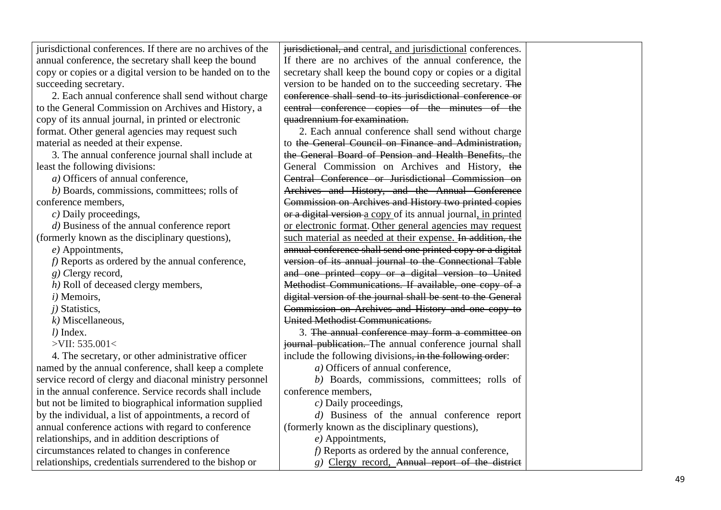jurisdictional conferences. If there are no archives of the annual conference, the secretary shall keep the bound copy or copies or a digital version to be handed on to the succeeding secretary.

2. Each annual conference shall send without charge to the General Commission on Archives and History, a copy of its annual journal, in printed or electronic format. Other general agencies may request such material as needed at their expense.

3. The annual conference journal shall include at least the following divisions:

*a)* Officers of annual conference,

*b)* Boards, commissions, committees; rolls of conference members,

*c)* Daily proceedings,

*d*) Business of the annual conference report (formerly known as the disciplinary questions),

*e)* Appointments,

*f*) Reports as ordered by the annual conference,

*g) C*lergy record,

*h*) Roll of deceased clergy members,

*i)* Memoirs,

*j*) Statistics,

*k)* Miscellaneous,

*l)* Index.

 $>$ VII: 535.001<

4. The secretary, or other administrative officer named by the annual conference, shall keep a complete service record of clergy and diaconal ministry personnel in the annual conference. Service records shall include but not be limited to biographical information supplied by the individual, a list of appointments, a record of annual conference actions with regard to conference relationships, and in addition descriptions of circumstances related to changes in conference relationships, credentials surrendered to the bishop or

iurisdictional, and central, and jurisdictional conferences. If there are no archives of the annual conference, the secretary shall keep the bound copy or copies or a digital version to be handed on to the succeeding secretary. The conference shall send to its jurisdictional conference or central conference copies of the minutes of the quadrennium for examination.

2. Each annual conference shall send without charge to the General Council on Finance and Administration the General Board of Pension and Health Benefits, the General Commission on Archives and History, the Central Conference or Jurisdictional Commission on Archives and History, and the Annual Conference Commission on Archives and History two printed copies or a digital version a copy of its annual journal, in printed or electronic format . Other general agencies may request such material as needed at their expense. In addition, the annual conference shall send one printed copy or a digital version of its annual journal to the Connectional Table and one printed copy or a digital version to United Methodist Communications. If available, one copy of a digital version of the journal shall be sent to the General Commission on Archives and History and one copy to United Methodist Communications.

3. The annual conference may form a committee on journal publication. The annual conference journal shall include the following divisions, in the following order:

*a)* Officers of annual conference,

*b)* Boards, commissions, committees; rolls of conference members,

*c)* Daily proceedings,

*d)* Business of the annual conference report (formerly known as the disciplinary questions),

*e)* Appointments,

*f)* Reports as ordered by the annual conference,

*g)* Clergy record, Annual report of the district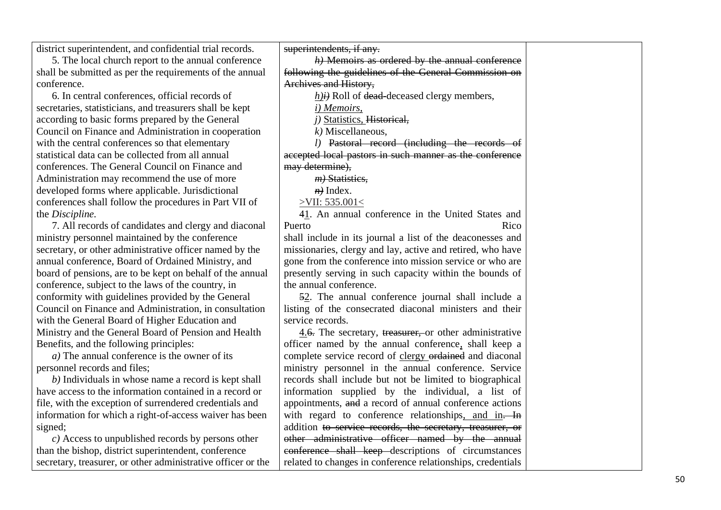district superintendent, and confidential trial records.

5. The local church report to the annual conference shall be submitted as per the requirements of the annual conference.

6. In central conferences, official records of secretaries, statisticians, and treasurers shall be kept according to basic forms prepared by the General Council on Finance and Administration in cooperation with the central conferences so that elementary statistical data can be collected from all annual conferences. The General Council on Finance and Administration may recommend the use of more developed forms where applicable. Jurisdictional conferences shall follow the procedures in Part VII of the *Discipline.*

7. All records of candidates and clergy and diaconal ministry personnel maintained by the conference secretary, or other administrative officer named by the annual conference, Board of Ordained Ministry, and board of pensions, are to be kept on behalf of the annual conference, subject to the laws of the country, in conformity with guidelines provided by the General Council on Finance and Administration, in consultation with the General Board of Higher Education and Ministry and the General Board of Pension and Health Benefits, and the following principles:

*a)* The annual conference is the owner of its personnel records and files;

*b)* Individuals in whose name a record is kept shall have access to the information contained in a record or file, with the exception of surrendered credentials and information for which a right -of-access waiver has been signed;

*c)* Access to unpublished records by persons other than the bishop, district superintendent, conference secretary, treasurer, or other administrative officer or the superintendents, if any.

*h)* Memoirs as ordered by the annual conference following the guidelines of the General Commission on Archives and History,

*h)i)* Roll of dead -deceased clergy members,

*i) Memoirs,*

*j*) Statistics, Historical.

*k)* Miscellaneous,

*l)* Pastoral record (including the records of accepted local pastors in such manner as the conference may determine).

*m)* Statistics,

*n)* Index.

>VII: 535.001<

41. An annual conference in the United States and Puerto Rico

shall include in its journal a list of the deaconesses and missionaries, clergy and lay, active and retired, who have gone from the conference into mission service or who are presently serving in such capacity within the bounds of the annual conference.

52. The annual conference journal shall include a listing of the consecrated diaconal ministers and their service records.

4.6. The secretary, treasurer, or other administrative officer named by the annual conference , shall keep a complete service record of clergy ordained and diaconal ministry personnel in the annual conference. Service records shall include but not be limited to biographical information supplied by the individual, a list of appointments, and a record of annual conference actions with regard to conference relationships, and in. In addition to service records, the secretary, treasurer, or other administrative officer named by the annual conference shall keep descriptions of circumstances related to changes in conference relationships, credentials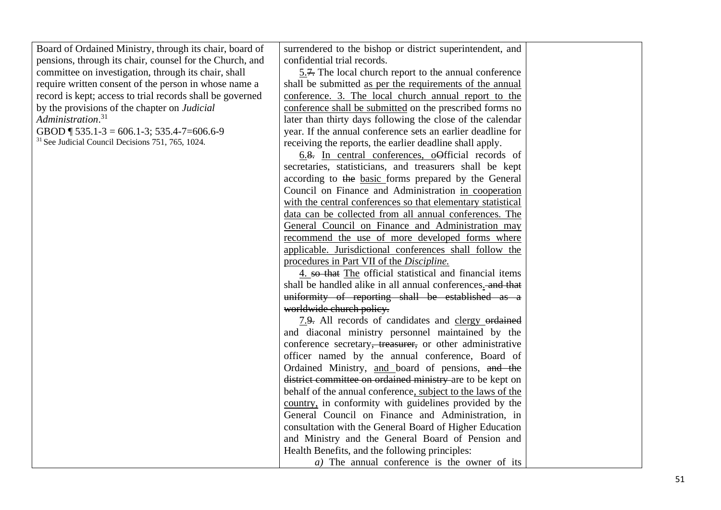Board of Ordained Ministry, through its chair, board of pensions, through its chair, counsel for the Church, and committee on investigation, through its chair, shall require written consent of the person in whose name a record is kept; access to trial records shall be governed by the provisions of the chapter on *Judicial Administration* . 3 1

GBOD  $\sqrt{ }$  535.1-3 = 606.1-3; 535.4-7=606.6-9 <sup>31</sup> See Judicial Council Decisions 751, 765, 1024.

surrendered to the bishop or district superintendent, and confidential trial records.

5.7. The local church report to the annual conference shall be submitted as per the requirements of the annual conference. 3. The local church annual report to the conference shall be submitted on the prescribed forms no later than thirty days following the close of the calendar year. If the annual conference sets an earlier deadline for receiving the reports, the earlier deadline shall apply.

6.8. In central conferences, o Official records of secretaries, statisticians, and treasurers shall be kept according to the basic forms prepared by the General Council on Finance and Administration in cooperation with the central conferences so that elementary statistical data can be collected from all annual conferences. The General Council on Finance and Administration may recommend the use of more developed forms where applicable. Jurisdictional conferences shall follow the procedures in Part VII of the *Discipline.*

4. so that The official statistical and financial items shall be handled alike in all annual conferences and that uniformity of reporting shall be established as a worldwide church policy.

7.9. All records of candidates and clergy ordained and diaconal ministry personnel maintained by the conference secretary, treasurer, or other administrative officer named by the annual conference, Board of Ordained Ministry, and board of pensions, and the district committee on ordained ministry are to be kept on behalf of the annual conference, subject to the laws of the country, in conformity with guidelines provided by the General Council on Finance and Administration, in consultation with the General Board of Higher Education and Ministry and the General Board of Pension and Health Benefits, and the following principles:

*a)* The annual conference is the owner of its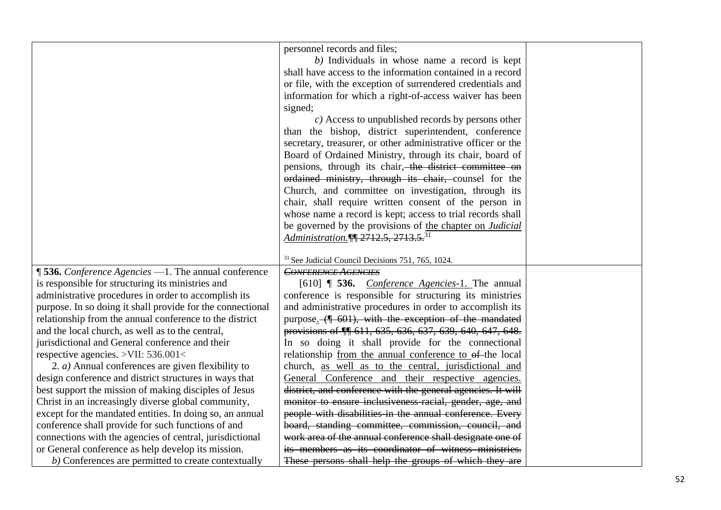|                                                            | personnel records and files;                                               |  |
|------------------------------------------------------------|----------------------------------------------------------------------------|--|
|                                                            |                                                                            |  |
|                                                            | b) Individuals in whose name a record is kept                              |  |
|                                                            | shall have access to the information contained in a record                 |  |
|                                                            | or file, with the exception of surrendered credentials and                 |  |
|                                                            | information for which a right-of-access waiver has been                    |  |
|                                                            | signed;                                                                    |  |
|                                                            | $c)$ Access to unpublished records by persons other                        |  |
|                                                            | than the bishop, district superintendent, conference                       |  |
|                                                            | secretary, treasurer, or other administrative officer or the               |  |
|                                                            | Board of Ordained Ministry, through its chair, board of                    |  |
|                                                            | pensions, through its chair, the district committee on                     |  |
|                                                            | ordained ministry, through its chair, counsel for the                      |  |
|                                                            | Church, and committee on investigation, through its                        |  |
|                                                            | chair, shall require written consent of the person in                      |  |
|                                                            | whose name a record is kept; access to trial records shall                 |  |
|                                                            | be governed by the provisions of the chapter on <i>Judicial</i>            |  |
|                                                            | Administration. 11 2712.5, 2713.5. <sup>31</sup>                           |  |
|                                                            |                                                                            |  |
|                                                            | <sup>31</sup> See Judicial Council Decisions 751, 765, 1024.               |  |
| <b>1536.</b> Conference Agencies -1. The annual conference | <b>CONFERENCE AGENCIES</b>                                                 |  |
| is responsible for structuring its ministries and          | [610] $\blacksquare$ <b>536.</b> <i>Conference Agencies-1</i> . The annual |  |
| administrative procedures in order to accomplish its       | conference is responsible for structuring its ministries                   |  |
| purpose. In so doing it shall provide for the connectional | and administrative procedures in order to accomplish its                   |  |
| relationship from the annual conference to the district    | purpose. (1 601), with the exception of the mandated                       |  |
| and the local church, as well as to the central,           | provisions of <i>[4611, 635, 636, 637, 639, 640, 647, 648.</i>             |  |
| jurisdictional and General conference and their            | In so doing it shall provide for the connectional                          |  |
| respective agencies. >VII: $536.001<$                      | relationship from the annual conference to of the local                    |  |
| 2. $a)$ Annual conferences are given flexibility to        | church, as well as to the central, jurisdictional and                      |  |
| design conference and district structures in ways that     | General Conference and their respective agencies.                          |  |
| best support the mission of making disciples of Jesus      | district, and conference with the general agencies. It will                |  |
| Christ in an increasingly diverse global community,        | monitor to ensure inclusiveness racial, gender, age, and                   |  |
| except for the mandated entities. In doing so, an annual   | people with disabilities in the annual conference. Every                   |  |
| conference shall provide for such functions of and         | board, standing committee, commission, council, and                        |  |
| connections with the agencies of central, jurisdictional   | work area of the annual conference shall designate one of                  |  |
| or General conference as help develop its mission.         | its members as its coordinator of witness ministries.                      |  |
| $b)$ Conferences are permitted to create contextually      | These persons shall help the groups of which they are                      |  |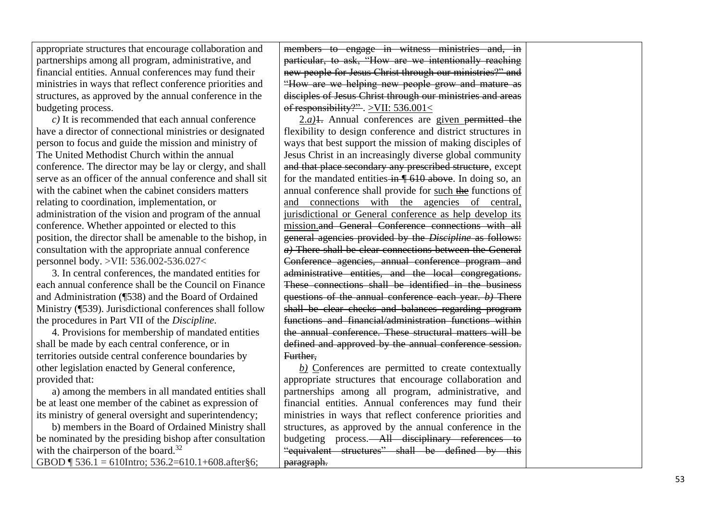appropriate structures that encourage collaboration and partnerships among all program, administrative, and financial entities. Annual conferences may fund their ministries in ways that reflect conference priorities and structures, as approved by the annual conference in the budgeting process.

*c)* It is recommended that each annual conference have a director of connectional ministries or designated person to focus and guide the mission and ministry of The United Methodist Church within the annual conference. The director may be lay or clergy, and shall serve as an officer of the annual conference and shall sit with the cabinet when the cabinet considers matters relating to coordination, implementation, or administration of the vision and program of the annual conference. Whether appointed or elected to this position, the director shall be amenable to the bishop, in consultation with the appropriate annual conference personnel body. >VII: 536.002-536.027<

3. In central conferences, the mandated entities for each annual conference shall be the Council on Finance and Administration (¶538) and the Board of Ordained Ministry (¶539). Jurisdictional conferences shall follow the procedures in Part VII of the *Discipline.*

4. Provisions for membership of mandated entities shall be made by each central conference, or in territories outside central conference boundaries by other legislation enacted by General conference, provided that:

a) among the members in all mandated entities shall be at least one member of the cabinet as expression of its ministry of general oversight and superintendency;

b) members in the Board of Ordained Ministry shall be nominated by the presiding bishop after consultation with the chairperson of the board. $32$ GBOD  $\sqrt{536.1} = 610$ Intro; 536.2=610.1+608.after §6;

members to engage in witness ministries and, in particular, to ask, "How are we intentionally reaching new people for Jesus Christ through our ministries?" and "How are we helping new people grow and mature as disciples of Jesus Christ through our ministries and areas of responsibility?". >VII: 536.001<

 $2.a$   $\theta$ . Annual conferences are given permitted the flexibility to design conference and district structures in ways that best support the mission of making disciples of Jesus Christ in an increasingly diverse global community and that place secondary any prescribed structure, except for the mandated entities in  $\P$  610 above. In doing so, an annual conference shall provide for such the functions of and connections with the agencies of central, jurisdictional or General conference as help develop its mission.and General Conference connections with all general agencies provided by the *Discipline* as follows: *a)* There shall be clear connections between the General Conference agencies, annual conference program and administrative entities, and the local congregations. These connections shall be identified in the business questions of the annual conference each year. *b)* There shall be clear checks and balances regarding program functions and financial/administration functions within the annual conference. These structural matters will be defined and approved by the annual conference session. Further,

*b)* Conferences are permitted to create contextually appropriate structures that encourage collaboration and partnerships among all program, administrative, and financial entities. Annual conferences may fund their ministries in ways that reflect conference priorities and structures, as approved by the annual conference in the budgeting process. All disciplinary references to "equivalent structures" shall be defined by this paragraph.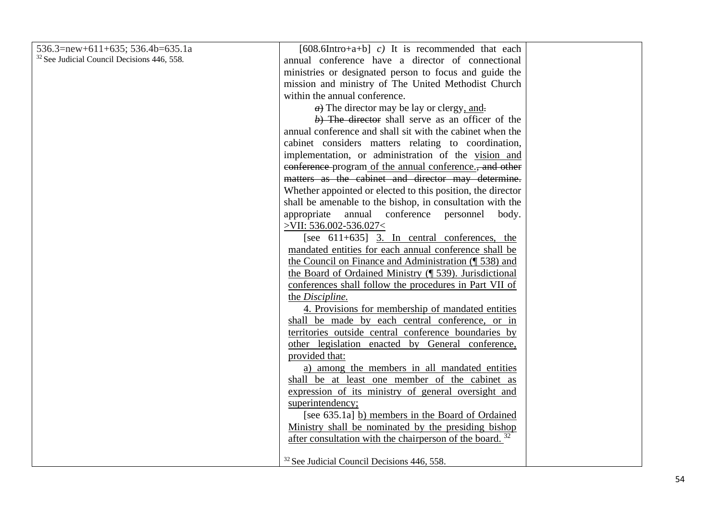| $536.3$ =new+611+635; 536.4b=635.1a                    | [608.6Intro+a+b] c) It is recommended that each                      |  |
|--------------------------------------------------------|----------------------------------------------------------------------|--|
| <sup>32</sup> See Judicial Council Decisions 446, 558. | annual conference have a director of connectional                    |  |
|                                                        | ministries or designated person to focus and guide the               |  |
|                                                        | mission and ministry of The United Methodist Church                  |  |
|                                                        | within the annual conference.                                        |  |
|                                                        | $\alpha$ ) The director may be lay or clergy, and.                   |  |
|                                                        | $\langle b \rangle$ The director shall serve as an officer of the    |  |
|                                                        | annual conference and shall sit with the cabinet when the            |  |
|                                                        | cabinet considers matters relating to coordination,                  |  |
|                                                        | implementation, or administration of the vision and                  |  |
|                                                        | conference program of the annual conference., and other              |  |
|                                                        | matters as the cabinet and director may determine.                   |  |
|                                                        | Whether appointed or elected to this position, the director          |  |
|                                                        | shall be amenable to the bishop, in consultation with the            |  |
|                                                        | appropriate<br>annual conference personnel<br>body.                  |  |
|                                                        | $\geq$ VII: 536.002-536.027<                                         |  |
|                                                        | [see 611+635] 3. In central conferences, the                         |  |
|                                                        | mandated entities for each annual conference shall be                |  |
|                                                        | the Council on Finance and Administration (¶ 538) and                |  |
|                                                        | the Board of Ordained Ministry (¶ 539). Jurisdictional               |  |
|                                                        | conferences shall follow the procedures in Part VII of               |  |
|                                                        | the Discipline.                                                      |  |
|                                                        | 4. Provisions for membership of mandated entities                    |  |
|                                                        | shall be made by each central conference, or in                      |  |
|                                                        | territories outside central conference boundaries by                 |  |
|                                                        | other legislation enacted by General conference,                     |  |
|                                                        | provided that:                                                       |  |
|                                                        | a) among the members in all mandated entities                        |  |
|                                                        | shall be at least one member of the cabinet as                       |  |
|                                                        | expression of its ministry of general oversight and                  |  |
|                                                        | superintendency;<br>[see 635.1a] b) members in the Board of Ordained |  |
|                                                        | Ministry shall be nominated by the presiding bishop                  |  |
|                                                        | after consultation with the chairperson of the board. <sup>32</sup>  |  |
|                                                        |                                                                      |  |
|                                                        | <sup>32</sup> See Judicial Council Decisions 446, 558.               |  |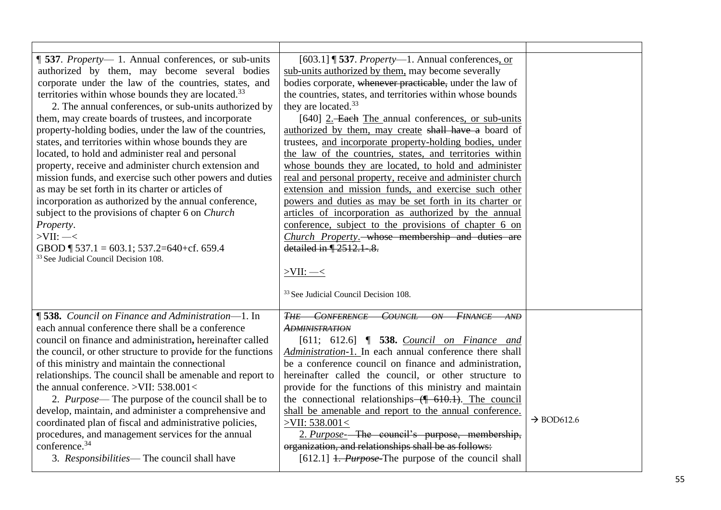| <b>1537.</b> Property— 1. Annual conferences, or sub-units<br>authorized by them, may become several bodies<br>corporate under the law of the countries, states, and<br>territories within whose bounds they are located. <sup>33</sup><br>2. The annual conferences, or sub-units authorized by<br>them, may create boards of trustees, and incorporate<br>property-holding bodies, under the law of the countries,<br>states, and territories within whose bounds they are<br>located, to hold and administer real and personal<br>property, receive and administer church extension and<br>mission funds, and exercise such other powers and duties<br>as may be set forth in its charter or articles of<br>incorporation as authorized by the annual conference,<br>subject to the provisions of chapter 6 on Church<br>Property.<br>$>$ VII: $-$ <<br>GBOD $\sqrt{537.1}$ = 603.1; 537.2=640+cf. 659.4<br><sup>33</sup> See Judicial Council Decision 108. | [603.1] $\parallel$ 537. <i>Property</i> —1. Annual conferences, or<br>sub-units authorized by them, may become severally<br>bodies corporate, whenever practicable, under the law of<br>the countries, states, and territories within whose bounds<br>they are located. $33$<br>[640] 2. Each The annual conferences, or sub-units<br>authorized by them, may create shall have a board of<br>trustees, and incorporate property-holding bodies, under<br>the law of the countries, states, and territories within<br>whose bounds they are located, to hold and administer<br>real and personal property, receive and administer church<br>extension and mission funds, and exercise such other<br>powers and duties as may be set forth in its charter or<br>articles of incorporation as authorized by the annual<br>conference, subject to the provisions of chapter 6 on<br>Church Property.—whose membership and duties are<br>detailed in 12512.1-8.<br>$>$ VII: $-$ <<br><sup>33</sup> See Judicial Council Decision 108. |                        |
|-----------------------------------------------------------------------------------------------------------------------------------------------------------------------------------------------------------------------------------------------------------------------------------------------------------------------------------------------------------------------------------------------------------------------------------------------------------------------------------------------------------------------------------------------------------------------------------------------------------------------------------------------------------------------------------------------------------------------------------------------------------------------------------------------------------------------------------------------------------------------------------------------------------------------------------------------------------------|------------------------------------------------------------------------------------------------------------------------------------------------------------------------------------------------------------------------------------------------------------------------------------------------------------------------------------------------------------------------------------------------------------------------------------------------------------------------------------------------------------------------------------------------------------------------------------------------------------------------------------------------------------------------------------------------------------------------------------------------------------------------------------------------------------------------------------------------------------------------------------------------------------------------------------------------------------------------------------------------------------------------------------|------------------------|
| <b>[538.</b> Council on Finance and Administration-1. In<br>each annual conference there shall be a conference<br>council on finance and administration, hereinafter called<br>the council, or other structure to provide for the functions<br>of this ministry and maintain the connectional<br>relationships. The council shall be amenable and report to<br>the annual conference. $>$ VII: 538.001 <<br>2. <i>Purpose</i> — The purpose of the council shall be to<br>develop, maintain, and administer a comprehensive and<br>coordinated plan of fiscal and administrative policies,<br>procedures, and management services for the annual<br>conference. <sup>34</sup><br>3. Responsibilities— The council shall have                                                                                                                                                                                                                                    | THE CONFERENCE COUNCIL<br><b>FINANCE</b><br>$\overline{\theta N}$<br>$-$ AND<br><b>ADMINISTRATION</b><br>[611; 612.6] <b>[538.</b> Council on Finance and<br>Administration-1. In each annual conference there shall<br>be a conference council on finance and administration,<br>hereinafter called the council, or other structure to<br>provide for the functions of this ministry and maintain<br>the connectional relationships $(4, 610.1)$ . The council<br>shall be amenable and report to the annual conference.<br>$>$ VII: 538.001 $<$<br>2. Purpose-The council's purpose, membership,<br>organization, and relationships shall be as follows:<br>$[612.1]$ 1. <i>Purpose</i> -The purpose of the council shall                                                                                                                                                                                                                                                                                                        | $\rightarrow$ BOD612.6 |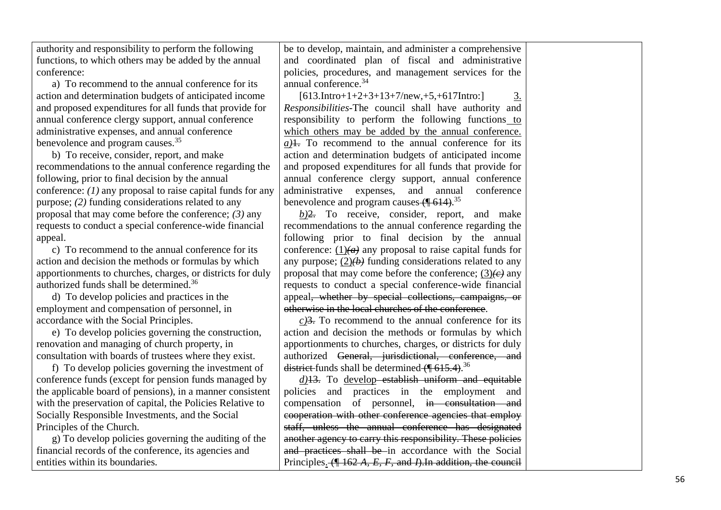authority and responsibility to perform the following functions, to which others may be added by the annual conference:

a) To recommend to the annual conference for its action and determination budgets of anticipated income and proposed expenditures for all funds that provide for annual conference clergy support, annual conference administrative expenses, and annual conference benevolence and program causes.<sup>35</sup>

b) To receive, consider, report, and make recommendations to the annual conference regarding the following, prior to final decision by the annual conference: *(1)* any proposal to raise capital funds for any purpose; *(2)* funding considerations related to any proposal that may come before the conference; *(3)* any requests to conduct a special conference -wide financial appeal.

c) To recommend to the annual conference for its action and decision the methods or formulas by which apportionments to churches, charges, or districts for duly authorized funds shall be determined 36

d) To develop policies and practices in the employment and compensation of personnel, in accordance with the Social Principles.

e) To develop policies governing the construction, renovation and managing of church property, in consultation with boards of trustees where they exist.

f) To develop policies governing the investment of conference funds (except for pension funds managed by the applicable board of pensions), in a manner consistent with the preservation of capital, the Policies Relative to Socially Responsible Investments, and the Social Principles of the Church.

g) To develop policies governing the auditing of the financial records of the conference, its agencies and entities within its boundaries.

be to develop, maintain, and administer a comprehensive and coordinated plan of fiscal and administrative policies, procedures, and management services for the annual conference.<sup>34</sup>

 $[613.Intro+1+2+3+13+7/new, +5, +617Intro:]$  3. *Responsibilities* -The council shall have authority and responsibility to perform the following functions to which others may be added by the annual conference. *a)*1. To recommend to the annual conference for its action and determination budgets of anticipated income and proposed expenditures for all funds that provide for annual conference clergy support, annual conference administrative expenses, and annual conference benevolence and program causes (1614).<sup>35</sup>

*b)*2. To receive, consider, report, and make recommendations to the annual conference regarding the following prior to final decision by the annual conference: (1)*(a)* any proposal to raise capital funds for any purpose;  $(2)$ (b) funding considerations related to any proposal that may come before the conference;  $(3)$ ( $\epsilon$ ) any requests to conduct a special conference -wide financial appeal, whether by special collections, campaigns, or otherwise in the local churches of the conference .

*c)*3. To recommend to the annual conference for its action and decision the methods or formulas by which apportionments to churches, charges, or districts for duly authorized General, jurisdictional, conference, and district funds shall be determined  $(\sqrt{615.4})^{36}$ 

 $d$ ) $+3$ . To develop-establish uniform and equitable policies and practices in the employment and compensation of personnel, in consultation and cooperation with other conference agencies that employ staff, unless the annual conference has designated another agency to carry this responsibility. These policies and practices shall be in accordance with the Social Principles. (1162 A, E, F, and I). In addition, the council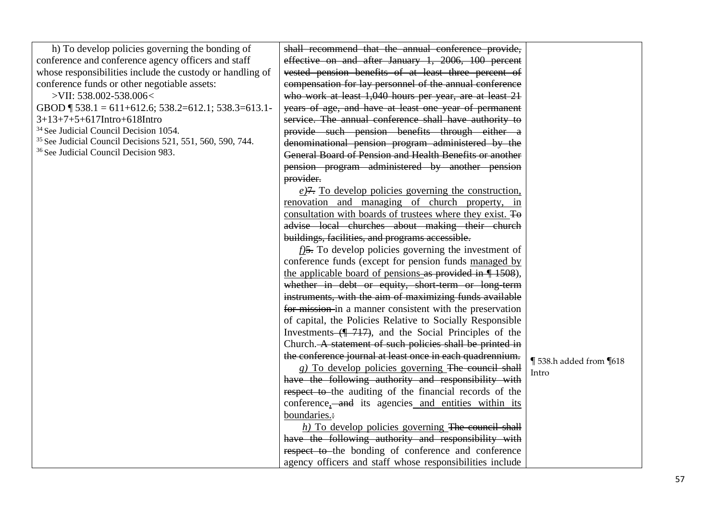| h) To develop policies governing the bonding of<br>shall recommend that the annual conference provide,<br>conference and conference agency officers and staff<br>effective on and after January 1, 2006, 100 percent<br>vested pension benefits of at least three percent of<br>whose responsibilities include the custody or handling of<br>conference funds or other negotiable assets:<br>compensation for lay personnel of the annual conference<br>$>$ VII: 538.002-538.006<<br>who work at least 1,040 hours per year, are at least 21<br>GBOD $\sqrt{538.1} = 611 + 612.6$ ; 538.2=612.1; 538.3=613.1-<br>years of age, and have at least one year of permanent<br>3+13+7+5+617Intro+618Intro<br>service. The annual conference shall have authority to<br><sup>34</sup> See Judicial Council Decision 1054.<br>provide such pension benefits through either a<br><sup>35</sup> See Judicial Council Decisions 521, 551, 560, 590, 744.<br>denominational pension program administered by the<br>General Board of Pension and Health Benefits or another<br>pension program administered by another pension<br>provider.<br>$e/7$ . To develop policies governing the construction,<br>renovation and managing of church property, in<br>consultation with boards of trustees where they exist. To<br>advise local churches about making their church<br>buildings, facilities, and programs accessible.<br>$f_1$ . To develop policies governing the investment of<br>conference funds (except for pension funds managed by<br>the applicable board of pensions as provided in $\P$ 1508),<br>whether in debt or equity, short-term or long-term<br>instruments, with the aim of maximizing funds available<br>for mission-in a manner consistent with the preservation<br>of capital, the Policies Relative to Socially Responsible<br>Investments– $(\sqrt{217})$ , and the Social Principles of the<br>Church. A statement of such policies shall be printed in<br>the conference journal at least once in each quadrennium.<br>1538.h added from 1618<br>g) To develop policies governing The council shall<br>Intro<br>have the following authority and responsibility with<br>respect to the auditing of the financial records of the<br>conference,—and its agencies and entities within its<br>boundaries.:<br>$h$ ) To develop policies governing The council shall<br>have the following authority and responsibility with<br>respect to the bonding of conference and conference<br>agency officers and staff whose responsibilities include |                                                  |  |
|-----------------------------------------------------------------------------------------------------------------------------------------------------------------------------------------------------------------------------------------------------------------------------------------------------------------------------------------------------------------------------------------------------------------------------------------------------------------------------------------------------------------------------------------------------------------------------------------------------------------------------------------------------------------------------------------------------------------------------------------------------------------------------------------------------------------------------------------------------------------------------------------------------------------------------------------------------------------------------------------------------------------------------------------------------------------------------------------------------------------------------------------------------------------------------------------------------------------------------------------------------------------------------------------------------------------------------------------------------------------------------------------------------------------------------------------------------------------------------------------------------------------------------------------------------------------------------------------------------------------------------------------------------------------------------------------------------------------------------------------------------------------------------------------------------------------------------------------------------------------------------------------------------------------------------------------------------------------------------------------------------------------------------------------------------------------------------------------------------------------------------------------------------------------------------------------------------------------------------------------------------------------------------------------------------------------------------------------------------------------------------------------------------------------------------------------------------------------------------------------------------------------------------------------------------------------|--------------------------------------------------|--|
|                                                                                                                                                                                                                                                                                                                                                                                                                                                                                                                                                                                                                                                                                                                                                                                                                                                                                                                                                                                                                                                                                                                                                                                                                                                                                                                                                                                                                                                                                                                                                                                                                                                                                                                                                                                                                                                                                                                                                                                                                                                                                                                                                                                                                                                                                                                                                                                                                                                                                                                                                                 |                                                  |  |
|                                                                                                                                                                                                                                                                                                                                                                                                                                                                                                                                                                                                                                                                                                                                                                                                                                                                                                                                                                                                                                                                                                                                                                                                                                                                                                                                                                                                                                                                                                                                                                                                                                                                                                                                                                                                                                                                                                                                                                                                                                                                                                                                                                                                                                                                                                                                                                                                                                                                                                                                                                 |                                                  |  |
|                                                                                                                                                                                                                                                                                                                                                                                                                                                                                                                                                                                                                                                                                                                                                                                                                                                                                                                                                                                                                                                                                                                                                                                                                                                                                                                                                                                                                                                                                                                                                                                                                                                                                                                                                                                                                                                                                                                                                                                                                                                                                                                                                                                                                                                                                                                                                                                                                                                                                                                                                                 |                                                  |  |
|                                                                                                                                                                                                                                                                                                                                                                                                                                                                                                                                                                                                                                                                                                                                                                                                                                                                                                                                                                                                                                                                                                                                                                                                                                                                                                                                                                                                                                                                                                                                                                                                                                                                                                                                                                                                                                                                                                                                                                                                                                                                                                                                                                                                                                                                                                                                                                                                                                                                                                                                                                 |                                                  |  |
|                                                                                                                                                                                                                                                                                                                                                                                                                                                                                                                                                                                                                                                                                                                                                                                                                                                                                                                                                                                                                                                                                                                                                                                                                                                                                                                                                                                                                                                                                                                                                                                                                                                                                                                                                                                                                                                                                                                                                                                                                                                                                                                                                                                                                                                                                                                                                                                                                                                                                                                                                                 |                                                  |  |
|                                                                                                                                                                                                                                                                                                                                                                                                                                                                                                                                                                                                                                                                                                                                                                                                                                                                                                                                                                                                                                                                                                                                                                                                                                                                                                                                                                                                                                                                                                                                                                                                                                                                                                                                                                                                                                                                                                                                                                                                                                                                                                                                                                                                                                                                                                                                                                                                                                                                                                                                                                 |                                                  |  |
|                                                                                                                                                                                                                                                                                                                                                                                                                                                                                                                                                                                                                                                                                                                                                                                                                                                                                                                                                                                                                                                                                                                                                                                                                                                                                                                                                                                                                                                                                                                                                                                                                                                                                                                                                                                                                                                                                                                                                                                                                                                                                                                                                                                                                                                                                                                                                                                                                                                                                                                                                                 |                                                  |  |
|                                                                                                                                                                                                                                                                                                                                                                                                                                                                                                                                                                                                                                                                                                                                                                                                                                                                                                                                                                                                                                                                                                                                                                                                                                                                                                                                                                                                                                                                                                                                                                                                                                                                                                                                                                                                                                                                                                                                                                                                                                                                                                                                                                                                                                                                                                                                                                                                                                                                                                                                                                 |                                                  |  |
|                                                                                                                                                                                                                                                                                                                                                                                                                                                                                                                                                                                                                                                                                                                                                                                                                                                                                                                                                                                                                                                                                                                                                                                                                                                                                                                                                                                                                                                                                                                                                                                                                                                                                                                                                                                                                                                                                                                                                                                                                                                                                                                                                                                                                                                                                                                                                                                                                                                                                                                                                                 | <sup>36</sup> See Judicial Council Decision 983. |  |
|                                                                                                                                                                                                                                                                                                                                                                                                                                                                                                                                                                                                                                                                                                                                                                                                                                                                                                                                                                                                                                                                                                                                                                                                                                                                                                                                                                                                                                                                                                                                                                                                                                                                                                                                                                                                                                                                                                                                                                                                                                                                                                                                                                                                                                                                                                                                                                                                                                                                                                                                                                 |                                                  |  |
|                                                                                                                                                                                                                                                                                                                                                                                                                                                                                                                                                                                                                                                                                                                                                                                                                                                                                                                                                                                                                                                                                                                                                                                                                                                                                                                                                                                                                                                                                                                                                                                                                                                                                                                                                                                                                                                                                                                                                                                                                                                                                                                                                                                                                                                                                                                                                                                                                                                                                                                                                                 |                                                  |  |
|                                                                                                                                                                                                                                                                                                                                                                                                                                                                                                                                                                                                                                                                                                                                                                                                                                                                                                                                                                                                                                                                                                                                                                                                                                                                                                                                                                                                                                                                                                                                                                                                                                                                                                                                                                                                                                                                                                                                                                                                                                                                                                                                                                                                                                                                                                                                                                                                                                                                                                                                                                 |                                                  |  |
|                                                                                                                                                                                                                                                                                                                                                                                                                                                                                                                                                                                                                                                                                                                                                                                                                                                                                                                                                                                                                                                                                                                                                                                                                                                                                                                                                                                                                                                                                                                                                                                                                                                                                                                                                                                                                                                                                                                                                                                                                                                                                                                                                                                                                                                                                                                                                                                                                                                                                                                                                                 |                                                  |  |
|                                                                                                                                                                                                                                                                                                                                                                                                                                                                                                                                                                                                                                                                                                                                                                                                                                                                                                                                                                                                                                                                                                                                                                                                                                                                                                                                                                                                                                                                                                                                                                                                                                                                                                                                                                                                                                                                                                                                                                                                                                                                                                                                                                                                                                                                                                                                                                                                                                                                                                                                                                 |                                                  |  |
|                                                                                                                                                                                                                                                                                                                                                                                                                                                                                                                                                                                                                                                                                                                                                                                                                                                                                                                                                                                                                                                                                                                                                                                                                                                                                                                                                                                                                                                                                                                                                                                                                                                                                                                                                                                                                                                                                                                                                                                                                                                                                                                                                                                                                                                                                                                                                                                                                                                                                                                                                                 |                                                  |  |
|                                                                                                                                                                                                                                                                                                                                                                                                                                                                                                                                                                                                                                                                                                                                                                                                                                                                                                                                                                                                                                                                                                                                                                                                                                                                                                                                                                                                                                                                                                                                                                                                                                                                                                                                                                                                                                                                                                                                                                                                                                                                                                                                                                                                                                                                                                                                                                                                                                                                                                                                                                 |                                                  |  |
|                                                                                                                                                                                                                                                                                                                                                                                                                                                                                                                                                                                                                                                                                                                                                                                                                                                                                                                                                                                                                                                                                                                                                                                                                                                                                                                                                                                                                                                                                                                                                                                                                                                                                                                                                                                                                                                                                                                                                                                                                                                                                                                                                                                                                                                                                                                                                                                                                                                                                                                                                                 |                                                  |  |
|                                                                                                                                                                                                                                                                                                                                                                                                                                                                                                                                                                                                                                                                                                                                                                                                                                                                                                                                                                                                                                                                                                                                                                                                                                                                                                                                                                                                                                                                                                                                                                                                                                                                                                                                                                                                                                                                                                                                                                                                                                                                                                                                                                                                                                                                                                                                                                                                                                                                                                                                                                 |                                                  |  |
|                                                                                                                                                                                                                                                                                                                                                                                                                                                                                                                                                                                                                                                                                                                                                                                                                                                                                                                                                                                                                                                                                                                                                                                                                                                                                                                                                                                                                                                                                                                                                                                                                                                                                                                                                                                                                                                                                                                                                                                                                                                                                                                                                                                                                                                                                                                                                                                                                                                                                                                                                                 |                                                  |  |
|                                                                                                                                                                                                                                                                                                                                                                                                                                                                                                                                                                                                                                                                                                                                                                                                                                                                                                                                                                                                                                                                                                                                                                                                                                                                                                                                                                                                                                                                                                                                                                                                                                                                                                                                                                                                                                                                                                                                                                                                                                                                                                                                                                                                                                                                                                                                                                                                                                                                                                                                                                 |                                                  |  |
|                                                                                                                                                                                                                                                                                                                                                                                                                                                                                                                                                                                                                                                                                                                                                                                                                                                                                                                                                                                                                                                                                                                                                                                                                                                                                                                                                                                                                                                                                                                                                                                                                                                                                                                                                                                                                                                                                                                                                                                                                                                                                                                                                                                                                                                                                                                                                                                                                                                                                                                                                                 |                                                  |  |
|                                                                                                                                                                                                                                                                                                                                                                                                                                                                                                                                                                                                                                                                                                                                                                                                                                                                                                                                                                                                                                                                                                                                                                                                                                                                                                                                                                                                                                                                                                                                                                                                                                                                                                                                                                                                                                                                                                                                                                                                                                                                                                                                                                                                                                                                                                                                                                                                                                                                                                                                                                 |                                                  |  |
|                                                                                                                                                                                                                                                                                                                                                                                                                                                                                                                                                                                                                                                                                                                                                                                                                                                                                                                                                                                                                                                                                                                                                                                                                                                                                                                                                                                                                                                                                                                                                                                                                                                                                                                                                                                                                                                                                                                                                                                                                                                                                                                                                                                                                                                                                                                                                                                                                                                                                                                                                                 |                                                  |  |
|                                                                                                                                                                                                                                                                                                                                                                                                                                                                                                                                                                                                                                                                                                                                                                                                                                                                                                                                                                                                                                                                                                                                                                                                                                                                                                                                                                                                                                                                                                                                                                                                                                                                                                                                                                                                                                                                                                                                                                                                                                                                                                                                                                                                                                                                                                                                                                                                                                                                                                                                                                 |                                                  |  |
|                                                                                                                                                                                                                                                                                                                                                                                                                                                                                                                                                                                                                                                                                                                                                                                                                                                                                                                                                                                                                                                                                                                                                                                                                                                                                                                                                                                                                                                                                                                                                                                                                                                                                                                                                                                                                                                                                                                                                                                                                                                                                                                                                                                                                                                                                                                                                                                                                                                                                                                                                                 |                                                  |  |
|                                                                                                                                                                                                                                                                                                                                                                                                                                                                                                                                                                                                                                                                                                                                                                                                                                                                                                                                                                                                                                                                                                                                                                                                                                                                                                                                                                                                                                                                                                                                                                                                                                                                                                                                                                                                                                                                                                                                                                                                                                                                                                                                                                                                                                                                                                                                                                                                                                                                                                                                                                 |                                                  |  |
|                                                                                                                                                                                                                                                                                                                                                                                                                                                                                                                                                                                                                                                                                                                                                                                                                                                                                                                                                                                                                                                                                                                                                                                                                                                                                                                                                                                                                                                                                                                                                                                                                                                                                                                                                                                                                                                                                                                                                                                                                                                                                                                                                                                                                                                                                                                                                                                                                                                                                                                                                                 |                                                  |  |
|                                                                                                                                                                                                                                                                                                                                                                                                                                                                                                                                                                                                                                                                                                                                                                                                                                                                                                                                                                                                                                                                                                                                                                                                                                                                                                                                                                                                                                                                                                                                                                                                                                                                                                                                                                                                                                                                                                                                                                                                                                                                                                                                                                                                                                                                                                                                                                                                                                                                                                                                                                 |                                                  |  |
|                                                                                                                                                                                                                                                                                                                                                                                                                                                                                                                                                                                                                                                                                                                                                                                                                                                                                                                                                                                                                                                                                                                                                                                                                                                                                                                                                                                                                                                                                                                                                                                                                                                                                                                                                                                                                                                                                                                                                                                                                                                                                                                                                                                                                                                                                                                                                                                                                                                                                                                                                                 |                                                  |  |
|                                                                                                                                                                                                                                                                                                                                                                                                                                                                                                                                                                                                                                                                                                                                                                                                                                                                                                                                                                                                                                                                                                                                                                                                                                                                                                                                                                                                                                                                                                                                                                                                                                                                                                                                                                                                                                                                                                                                                                                                                                                                                                                                                                                                                                                                                                                                                                                                                                                                                                                                                                 |                                                  |  |
|                                                                                                                                                                                                                                                                                                                                                                                                                                                                                                                                                                                                                                                                                                                                                                                                                                                                                                                                                                                                                                                                                                                                                                                                                                                                                                                                                                                                                                                                                                                                                                                                                                                                                                                                                                                                                                                                                                                                                                                                                                                                                                                                                                                                                                                                                                                                                                                                                                                                                                                                                                 |                                                  |  |
|                                                                                                                                                                                                                                                                                                                                                                                                                                                                                                                                                                                                                                                                                                                                                                                                                                                                                                                                                                                                                                                                                                                                                                                                                                                                                                                                                                                                                                                                                                                                                                                                                                                                                                                                                                                                                                                                                                                                                                                                                                                                                                                                                                                                                                                                                                                                                                                                                                                                                                                                                                 |                                                  |  |
|                                                                                                                                                                                                                                                                                                                                                                                                                                                                                                                                                                                                                                                                                                                                                                                                                                                                                                                                                                                                                                                                                                                                                                                                                                                                                                                                                                                                                                                                                                                                                                                                                                                                                                                                                                                                                                                                                                                                                                                                                                                                                                                                                                                                                                                                                                                                                                                                                                                                                                                                                                 |                                                  |  |
|                                                                                                                                                                                                                                                                                                                                                                                                                                                                                                                                                                                                                                                                                                                                                                                                                                                                                                                                                                                                                                                                                                                                                                                                                                                                                                                                                                                                                                                                                                                                                                                                                                                                                                                                                                                                                                                                                                                                                                                                                                                                                                                                                                                                                                                                                                                                                                                                                                                                                                                                                                 |                                                  |  |
|                                                                                                                                                                                                                                                                                                                                                                                                                                                                                                                                                                                                                                                                                                                                                                                                                                                                                                                                                                                                                                                                                                                                                                                                                                                                                                                                                                                                                                                                                                                                                                                                                                                                                                                                                                                                                                                                                                                                                                                                                                                                                                                                                                                                                                                                                                                                                                                                                                                                                                                                                                 |                                                  |  |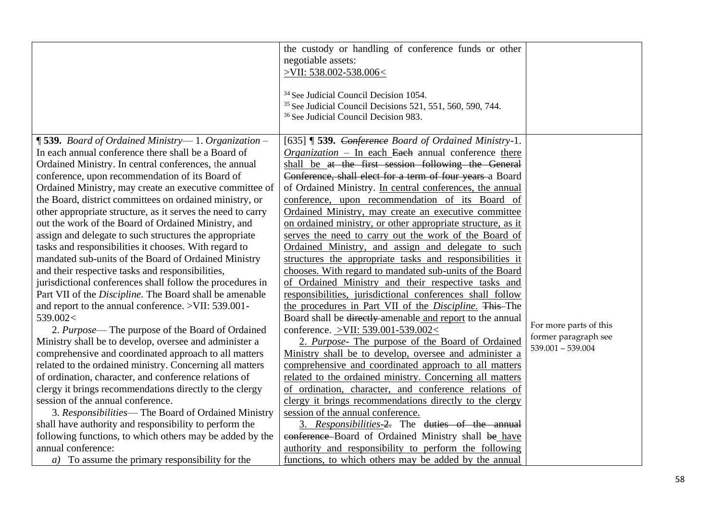|                                                             | the custody or handling of conference funds or other                  |                                             |
|-------------------------------------------------------------|-----------------------------------------------------------------------|---------------------------------------------|
|                                                             | negotiable assets:<br>>VII: 538.002-538.006<                          |                                             |
|                                                             |                                                                       |                                             |
|                                                             | <sup>34</sup> See Judicial Council Decision 1054.                     |                                             |
|                                                             | <sup>35</sup> See Judicial Council Decisions 521, 551, 560, 590, 744. |                                             |
|                                                             | <sup>36</sup> See Judicial Council Decision 983.                      |                                             |
| <b>[539.</b> Board of Ordained Ministry-1. Organization -   | [635] <b>[539.</b> Conference Board of Ordained Ministry-1.           |                                             |
| In each annual conference there shall be a Board of         | <i>Organization</i> – In each Each annual conference there            |                                             |
| Ordained Ministry. In central conferences, the annual       | shall be at the first session following the General                   |                                             |
| conference, upon recommendation of its Board of             | Conference, shall elect for a term of four years a Board              |                                             |
| Ordained Ministry, may create an executive committee of     | of Ordained Ministry. In central conferences, the annual              |                                             |
| the Board, district committees on ordained ministry, or     | conference, upon recommendation of its Board of                       |                                             |
| other appropriate structure, as it serves the need to carry | Ordained Ministry, may create an executive committee                  |                                             |
| out the work of the Board of Ordained Ministry, and         | on ordained ministry, or other appropriate structure, as it           |                                             |
| assign and delegate to such structures the appropriate      | serves the need to carry out the work of the Board of                 |                                             |
| tasks and responsibilities it chooses. With regard to       | Ordained Ministry, and assign and delegate to such                    |                                             |
| mandated sub-units of the Board of Ordained Ministry        | structures the appropriate tasks and responsibilities it              |                                             |
| and their respective tasks and responsibilities,            | chooses. With regard to mandated sub-units of the Board               |                                             |
| jurisdictional conferences shall follow the procedures in   | of Ordained Ministry and their respective tasks and                   |                                             |
| Part VII of the Discipline. The Board shall be amenable     | responsibilities, jurisdictional conferences shall follow             |                                             |
| and report to the annual conference. >VII: 539.001-         | the procedures in Part VII of the Discipline. This The                |                                             |
| 539.002<                                                    | Board shall be directly amenable and report to the annual             |                                             |
| 2. Purpose— The purpose of the Board of Ordained            | conference. >VII: 539.001-539.002<                                    | For more parts of this                      |
| Ministry shall be to develop, oversee and administer a      | 2. Purpose- The purpose of the Board of Ordained                      | former paragraph see<br>$539.001 - 539.004$ |
| comprehensive and coordinated approach to all matters       | Ministry shall be to develop, oversee and administer a                |                                             |
| related to the ordained ministry. Concerning all matters    | comprehensive and coordinated approach to all matters                 |                                             |
| of ordination, character, and conference relations of       | related to the ordained ministry. Concerning all matters              |                                             |
| clergy it brings recommendations directly to the clergy     | of ordination, character, and conference relations of                 |                                             |
| session of the annual conference.                           | clergy it brings recommendations directly to the clergy               |                                             |
| 3. Responsibilities-The Board of Ordained Ministry          | session of the annual conference.                                     |                                             |
| shall have authority and responsibility to perform the      | 3. Responsibilities-2. The duties of the annual                       |                                             |
| following functions, to which others may be added by the    | conference Board of Ordained Ministry shall be have                   |                                             |
| annual conference:                                          | authority and responsibility to perform the following                 |                                             |
| a) To assume the primary responsibility for the             | functions, to which others may be added by the annual                 |                                             |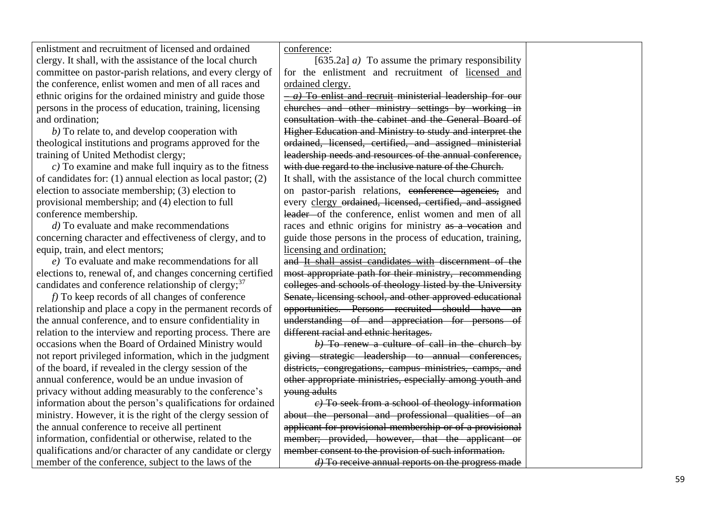enlistment and recruitment of licensed and ordained clergy. It shall, with the assistance of the local church committee on pastor -parish relations, and every clergy of the conference, enlist women and men of a ll races and ethnic origins for the ordained ministry and guide those persons in the process of education, training, licensing and ordination;

*b)* To relate to, and develop cooperation with theological institutions and programs approved for the training of United Methodist clergy;

*c)* To examine and make full inquiry as to the fitness of candidates for: (1) annual election as local pastor; (2) election to associate membership; (3) election to provisional membership; and (4) election to full conference members hip.

*d)* To evaluate and make recommendations concerning character and effectiveness of clergy, and to equip, train, and elect mentors;

*e)* To evaluate and make recommendations for all elections to, renewal of, and changes concerning certified candidates and conference relationship of clergy;<sup>37</sup>

*f)* To keep records of all changes of conference relationship and place a copy in the permanent records of the annual conference, and to ensure confidentiality in relation to the interview and reporting process. There are occasions when the Board of Ordained Ministry would not report privileged information, which in the judgment of the board, if revealed in the clergy session of the annual conference, would be an undue invasion of privacy without adding measurably to the conference's information about the person's qualifications for ordained ministry. However, it is the right of the clergy session of the annual conference to receive all pertinent information, confidential or otherwise, related to the qualifications and/or character of any candidate or clergy member of the conference, subject to the laws of the

conference :

[635.2a]  $a)$  To assume the primary responsibility for the enlistment and recruitment of licensed and ordained clergy.

– *a)* To enlist and recruit ministerial leadership for our churches and other ministry settings by working in consultation with the cabinet and the General Board of Higher Education and Ministry to study and interpret the ordained, licensed, certified, and assigned ministerial leadership needs and resources of the annual conference, with due regard to the inclusive nature of the Church.

It shall, with the assistance of the local church committee on pastor-parish relations, conference agencies, and every clergy ordained, licensed, certified, and assigned leader of the conference, enlist women and men of all races and ethnic origins for ministry as a vocation and guide those persons in the process of education, training, licensing and ordination;

and It shall assist candidates with discernment of the most appropriate path for their ministry, recommending colleges and schools of theology listed by the University Senate, licensing school, and other approved educational opportunities. Persons recruited should have an understanding of and appreciation for persons of different racial and ethnic heritages.

*b)* To renew a culture of call in the church by giving strategic leadership to annual conferences, districts, congregations, campus ministries, camps, and other appropriate ministries, especially among youth and young adults

*c)* To seek from a school of theology information about the personal and professional qualities of an applicant for provisional membership or of a provisional member; provided, however, that the applicant or member consent to the provision of such information.

*d)* To receive annual reports on the progress made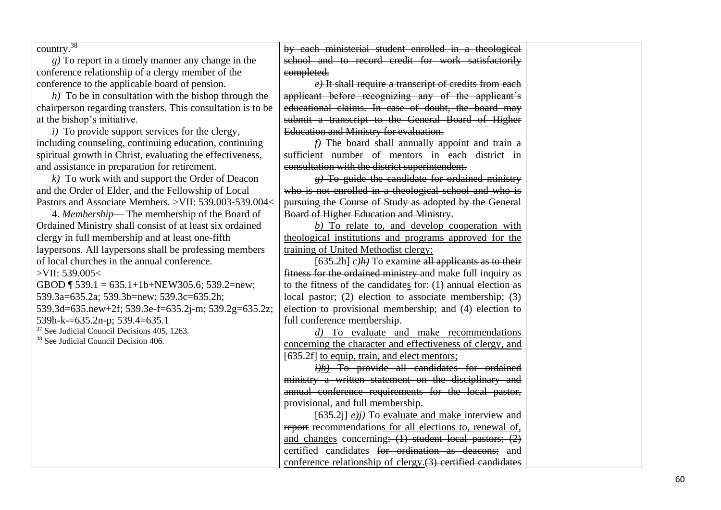country. 3 8

*g)* To report in a timely manner any change in the conference relationship of a clergy member of the conference to the applicable board of pension.

*h)* To be in consultation with the bishop through the chairperson regarding transfers. This consultation is to be at the bishop's initiative.

*i)* To provide support services for the clergy, including counseling, continuing education, continuing spiritual growth in Christ, evaluating the effectiveness, and assistance in preparation for retirement.

*k)* To work with and support the Order of Deacon and the Order of Elder, and the Fellowship of Local Pastors and Associate Members. >VII: 539.003 -539.004<

4. *Membership* — The membership of the Board of Ordained Ministry shall consist of at least six ordained clergy in full membership and at least one -fifth laypersons. All laypersons shall be professing members of local churches in the annual conference. >VII: 539.005<

GBOD  $\sqrt{539.1} = 635.1 + 1b + NEW305.6$ ; 539.2=new; 539.3a=635.2a; 539.3b=new; 539.3c=635.2h; 539.3d=635.new+2f; 539.3e -f=635.2j -m; 539.2g=635.2z;

539h - k -=635.2n -p; 539.4=635.1

<sup>37</sup> See Judicial Council Decisions 405, 1263.

<sup>38</sup> See Judicial Council Decision 406.

by each ministerial student enrolled in a theological school and to record credit for work satisfactorily completed.

*e)* It shall require a transcript of credits from each applicant before recognizing any of the applicant's educational claims. In case of doubt, the board may submit a transcript to the General Board of Higher Education and Ministry for evaluation.

*f)* The board shall annually appoint and train a sufficient number of mentors in each district in consultation with the district superintendent.

*g)* To guide the candidate for ordained ministry who is not enrolled in a theological school and who is pursuing the Course of Study as adopted by the General Board of Higher Education and Ministry.

*b)* To relate to, and develop cooperation with theological institutions and programs approved for the training of United Methodist clergy;

 $[635.2h]$   $c)$ *h*) To examine all applicants as to their fitness for the ordained ministry and make full inquiry as to the fitness of the candidates for:  $(1)$  annual election as local pastor; (2) election to associate membership; (3) election to provisional membership; and (4) election to full conference membership.

*d)* To evaluate and make recommendations concerning the character and effectiveness of clergy, and [635.2f] to equip, train, and elect mentors;

*i)h)* To provide all candidates for ordained ministry a written statement on the disciplinary and annual conference requirements for the local pastor, provisional, and full membership.

[635.2j]  $e$ *j*} To evaluate and make interview and report recommendations for all elections to, renewal of, and changes concerning: (1) student local pastors; (2) certified candidates for ordination as deacons; and conference relationship of clergy.(3) certified candidates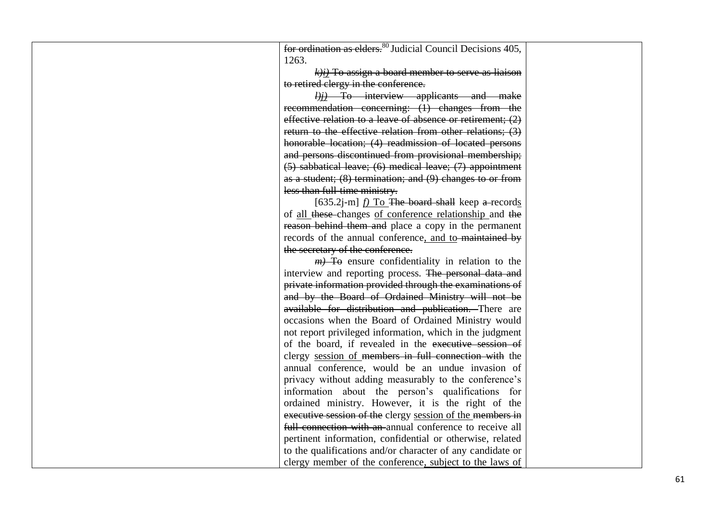for ordination as elders.<sup>80</sup> Judicial Council Decisions  $405$ , 1263.

*k)i)* To assign a board member to serve as liaison to retired clergy in the conference.

*l*)*i*) To interview applicants and make recommendation concerning: (1) changes from the effective relation to a leave of absence or retirement; (2) return to the effective relation from other relations; (3) honorable location; (4) readmission of located persons and persons discontinued from provisional membership; (5) sabbatical leave; (6) medical leave; (7) appointment as a student; (8) termination; and (9) changes to or from less than full-time ministry.

[635.2j-m]  $f$ ) To The board shall keep a-records of all these changes of conference relationship and the reason behind them and place a copy in the permanent records of the annual conference, and to maintained by the secretary of the conference.

*m*) To ensure confidentiality in relation to the interview and reporting process. The personal data and private information provided through the examinations of and by the Board of Ordained Ministry will not be available for distribution and publication. There are occasions when the Board of Ordained Ministry would not report privileged information, which in the judgment of the board, if revealed in the executive session of clergy session of members in full connection with the annual conference, would be an undue invasion of privacy without adding measurably to the conference's information about the person's qualifications for ordained ministry. However, it is the right of the executive session of the clergy session of the members in full connection with an annual conference to receive all pertinent information, confidential or otherwise, related to the qualifications and/or character of any candidate or clergy member of the conference, subject to the laws of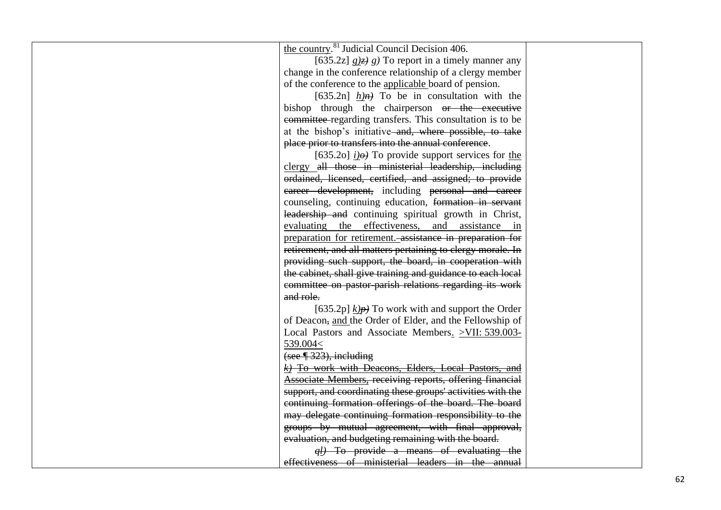the country.<sup>81</sup> Judicial Council Decision 406.

 $[635.2z]$  *g* $)\neq$  *g*) To report in a timely manner any change in the conference relationship of a clergy member of the conference to the applicable board of pension.

[635.2n]  $h$ <sub>*h*</sub> To be in consultation with the bishop through the chairperson or the executive committee regarding transfers. This consultation is to be at the bishop's initiative and, where possible, to take place prior to transfers into the annual conference .

[635.2o]  $i\rightarrow$  To provide support services for the clergy all those in ministerial leadership, including ordained, licensed, certified, and assigned; to provide career development, including personal and career counseling, continuing education, formation in servant leadership and continuing spiritual growth in Christ, evaluating the effectiveness, and assistance in preparation for retirement. assistance in preparation for retirement, and all matters pertaining to clergy morale. In providing such support, the board, in cooperation with the cabinet, shall give training and guidance to each local committee on pastor -parish relations regarding its work and role.

 $[635.2p]$  *k*) $\rightarrow$  To work with and support the Order of Deacon, and the Order of Elder, and the Fellowship of Local Pastors and Associate Members. >VII: 539.003-539.004<

(see ¶ 323), including

*k)* To work with Deacons, Elder s, Local Pastors, and Associate Members, receiving reports, offering financial support, and coordinating these groups' activities with the continuing formation offerings of the board. The board may delegate continuing formation responsibility to the groups by mutual agreement, with final approval, evaluation, and budgeting remaining with the board.

*ql)* To provide a means of evaluating the effectiveness of ministerial leaders in the annual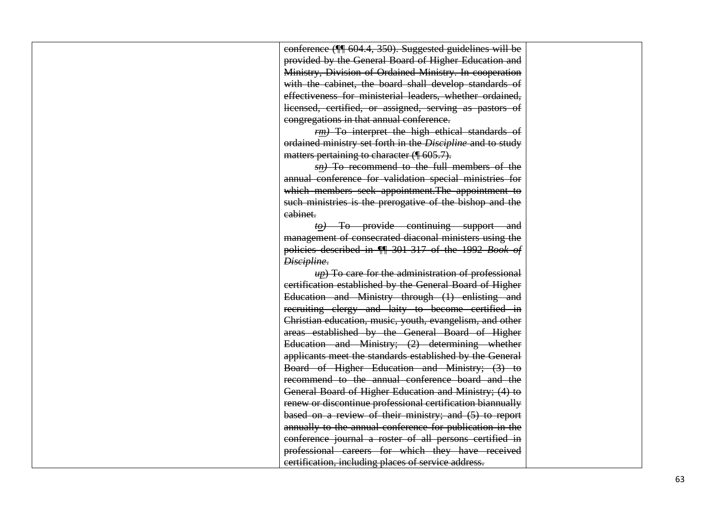conference (¶¶ 604.4, 350). Suggested guidelines will be provided by the General Board of Higher Education and Ministry, Division of Ordained Ministry. In cooperation with the cabinet, the board shall develop standards of effectiveness for ministerial leaders, whether ordained, licensed, certified, or assigned, serving as pastors of congregations in that annual conference.

*rm)* To interpret the high ethical standards of ordained ministry set forth in the *Discipline* and to study matters pertaining to character (¶ 605.7).

*sn)* To recommend to the full members of the annual conference for validation special ministries for which members seek appointment. The appointment to such ministries is the prerogative of the bishop and the cabinet.

*t*<sup>o</sup> To provide continuing support and management of consecrated diaconal ministers using the policies described in ¶¶ 301 -317 of the 1992 *Book of Discipline* .

*up*) To care for the administration of professional certification established by the General Board of Higher Education and Ministry through (1) enlisting and recruiting clergy and laity to become certified in Christian education, music, youth, evangelism, and other areas established by the General Board of Higher Education and Ministry; (2) determining whether applicants meet the standards established by the General Board of Higher Education and Ministry; (3) to recommend to the annual conference board and the General Board of Higher Education and Ministry; (4) to renew or discontinue professional certification biannually based on a review of their ministry; and (5) to report annually to the annual conference for publication in the conference journal a roster of all persons certified in professional careers for which they have received certification, including places of service address.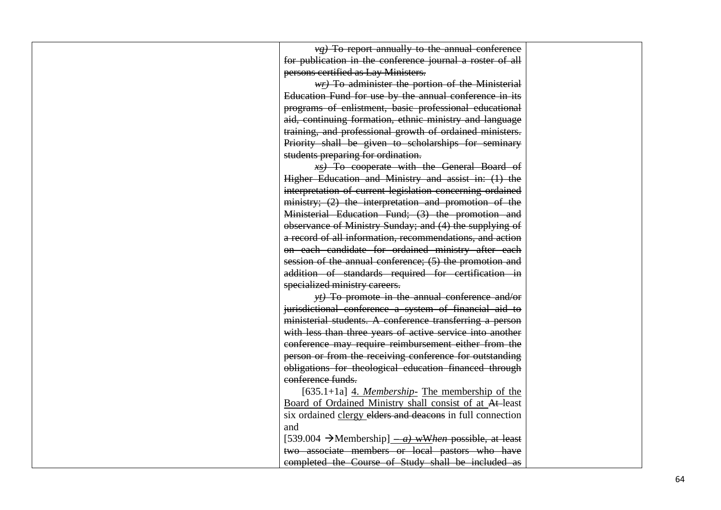*vq*) To report annually to the annual conference for publication in the conference journal a roster of all persons certified as Lay Ministers.

*wr*) To administer the portion of the Ministerial Education Fund for use by the annual conference in its programs of enlistment, basic professional educational aid, continuing formation, ethnic ministry and language training, and professional growth of ordained ministers. Priority shall be given to scholarships for seminary students preparing for ordination.

*xs)* To cooperate with the General Board of Higher Education and Ministry and assist in: (1) the interpretation of current legislation concerning ordained ministry; (2) the interpretation and promotion of the Ministerial Education Fund; (3) the promotion and observance of Ministry Sunday; and (4) the supplying of a record of all information, recommendations, and action on each candidate for ordained ministry after each session of the annual conference; (5) the promotion and addition of standards required for certification in specialized ministry careers.

*yt)* To promote in the annual conference and/or jurisdictional conference a system of financial aid to ministerial students. A conference transferring a person with less than three years of active service into another conference may require reimbursement either from the person or from the receiving conference for outstanding obligations for theological education financed through conference funds.

[635.1+1a] 4. *Membership -* The membership of the Board of Ordained Ministry shall consist of at At least six ordained clergy elders and deacons in full connection and

[539.004 →Membership] – *a)*  w W*hen* possible, at least two associate members or local pastors who have completed the Course of Study shall be included as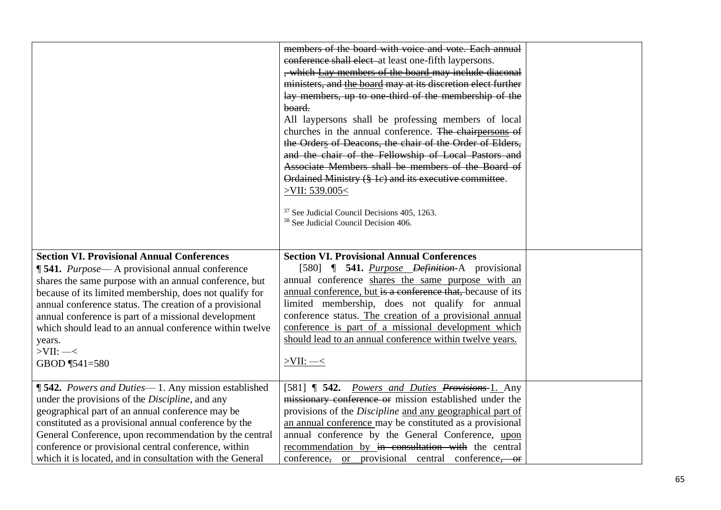|                                                                                                                | members of the board with voice and vote. Each annual                                                   |  |
|----------------------------------------------------------------------------------------------------------------|---------------------------------------------------------------------------------------------------------|--|
|                                                                                                                | conference shall elect at least one-fifth laypersons.                                                   |  |
|                                                                                                                | , which Lay members of the board may include diaconal                                                   |  |
|                                                                                                                | ministers, and the board may at its discretion elect further                                            |  |
|                                                                                                                | lay members, up to one-third of the membership of the                                                   |  |
|                                                                                                                | board.                                                                                                  |  |
|                                                                                                                | All laypersons shall be professing members of local                                                     |  |
|                                                                                                                | churches in the annual conference. The chairpersons of                                                  |  |
|                                                                                                                | the Orders of Deacons, the chair of the Order of Elders,                                                |  |
|                                                                                                                | and the chair of the Fellowship of Local Pastors and                                                    |  |
|                                                                                                                | Associate Members shall be members of the Board of                                                      |  |
|                                                                                                                | Ordained Ministry $(\S 1c)$ and its executive committee.                                                |  |
|                                                                                                                | >VII: 539.005<                                                                                          |  |
|                                                                                                                |                                                                                                         |  |
|                                                                                                                | <sup>37</sup> See Judicial Council Decisions 405, 1263.                                                 |  |
|                                                                                                                | <sup>38</sup> See Judicial Council Decision 406.                                                        |  |
|                                                                                                                |                                                                                                         |  |
|                                                                                                                |                                                                                                         |  |
| <b>Section VI. Provisional Annual Conferences</b>                                                              | <b>Section VI. Provisional Annual Conferences</b>                                                       |  |
| <b>1541.</b> <i>Purpose</i> — A provisional annual conference                                                  | <b>541.</b> <i>Purpose Definition</i> -A provisional<br>$[580]$ ¶                                       |  |
| shares the same purpose with an annual conference, but                                                         | annual conference shares the same purpose with an                                                       |  |
| because of its limited membership, does not qualify for                                                        | annual conference, but is a conference that, because of its                                             |  |
| annual conference status. The creation of a provisional                                                        | limited membership, does not qualify for annual                                                         |  |
| annual conference is part of a missional development                                                           | conference status. The creation of a provisional annual                                                 |  |
| which should lead to an annual conference within twelve                                                        | conference is part of a missional development which                                                     |  |
| years.                                                                                                         | should lead to an annual conference within twelve years.                                                |  |
| $>$ VII: $-$ <                                                                                                 |                                                                                                         |  |
| GBOD ¶541=580                                                                                                  | $>$ VII: $-$                                                                                            |  |
|                                                                                                                |                                                                                                         |  |
| ¶ 542. Powers and Duties-1. Any mission established                                                            | [581] <b>[542.</b> <i>Powers and Duties Provisions-1. Any</i>                                           |  |
| under the provisions of the <i>Discipline</i> , and any                                                        | missionary conference or mission established under the                                                  |  |
| geographical part of an annual conference may be                                                               | provisions of the <i>Discipline</i> and any geographical part of                                        |  |
|                                                                                                                |                                                                                                         |  |
|                                                                                                                |                                                                                                         |  |
| constituted as a provisional annual conference by the                                                          | an annual conference may be constituted as a provisional                                                |  |
| General Conference, upon recommendation by the central<br>conference or provisional central conference, within | annual conference by the General Conference, upon<br>recommendation by in consultation with the central |  |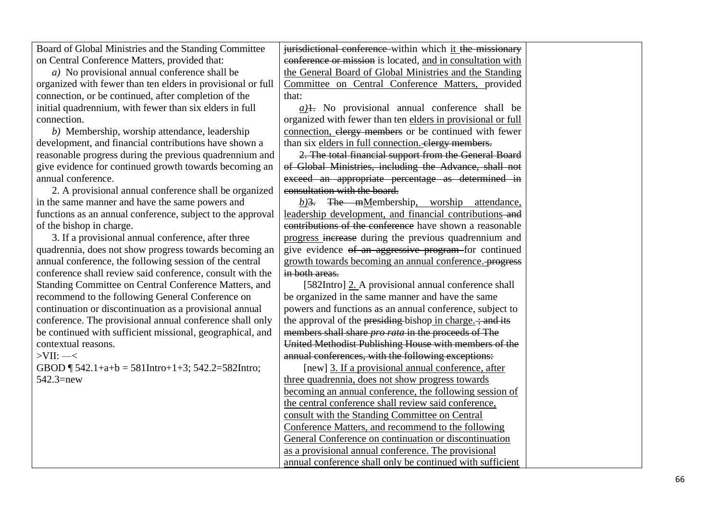Board of Global Ministries and the Standing Committee on Central Conference Matters, provided that:

*a)* No provisional annual conference shall be organized with fewer than ten elders in provisional or full connection, or be continued, after completion of the initial quadrennium, with fewer than six elders in full connection.

*b)* Membership, worship attendance, leadership development, and financial contributions have shown a reasonable progress during the previous quadrennium and give evidence for continued growth towards becoming an annual conference.

2. A provisional annual conference shall be organized in the same manner and have the same powers and functions as an annual conference, subject to the approval of the bishop in charge.

3. If a provisional annual conference, after three quadrennia, does not show progress towards becoming an annual conference, the following session of the central conference shall review said conference, consult with the Standing Committee on Central Conference Matters, and recommend to the following General Conference on continuation or discontinuation as a provisional annual conference. The provisional annual conference shall only be continued with sufficient missional, geographical, and contextual reasons.

>VII: *— <*

GBOD  $\sqrt{542.1+a+b} = 581Intro+1+3$ ; 542.2=582Intro; 542.3=new

jurisdictional conference within which it the missionary conference or mission is located, and in consultation with the General Board of Global Ministries and the Standing Committee on Central Conference Matters, provided that:

*a)*1. No provisional annual conference shall be organized with fewer than ten elders in provisional or full connection, clergy members or be continued with fewer than six elders in full connection. clergy members.

2. The total financial support from the General Board of Global Ministries, including the Advance, shall not exceed an appropriate percentage as determined in consultation with the board.

*b)*3. The m Membership, worship attendance, leadership development, and financial contributions and contributions of the conference have shown a reasonable progress increase during the previous quadrennium and give evidence <del>of an aggressive program</del> for continued growth towards becoming an annual conference. progress in both areas.

[582Intro] 2. A provisional annual conference shall be organized in the same manner and have the same powers and functions as an annual conference, subject to the approval of the presiding bishop in charge.  $\div$  and its members shall share *pro rata* in the proceeds of The United Methodist Publishing House with members of the annual conferences, with the following exceptions:

[new] 3. If a provisional annual conference, after three quadrennia, does not show progress towards becoming an annual conference, the following session of the central conference shall review said conference, consult with the Standing Committee on Central Conference Matters, and recommend to the following General Conference on continuation or discontinuation as a provisional annual conference. The provisional annual conference shall only be continued with sufficient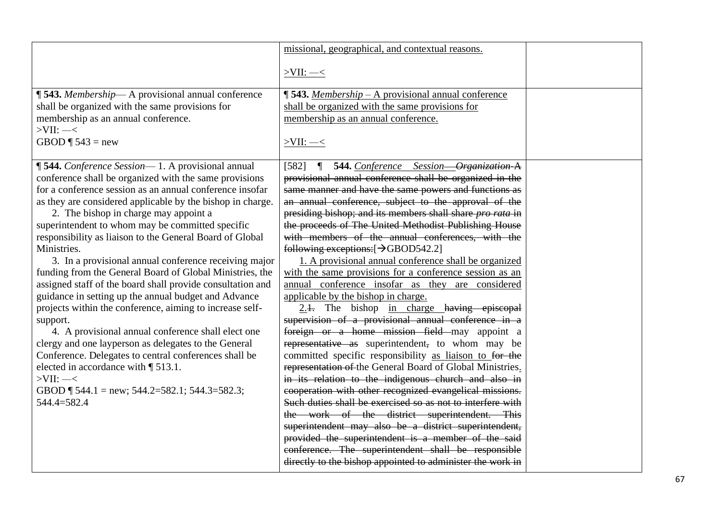|                                                                                                                                                                                                                                                                                                                                                                                                                                                                                                                                                                                                                                                                                                                                                                                                                                                                                                                                                                                                                                          | missional, geographical, and contextual reasons.                                                                                                                                                                                                                                                                                                                                                                                                                                                                                                                                                                                                                                                                                                                                                                                                                                                                                                                                                                                                                                                                                                                                                                                                                                                                                                                                                                                                                                                   |  |
|------------------------------------------------------------------------------------------------------------------------------------------------------------------------------------------------------------------------------------------------------------------------------------------------------------------------------------------------------------------------------------------------------------------------------------------------------------------------------------------------------------------------------------------------------------------------------------------------------------------------------------------------------------------------------------------------------------------------------------------------------------------------------------------------------------------------------------------------------------------------------------------------------------------------------------------------------------------------------------------------------------------------------------------|----------------------------------------------------------------------------------------------------------------------------------------------------------------------------------------------------------------------------------------------------------------------------------------------------------------------------------------------------------------------------------------------------------------------------------------------------------------------------------------------------------------------------------------------------------------------------------------------------------------------------------------------------------------------------------------------------------------------------------------------------------------------------------------------------------------------------------------------------------------------------------------------------------------------------------------------------------------------------------------------------------------------------------------------------------------------------------------------------------------------------------------------------------------------------------------------------------------------------------------------------------------------------------------------------------------------------------------------------------------------------------------------------------------------------------------------------------------------------------------------------|--|
|                                                                                                                                                                                                                                                                                                                                                                                                                                                                                                                                                                                                                                                                                                                                                                                                                                                                                                                                                                                                                                          | $>$ VII: $-$                                                                                                                                                                                                                                                                                                                                                                                                                                                                                                                                                                                                                                                                                                                                                                                                                                                                                                                                                                                                                                                                                                                                                                                                                                                                                                                                                                                                                                                                                       |  |
| <b>1543.</b> Membership— A provisional annual conference<br>shall be organized with the same provisions for<br>membership as an annual conference.<br>$>$ VII: $-$ <<br>GBOD $\P$ 543 = new                                                                                                                                                                                                                                                                                                                                                                                                                                                                                                                                                                                                                                                                                                                                                                                                                                              | <b>J</b> 543. <i>Membership</i> – A provisional annual conference<br>shall be organized with the same provisions for<br>membership as an annual conference.<br>$>$ VII: $-$ <                                                                                                                                                                                                                                                                                                                                                                                                                                                                                                                                                                                                                                                                                                                                                                                                                                                                                                                                                                                                                                                                                                                                                                                                                                                                                                                      |  |
| ¶ 544. Conference Session— 1. A provisional annual<br>conference shall be organized with the same provisions<br>for a conference session as an annual conference insofar<br>as they are considered applicable by the bishop in charge.<br>2. The bishop in charge may appoint a<br>superintendent to whom may be committed specific<br>responsibility as liaison to the General Board of Global<br>Ministries.<br>3. In a provisional annual conference receiving major<br>funding from the General Board of Global Ministries, the<br>assigned staff of the board shall provide consultation and<br>guidance in setting up the annual budget and Advance<br>projects within the conference, aiming to increase self-<br>support.<br>4. A provisional annual conference shall elect one<br>clergy and one layperson as delegates to the General<br>Conference. Delegates to central conferences shall be<br>elected in accordance with $\P$ 513.1.<br>$>VII:$ $-$<br>GBOD $\sqrt{544.1}$ = new; 544.2=582.1; 544.3=582.3;<br>544.4=582.4 | [582]<br><b>1</b> 544. Conference Session Organization-A<br>provisional annual conference shall be organized in the<br>same manner and have the same powers and functions as<br>an annual conference, subject to the approval of the<br>presiding bishop; and its members shall share <i>pro rata</i> in<br>the proceeds of The United Methodist Publishing House<br>with members of the annual conferences, with the<br>following exceptions: $\rightarrow$ GBOD542.2]<br>1. A provisional annual conference shall be organized<br>with the same provisions for a conference session as an<br>annual conference insofar as they are considered<br>applicable by the bishop in charge.<br>$2.1$ . The bishop in charge having episcopal<br>supervision of a provisional annual conference in a<br>foreign or a home mission field may appoint a<br>representative as superintendent, to whom may be<br>committed specific responsibility as liaison to for the<br>representation of the General Board of Global Ministries.<br>in its relation to the indigenous church and also in<br>cooperation with other recognized evangelical missions.<br>Such duties shall be exercised so as not to interfere with<br>the work of the district superintendent. This<br>superintendent may also be a district superintendent,<br>provided the superintendent is a member of the said<br>conference. The superintendent shall be responsible<br>directly to the bishop appointed to administer the work in |  |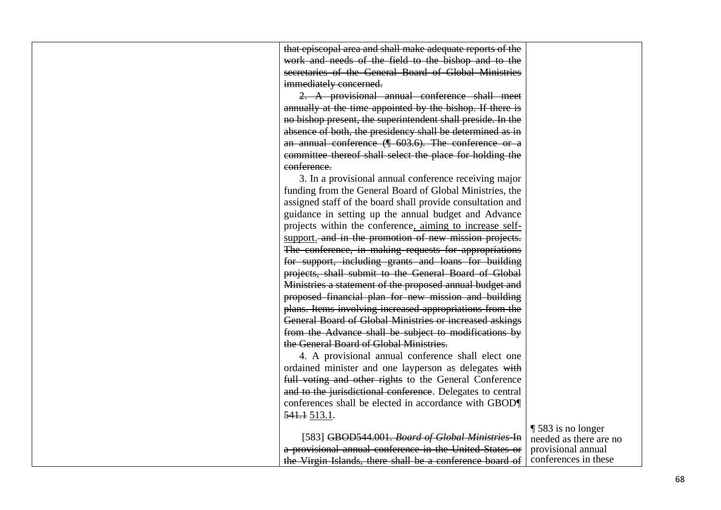that episcopal area and shall make adequate reports of the work and needs of the field to the bishop and to the secretaries of the General Board of Global Ministries immediately concerned.

2. A provisional annual conference shall meet annually at the time appointed by the bishop. If there is no bishop present, the superintendent shall preside. In the absence of both, the presidency shall be determined as in an annual conference (¶ 603.6). The conference or a committee thereof shall select the place for holding the conference.

3. In a provisional annual conference receiving major funding from the General Board of Global Ministries, the assigned staff of the board shall provide consultation and guidance in setting up the annual budget and Advance projects within the conference, aiming to increase selfsupport. and in the promotion of new mission projects. The conference, in making requests for appropriations for support, including grants and loans for building projects, shall submit to the General Board of Global Ministries a statement of the proposed annual budget and proposed financial plan for new mission and building plans. Items involving increased appropriations from the General Board of Global Ministries or increased askings from the Advance shall be subject to modifications by the General Board of Global Ministries.

4. A provisional annual conference shall elect one ordained minister and one layperson as delegates with full voting and other rights to the General Conference and to the jurisdictional conference. Delegates to central conferences shall be elected in accordance with GBOD¶ 541.1 513.1.

[583] GBOD544.001. *Board of Global Ministries*-In a provisional annual conference in the United States or the Virgin Islands, there shall be a conference board of

¶ 583 is no longer needed as there are no provisional annual conferences in these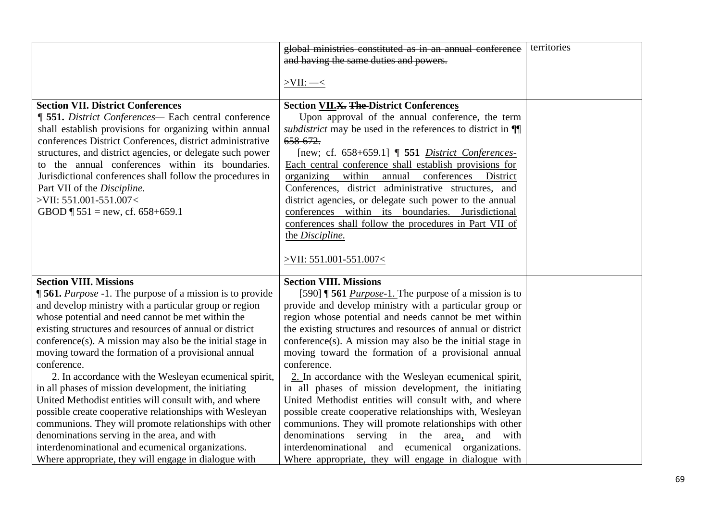|                                                                                                                                                                                                                                                                                                                                                                                                                                                                                                                                       | global ministries constituted as in an annual conference<br>and having the same duties and powers.                                                                                                                                                                                                                                                                                                                                                                                                                                                                                                                            | territories |
|---------------------------------------------------------------------------------------------------------------------------------------------------------------------------------------------------------------------------------------------------------------------------------------------------------------------------------------------------------------------------------------------------------------------------------------------------------------------------------------------------------------------------------------|-------------------------------------------------------------------------------------------------------------------------------------------------------------------------------------------------------------------------------------------------------------------------------------------------------------------------------------------------------------------------------------------------------------------------------------------------------------------------------------------------------------------------------------------------------------------------------------------------------------------------------|-------------|
|                                                                                                                                                                                                                                                                                                                                                                                                                                                                                                                                       | $>$ VII: $-$                                                                                                                                                                                                                                                                                                                                                                                                                                                                                                                                                                                                                  |             |
| <b>Section VII. District Conferences</b><br><b>1551.</b> District Conferences— Each central conference<br>shall establish provisions for organizing within annual<br>conferences District Conferences, district administrative<br>structures, and district agencies, or delegate such power<br>to the annual conferences within its boundaries.<br>Jurisdictional conferences shall follow the procedures in<br>Part VII of the Discipline.<br>$>$ VII: 551.001-551.007 $<$<br>GBOD $\sqrt{ }$ 551 = new, cf. 658+659.1               | <b>Section VII.X. The District Conferences</b><br>Upon approval of the annual conference, the term<br>subdistrict may be used in the references to district in $\P$<br>658-672.<br>[new; cf. 658+659.1]   551 <i>District Conferences</i> -<br>Each central conference shall establish provisions for<br>organizing<br>within<br>annual<br>conferences<br>District<br>Conferences, district administrative structures, and<br>district agencies, or delegate such power to the annual<br>boundaries.<br>conferences within its<br>Jurisdictional<br>conferences shall follow the procedures in Part VII of<br>the Discipline. |             |
|                                                                                                                                                                                                                                                                                                                                                                                                                                                                                                                                       | $>$ VII: 551.001-551.007 $<$                                                                                                                                                                                                                                                                                                                                                                                                                                                                                                                                                                                                  |             |
| <b>Section VIII. Missions</b><br><b>1561.</b> <i>Purpose</i> -1. The purpose of a mission is to provide<br>and develop ministry with a particular group or region<br>whose potential and need cannot be met within the<br>existing structures and resources of annual or district<br>conference(s). A mission may also be the initial stage in<br>moving toward the formation of a provisional annual<br>conference.<br>2. In accordance with the Wesleyan ecumenical spirit,<br>in all phases of mission development, the initiating | <b>Section VIII. Missions</b><br>[590] $\sqrt{561}$ <i>Purpose-1.</i> The purpose of a mission is to<br>provide and develop ministry with a particular group or<br>region whose potential and needs cannot be met within<br>the existing structures and resources of annual or district<br>$conference(s)$ . A mission may also be the initial stage in<br>moving toward the formation of a provisional annual<br>conference.<br>2. In accordance with the Wesleyan ecumenical spirit,<br>in all phases of mission development, the initiating                                                                                |             |
| United Methodist entities will consult with, and where<br>possible create cooperative relationships with Wesleyan<br>communions. They will promote relationships with other<br>denominations serving in the area, and with<br>interdenominational and ecumenical organizations.<br>Where appropriate, they will engage in dialogue with                                                                                                                                                                                               | United Methodist entities will consult with, and where<br>possible create cooperative relationships with, Wesleyan<br>communions. They will promote relationships with other<br>denominations serving in the area, and with<br>and ecumenical organizations.<br>interdenominational<br>Where appropriate, they will engage in dialogue with                                                                                                                                                                                                                                                                                   |             |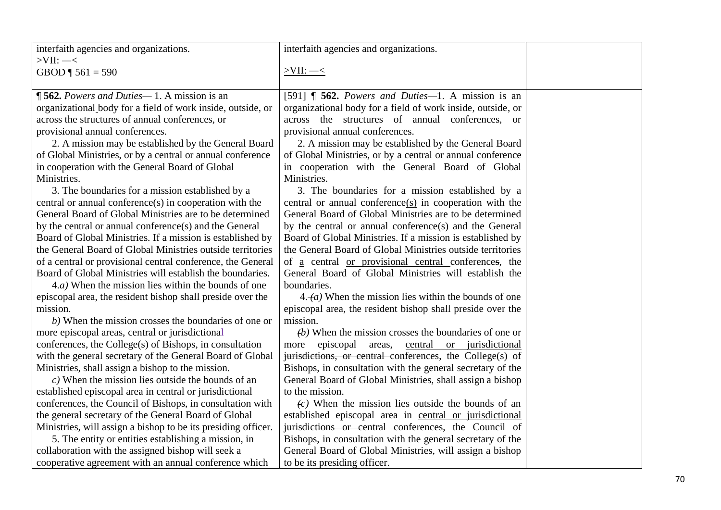| interfaith agencies and organizations.                        | interfaith agencies and organizations.                      |  |
|---------------------------------------------------------------|-------------------------------------------------------------|--|
| $>$ VII: $-$ <                                                |                                                             |  |
| GBOD $\P$ 561 = 590                                           | $>$ VII: $-\leq$                                            |  |
| <b>1562.</b> Powers and Duties - 1. A mission is an           | [591] <b>[562.</b> Powers and Duties-1. A mission is an     |  |
| organizational body for a field of work inside, outside, or   | organizational body for a field of work inside, outside, or |  |
| across the structures of annual conferences, or               | across the structures of annual conferences, or             |  |
| provisional annual conferences.                               | provisional annual conferences.                             |  |
| 2. A mission may be established by the General Board          | 2. A mission may be established by the General Board        |  |
| of Global Ministries, or by a central or annual conference    | of Global Ministries, or by a central or annual conference  |  |
| in cooperation with the General Board of Global               | in cooperation with the General Board of Global             |  |
| Ministries.                                                   | Ministries.                                                 |  |
| 3. The boundaries for a mission established by a              | 3. The boundaries for a mission established by a            |  |
| central or annual conference(s) in cooperation with the       | central or annual conference( $s$ ) in cooperation with the |  |
| General Board of Global Ministries are to be determined       | General Board of Global Ministries are to be determined     |  |
| by the central or annual conference(s) and the General        | by the central or annual conference(s) and the General      |  |
| Board of Global Ministries. If a mission is established by    | Board of Global Ministries. If a mission is established by  |  |
| the General Board of Global Ministries outside territories    | the General Board of Global Ministries outside territories  |  |
| of a central or provisional central conference, the General   | of a central or provisional central conferences, the        |  |
| Board of Global Ministries will establish the boundaries.     | General Board of Global Ministries will establish the       |  |
| 4.a) When the mission lies within the bounds of one           | boundaries.                                                 |  |
| episcopal area, the resident bishop shall preside over the    | 4. $(a)$ When the mission lies within the bounds of one     |  |
| mission.                                                      | episcopal area, the resident bishop shall preside over the  |  |
| b) When the mission crosses the boundaries of one or          | mission.                                                    |  |
| more episcopal areas, central or jurisdictional               | $(b)$ When the mission crosses the boundaries of one or     |  |
| conferences, the College(s) of Bishops, in consultation       | episcopal<br>or jurisdictional<br>areas,<br>central<br>more |  |
| with the general secretary of the General Board of Global     | jurisdictions, or central conferences, the College(s) of    |  |
| Ministries, shall assign a bishop to the mission.             | Bishops, in consultation with the general secretary of the  |  |
| $c)$ When the mission lies outside the bounds of an           | General Board of Global Ministries, shall assign a bishop   |  |
| established episcopal area in central or jurisdictional       | to the mission.                                             |  |
| conferences, the Council of Bishops, in consultation with     | $(c)$ When the mission lies outside the bounds of an        |  |
| the general secretary of the General Board of Global          | established episcopal area in central or jurisdictional     |  |
| Ministries, will assign a bishop to be its presiding officer. | jurisdictions or central conferences, the Council of        |  |
| 5. The entity or entities establishing a mission, in          | Bishops, in consultation with the general secretary of the  |  |
| collaboration with the assigned bishop will seek a            | General Board of Global Ministries, will assign a bishop    |  |
| cooperative agreement with an annual conference which         | to be its presiding officer.                                |  |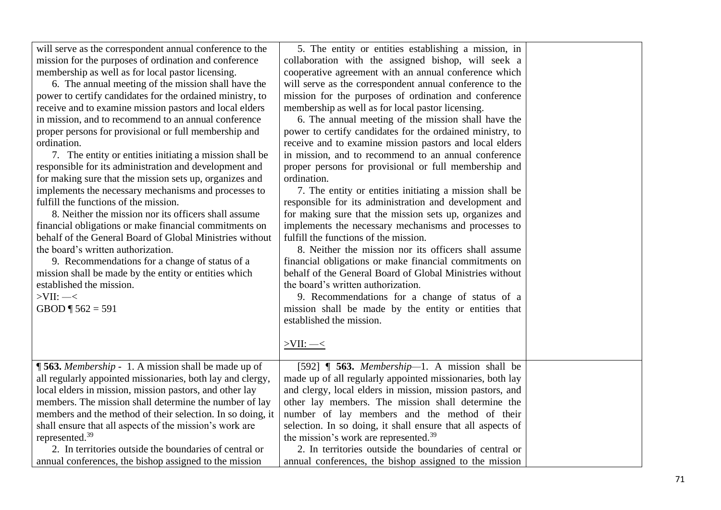| will serve as the correspondent annual conference to the<br>mission for the purposes of ordination and conference<br>membership as well as for local pastor licensing.<br>6. The annual meeting of the mission shall have the<br>power to certify candidates for the ordained ministry, to<br>receive and to examine mission pastors and local elders<br>in mission, and to recommend to an annual conference<br>proper persons for provisional or full membership and<br>ordination.<br>7. The entity or entities initiating a mission shall be<br>responsible for its administration and development and<br>for making sure that the mission sets up, organizes and<br>implements the necessary mechanisms and processes to<br>fulfill the functions of the mission.<br>8. Neither the mission nor its officers shall assume<br>financial obligations or make financial commitments on<br>behalf of the General Board of Global Ministries without<br>the board's written authorization.<br>9. Recommendations for a change of status of a<br>mission shall be made by the entity or entities which<br>established the mission.<br>$>$ VII: $-$ <<br>GBOD $\P$ 562 = 591 | 5. The entity or entities establishing a mission, in<br>collaboration with the assigned bishop, will seek a<br>cooperative agreement with an annual conference which<br>will serve as the correspondent annual conference to the<br>mission for the purposes of ordination and conference<br>membership as well as for local pastor licensing.<br>6. The annual meeting of the mission shall have the<br>power to certify candidates for the ordained ministry, to<br>receive and to examine mission pastors and local elders<br>in mission, and to recommend to an annual conference<br>proper persons for provisional or full membership and<br>ordination.<br>7. The entity or entities initiating a mission shall be<br>responsible for its administration and development and<br>for making sure that the mission sets up, organizes and<br>implements the necessary mechanisms and processes to<br>fulfill the functions of the mission.<br>8. Neither the mission nor its officers shall assume<br>financial obligations or make financial commitments on<br>behalf of the General Board of Global Ministries without<br>the board's written authorization.<br>9. Recommendations for a change of status of a<br>mission shall be made by the entity or entities that<br>established the mission.<br>$>$ VII: $-$ |  |
|----------------------------------------------------------------------------------------------------------------------------------------------------------------------------------------------------------------------------------------------------------------------------------------------------------------------------------------------------------------------------------------------------------------------------------------------------------------------------------------------------------------------------------------------------------------------------------------------------------------------------------------------------------------------------------------------------------------------------------------------------------------------------------------------------------------------------------------------------------------------------------------------------------------------------------------------------------------------------------------------------------------------------------------------------------------------------------------------------------------------------------------------------------------------------|--------------------------------------------------------------------------------------------------------------------------------------------------------------------------------------------------------------------------------------------------------------------------------------------------------------------------------------------------------------------------------------------------------------------------------------------------------------------------------------------------------------------------------------------------------------------------------------------------------------------------------------------------------------------------------------------------------------------------------------------------------------------------------------------------------------------------------------------------------------------------------------------------------------------------------------------------------------------------------------------------------------------------------------------------------------------------------------------------------------------------------------------------------------------------------------------------------------------------------------------------------------------------------------------------------------------------|--|
| <b>1563.</b> Membership - 1. A mission shall be made up of<br>all regularly appointed missionaries, both lay and clergy,<br>local elders in mission, mission pastors, and other lay<br>members. The mission shall determine the number of lay<br>members and the method of their selection. In so doing, it<br>shall ensure that all aspects of the mission's work are<br>represented. $39$<br>2. In territories outside the boundaries of central or<br>annual conferences, the bishop assigned to the mission                                                                                                                                                                                                                                                                                                                                                                                                                                                                                                                                                                                                                                                            | [592] $\parallel$ 563. <i>Membership</i> -1. A mission shall be<br>made up of all regularly appointed missionaries, both lay<br>and clergy, local elders in mission, mission pastors, and<br>other lay members. The mission shall determine the<br>number of lay members and the method of their<br>selection. In so doing, it shall ensure that all aspects of<br>the mission's work are represented. <sup>39</sup><br>2. In territories outside the boundaries of central or<br>annual conferences, the bishop assigned to the mission                                                                                                                                                                                                                                                                                                                                                                                                                                                                                                                                                                                                                                                                                                                                                                                 |  |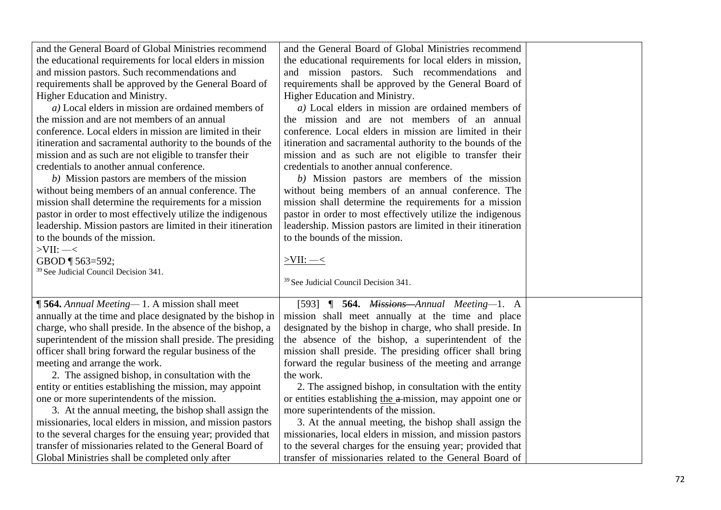| the educational requirements for local elders in mission<br>the educational requirements for local elders in mission,<br>and mission pastors. Such recommendations and<br>and mission pastors. Such recommendations and<br>requirements shall be approved by the General Board of<br>requirements shall be approved by the General Board of<br>Higher Education and Ministry.<br>Higher Education and Ministry.<br>$a)$ Local elders in mission are ordained members of<br>$a)$ Local elders in mission are ordained members of<br>the mission and are not members of an annual<br>the mission and are not members of an annual<br>conference. Local elders in mission are limited in their<br>conference. Local elders in mission are limited in their<br>itineration and sacramental authority to the bounds of the<br>itineration and sacramental authority to the bounds of the<br>mission and as such are not eligible to transfer their<br>mission and as such are not eligible to transfer their<br>credentials to another annual conference.<br>credentials to another annual conference.<br>$b)$ Mission pastors are members of the mission<br>b) Mission pastors are members of the mission<br>without being members of an annual conference. The<br>without being members of an annual conference. The |                                                                                                                        | and the General Board of Global Ministries recommend                                                                     |  |
|-------------------------------------------------------------------------------------------------------------------------------------------------------------------------------------------------------------------------------------------------------------------------------------------------------------------------------------------------------------------------------------------------------------------------------------------------------------------------------------------------------------------------------------------------------------------------------------------------------------------------------------------------------------------------------------------------------------------------------------------------------------------------------------------------------------------------------------------------------------------------------------------------------------------------------------------------------------------------------------------------------------------------------------------------------------------------------------------------------------------------------------------------------------------------------------------------------------------------------------------------------------------------------------------------------------------|------------------------------------------------------------------------------------------------------------------------|--------------------------------------------------------------------------------------------------------------------------|--|
|                                                                                                                                                                                                                                                                                                                                                                                                                                                                                                                                                                                                                                                                                                                                                                                                                                                                                                                                                                                                                                                                                                                                                                                                                                                                                                                   |                                                                                                                        |                                                                                                                          |  |
|                                                                                                                                                                                                                                                                                                                                                                                                                                                                                                                                                                                                                                                                                                                                                                                                                                                                                                                                                                                                                                                                                                                                                                                                                                                                                                                   |                                                                                                                        |                                                                                                                          |  |
|                                                                                                                                                                                                                                                                                                                                                                                                                                                                                                                                                                                                                                                                                                                                                                                                                                                                                                                                                                                                                                                                                                                                                                                                                                                                                                                   |                                                                                                                        |                                                                                                                          |  |
|                                                                                                                                                                                                                                                                                                                                                                                                                                                                                                                                                                                                                                                                                                                                                                                                                                                                                                                                                                                                                                                                                                                                                                                                                                                                                                                   |                                                                                                                        |                                                                                                                          |  |
|                                                                                                                                                                                                                                                                                                                                                                                                                                                                                                                                                                                                                                                                                                                                                                                                                                                                                                                                                                                                                                                                                                                                                                                                                                                                                                                   |                                                                                                                        |                                                                                                                          |  |
|                                                                                                                                                                                                                                                                                                                                                                                                                                                                                                                                                                                                                                                                                                                                                                                                                                                                                                                                                                                                                                                                                                                                                                                                                                                                                                                   |                                                                                                                        |                                                                                                                          |  |
|                                                                                                                                                                                                                                                                                                                                                                                                                                                                                                                                                                                                                                                                                                                                                                                                                                                                                                                                                                                                                                                                                                                                                                                                                                                                                                                   |                                                                                                                        |                                                                                                                          |  |
|                                                                                                                                                                                                                                                                                                                                                                                                                                                                                                                                                                                                                                                                                                                                                                                                                                                                                                                                                                                                                                                                                                                                                                                                                                                                                                                   |                                                                                                                        |                                                                                                                          |  |
|                                                                                                                                                                                                                                                                                                                                                                                                                                                                                                                                                                                                                                                                                                                                                                                                                                                                                                                                                                                                                                                                                                                                                                                                                                                                                                                   |                                                                                                                        |                                                                                                                          |  |
|                                                                                                                                                                                                                                                                                                                                                                                                                                                                                                                                                                                                                                                                                                                                                                                                                                                                                                                                                                                                                                                                                                                                                                                                                                                                                                                   |                                                                                                                        |                                                                                                                          |  |
|                                                                                                                                                                                                                                                                                                                                                                                                                                                                                                                                                                                                                                                                                                                                                                                                                                                                                                                                                                                                                                                                                                                                                                                                                                                                                                                   |                                                                                                                        |                                                                                                                          |  |
|                                                                                                                                                                                                                                                                                                                                                                                                                                                                                                                                                                                                                                                                                                                                                                                                                                                                                                                                                                                                                                                                                                                                                                                                                                                                                                                   |                                                                                                                        |                                                                                                                          |  |
| mission shall determine the requirements for a mission<br>mission shall determine the requirements for a mission                                                                                                                                                                                                                                                                                                                                                                                                                                                                                                                                                                                                                                                                                                                                                                                                                                                                                                                                                                                                                                                                                                                                                                                                  |                                                                                                                        |                                                                                                                          |  |
| pastor in order to most effectively utilize the indigenous<br>pastor in order to most effectively utilize the indigenous                                                                                                                                                                                                                                                                                                                                                                                                                                                                                                                                                                                                                                                                                                                                                                                                                                                                                                                                                                                                                                                                                                                                                                                          |                                                                                                                        |                                                                                                                          |  |
| leadership. Mission pastors are limited in their itineration<br>leadership. Mission pastors are limited in their itineration                                                                                                                                                                                                                                                                                                                                                                                                                                                                                                                                                                                                                                                                                                                                                                                                                                                                                                                                                                                                                                                                                                                                                                                      |                                                                                                                        |                                                                                                                          |  |
| to the bounds of the mission.<br>to the bounds of the mission.                                                                                                                                                                                                                                                                                                                                                                                                                                                                                                                                                                                                                                                                                                                                                                                                                                                                                                                                                                                                                                                                                                                                                                                                                                                    |                                                                                                                        |                                                                                                                          |  |
| $>$ VII: $-$ <                                                                                                                                                                                                                                                                                                                                                                                                                                                                                                                                                                                                                                                                                                                                                                                                                                                                                                                                                                                                                                                                                                                                                                                                                                                                                                    |                                                                                                                        |                                                                                                                          |  |
| $>$ VII: $-$<br>GBOD ¶ 563=592;                                                                                                                                                                                                                                                                                                                                                                                                                                                                                                                                                                                                                                                                                                                                                                                                                                                                                                                                                                                                                                                                                                                                                                                                                                                                                   |                                                                                                                        |                                                                                                                          |  |
| <sup>39</sup> See Judicial Council Decision 341.                                                                                                                                                                                                                                                                                                                                                                                                                                                                                                                                                                                                                                                                                                                                                                                                                                                                                                                                                                                                                                                                                                                                                                                                                                                                  |                                                                                                                        |                                                                                                                          |  |
| <sup>39</sup> See Judicial Council Decision 341.                                                                                                                                                                                                                                                                                                                                                                                                                                                                                                                                                                                                                                                                                                                                                                                                                                                                                                                                                                                                                                                                                                                                                                                                                                                                  |                                                                                                                        |                                                                                                                          |  |
| $\P$ 564. Annual Meeting— 1. A mission shall meet<br>[593] $\parallel$ 564. <i>Missions</i> Annual Meeting-1. A                                                                                                                                                                                                                                                                                                                                                                                                                                                                                                                                                                                                                                                                                                                                                                                                                                                                                                                                                                                                                                                                                                                                                                                                   |                                                                                                                        |                                                                                                                          |  |
|                                                                                                                                                                                                                                                                                                                                                                                                                                                                                                                                                                                                                                                                                                                                                                                                                                                                                                                                                                                                                                                                                                                                                                                                                                                                                                                   |                                                                                                                        |                                                                                                                          |  |
|                                                                                                                                                                                                                                                                                                                                                                                                                                                                                                                                                                                                                                                                                                                                                                                                                                                                                                                                                                                                                                                                                                                                                                                                                                                                                                                   |                                                                                                                        |                                                                                                                          |  |
|                                                                                                                                                                                                                                                                                                                                                                                                                                                                                                                                                                                                                                                                                                                                                                                                                                                                                                                                                                                                                                                                                                                                                                                                                                                                                                                   | annually at the time and place designated by the bishop in                                                             | mission shall meet annually at the time and place                                                                        |  |
|                                                                                                                                                                                                                                                                                                                                                                                                                                                                                                                                                                                                                                                                                                                                                                                                                                                                                                                                                                                                                                                                                                                                                                                                                                                                                                                   | charge, who shall preside. In the absence of the bishop, a                                                             | designated by the bishop in charge, who shall preside. In                                                                |  |
|                                                                                                                                                                                                                                                                                                                                                                                                                                                                                                                                                                                                                                                                                                                                                                                                                                                                                                                                                                                                                                                                                                                                                                                                                                                                                                                   | superintendent of the mission shall preside. The presiding                                                             | the absence of the bishop, a superintendent of the                                                                       |  |
|                                                                                                                                                                                                                                                                                                                                                                                                                                                                                                                                                                                                                                                                                                                                                                                                                                                                                                                                                                                                                                                                                                                                                                                                                                                                                                                   | officer shall bring forward the regular business of the                                                                | mission shall preside. The presiding officer shall bring                                                                 |  |
|                                                                                                                                                                                                                                                                                                                                                                                                                                                                                                                                                                                                                                                                                                                                                                                                                                                                                                                                                                                                                                                                                                                                                                                                                                                                                                                   | meeting and arrange the work.                                                                                          | forward the regular business of the meeting and arrange                                                                  |  |
|                                                                                                                                                                                                                                                                                                                                                                                                                                                                                                                                                                                                                                                                                                                                                                                                                                                                                                                                                                                                                                                                                                                                                                                                                                                                                                                   | 2. The assigned bishop, in consultation with the                                                                       | the work.                                                                                                                |  |
|                                                                                                                                                                                                                                                                                                                                                                                                                                                                                                                                                                                                                                                                                                                                                                                                                                                                                                                                                                                                                                                                                                                                                                                                                                                                                                                   | entity or entities establishing the mission, may appoint                                                               | 2. The assigned bishop, in consultation with the entity                                                                  |  |
|                                                                                                                                                                                                                                                                                                                                                                                                                                                                                                                                                                                                                                                                                                                                                                                                                                                                                                                                                                                                                                                                                                                                                                                                                                                                                                                   | one or more superintendents of the mission.                                                                            | or entities establishing the a-mission, may appoint one or                                                               |  |
|                                                                                                                                                                                                                                                                                                                                                                                                                                                                                                                                                                                                                                                                                                                                                                                                                                                                                                                                                                                                                                                                                                                                                                                                                                                                                                                   | 3. At the annual meeting, the bishop shall assign the                                                                  | more superintendents of the mission.                                                                                     |  |
|                                                                                                                                                                                                                                                                                                                                                                                                                                                                                                                                                                                                                                                                                                                                                                                                                                                                                                                                                                                                                                                                                                                                                                                                                                                                                                                   | missionaries, local elders in mission, and mission pastors                                                             | 3. At the annual meeting, the bishop shall assign the                                                                    |  |
| Global Ministries shall be completed only after<br>transfer of missionaries related to the General Board of                                                                                                                                                                                                                                                                                                                                                                                                                                                                                                                                                                                                                                                                                                                                                                                                                                                                                                                                                                                                                                                                                                                                                                                                       | to the several charges for the ensuing year; provided that<br>transfer of missionaries related to the General Board of | missionaries, local elders in mission, and mission pastors<br>to the several charges for the ensuing year; provided that |  |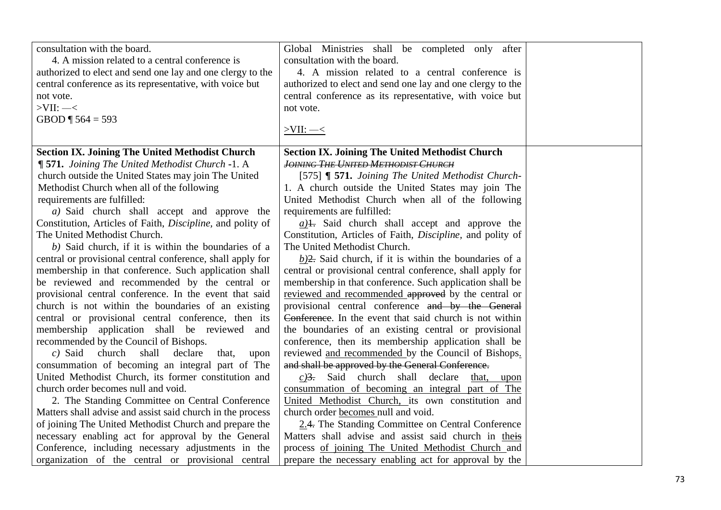| consultation with the board.<br>4. A mission related to a central conference is<br>authorized to elect and send one lay and one clergy to the<br>central conference as its representative, with voice but<br>not vote.<br>$>$ VII: $-$ <<br>GBOD $\P$ 564 = 593 | Global Ministries shall be completed only after<br>consultation with the board.<br>4. A mission related to a central conference is<br>authorized to elect and send one lay and one clergy to the<br>central conference as its representative, with voice but<br>not vote.<br>$>$ VII: $-$ |  |
|-----------------------------------------------------------------------------------------------------------------------------------------------------------------------------------------------------------------------------------------------------------------|-------------------------------------------------------------------------------------------------------------------------------------------------------------------------------------------------------------------------------------------------------------------------------------------|--|
| <b>Section IX. Joining The United Methodist Church</b>                                                                                                                                                                                                          | <b>Section IX. Joining The United Methodist Church</b>                                                                                                                                                                                                                                    |  |
| <b>J</b> 571. Joining The United Methodist Church -1. A                                                                                                                                                                                                         | <b>JOINING THE UNITED METHODIST CHURCH</b>                                                                                                                                                                                                                                                |  |
| church outside the United States may join The United                                                                                                                                                                                                            | [575] ¶ 571. Joining The United Methodist Church-                                                                                                                                                                                                                                         |  |
| Methodist Church when all of the following                                                                                                                                                                                                                      | 1. A church outside the United States may join The                                                                                                                                                                                                                                        |  |
| requirements are fulfilled:                                                                                                                                                                                                                                     | United Methodist Church when all of the following                                                                                                                                                                                                                                         |  |
| a) Said church shall accept and approve the                                                                                                                                                                                                                     | requirements are fulfilled:                                                                                                                                                                                                                                                               |  |
| Constitution, Articles of Faith, Discipline, and polity of                                                                                                                                                                                                      | $a)$ + Said church shall accept and approve the                                                                                                                                                                                                                                           |  |
| The United Methodist Church.                                                                                                                                                                                                                                    | Constitution, Articles of Faith, Discipline, and polity of                                                                                                                                                                                                                                |  |
| b) Said church, if it is within the boundaries of a                                                                                                                                                                                                             | The United Methodist Church.                                                                                                                                                                                                                                                              |  |
| central or provisional central conference, shall apply for                                                                                                                                                                                                      | $b$ ) <sup>2</sup> . Said church, if it is within the boundaries of a                                                                                                                                                                                                                     |  |
| membership in that conference. Such application shall                                                                                                                                                                                                           | central or provisional central conference, shall apply for                                                                                                                                                                                                                                |  |
| be reviewed and recommended by the central or                                                                                                                                                                                                                   | membership in that conference. Such application shall be                                                                                                                                                                                                                                  |  |
| provisional central conference. In the event that said<br>church is not within the boundaries of an existing                                                                                                                                                    | reviewed and recommended approved by the central or<br>provisional central conference and by the General                                                                                                                                                                                  |  |
| central or provisional central conference, then its                                                                                                                                                                                                             | Conference. In the event that said church is not within                                                                                                                                                                                                                                   |  |
| membership application shall be reviewed<br>and                                                                                                                                                                                                                 | the boundaries of an existing central or provisional                                                                                                                                                                                                                                      |  |
| recommended by the Council of Bishops.                                                                                                                                                                                                                          | conference, then its membership application shall be                                                                                                                                                                                                                                      |  |
| church<br>shall<br>declare<br>$c)$ Said<br>that,<br>upon                                                                                                                                                                                                        | reviewed and recommended by the Council of Bishops.                                                                                                                                                                                                                                       |  |
| consummation of becoming an integral part of The                                                                                                                                                                                                                | and shall be approved by the General Conference.                                                                                                                                                                                                                                          |  |
| United Methodist Church, its former constitution and                                                                                                                                                                                                            | $c)$ 3. Said church shall declare<br>that,<br>upon                                                                                                                                                                                                                                        |  |
| church order becomes null and void.                                                                                                                                                                                                                             | consummation of becoming an integral part of The                                                                                                                                                                                                                                          |  |
| 2. The Standing Committee on Central Conference                                                                                                                                                                                                                 | United Methodist Church, its own constitution and                                                                                                                                                                                                                                         |  |
| Matters shall advise and assist said church in the process                                                                                                                                                                                                      | church order becomes null and void.                                                                                                                                                                                                                                                       |  |
| of joining The United Methodist Church and prepare the                                                                                                                                                                                                          | 2.4. The Standing Committee on Central Conference                                                                                                                                                                                                                                         |  |
| necessary enabling act for approval by the General                                                                                                                                                                                                              | Matters shall advise and assist said church in theis                                                                                                                                                                                                                                      |  |
| Conference, including necessary adjustments in the                                                                                                                                                                                                              | process of joining The United Methodist Church and                                                                                                                                                                                                                                        |  |
| organization of the central or provisional central                                                                                                                                                                                                              | prepare the necessary enabling act for approval by the                                                                                                                                                                                                                                    |  |